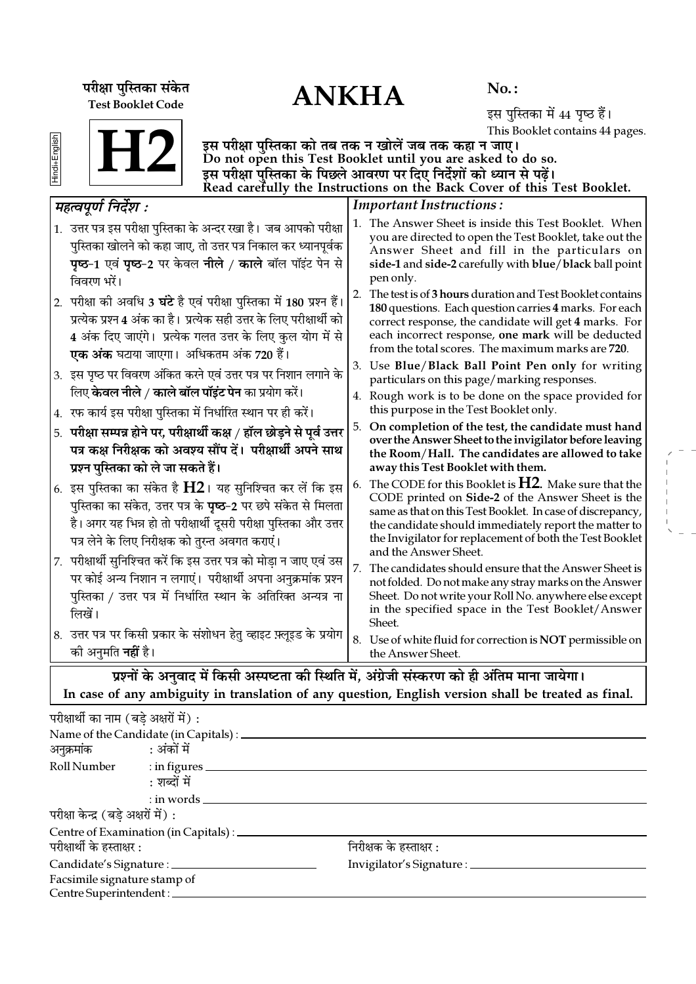ANKHA **¬⁄ˡÊÊ ¬ÈÁSÃ∑§Ê '¥∑§Ã** Test Booklet Code

No. :

इस पुस्तिका में 44 पृष्ठ हैं। This Booklet contains 44 pages.

| lindi+English |  |
|---------------|--|

इस परीक्षा पुस्तिका को तब तक न खोलें जब तक कहा न जाए। Do not open this Test Booklet until you are asked to do so. इस परीक्षा पुस्तिका के पिछले आवरण पर दिए निर्देशों को ध्यान से पढ़ें। Read carefully the Instructions on the Back Cover of this Test Booklet.

| महत्वपूर्ण निर्देश :                                                                                                                                                                                                                                                | <b>Important Instructions:</b>                                                                                                                                                                                                                                                                                                |
|---------------------------------------------------------------------------------------------------------------------------------------------------------------------------------------------------------------------------------------------------------------------|-------------------------------------------------------------------------------------------------------------------------------------------------------------------------------------------------------------------------------------------------------------------------------------------------------------------------------|
| 1. उत्तर पत्र इस परीक्षा पुस्तिका के अन्दर रखा है। जब आपको परीक्षा<br>पुस्तिका खोलने को कहा जाए, तो उत्तर पत्र निकाल कर ध्यानपूर्वक<br><b>पृष्ठ-1</b> एवं <b>पृष्ठ-2</b> पर केवल <b>नीले / काले</b> बॉल पॉइंट पेन से<br>विवरण भरें।                                 | 1. The Answer Sheet is inside this Test Booklet. When<br>you are directed to open the Test Booklet, take out the<br>Answer Sheet and fill in the particulars on<br>side-1 and side-2 carefully with blue/black ball point<br>pen only.                                                                                        |
| 2. परीक्षा की अवधि 3 घंटे है एवं परीक्षा पुस्तिका में 180 प्रश्न हैं।<br>प्रत्येक प्रश्न 4 अंक का है। प्रत्येक सही उत्तर के लिए परीक्षार्थी को<br>4 अंक दिए जाएंगे।  प्रत्येक गलत उत्तर के लिए कुल योग में से<br>एक अंक घटाया जाएगा। अधिकतम अंक 720 हैं।            | The test is of 3 hours duration and Test Booklet contains<br>2.<br>180 questions. Each question carries 4 marks. For each<br>correct response, the candidate will get 4 marks. For<br>each incorrect response, one mark will be deducted<br>from the total scores. The maximum marks are 720.                                 |
| 3. इस पृष्ठ पर विवरण अंकित करने एवं उत्तर पत्र पर निशान लगाने के                                                                                                                                                                                                    | 3. Use Blue/Black Ball Point Pen only for writing<br>particulars on this page/marking responses.                                                                                                                                                                                                                              |
| लिए <b>केवल नीले / काले बॉल पॉइंट पेन</b> का प्रयोग करें।<br>4.  रफ कार्य इस परीक्षा पुस्तिका में निर्धारित स्थान पर ही करें।                                                                                                                                       | 4. Rough work is to be done on the space provided for<br>this purpose in the Test Booklet only.                                                                                                                                                                                                                               |
| 5. परीक्षा सम्पन्न होने पर, परीक्षार्थी कक्ष / हॉल छोड़ने से पूर्व उत्तर<br>पत्र कक्ष निरीक्षक को अवश्य सौंप दें। परीक्षार्थी अपने साथ<br>प्रश्न पुस्तिका को ले जा सकते हैं।                                                                                        | On completion of the test, the candidate must hand<br>over the Answer Sheet to the invigilator before leaving<br>the Room/Hall. The candidates are allowed to take<br>away this Test Booklet with them.                                                                                                                       |
| 6. इस पुस्तिका का संकेत है $\rm{H2}$ । यह सुनिश्चित कर लें कि इस<br>पुस्तिका का संकेत, उत्तर पत्र के <b>पृष्ठ</b> –2 पर छपे संकेत से मिलता<br>है। अगर यह भिन्न हो तो परीक्षार्थी दूसरी परीक्षा पुस्तिका और उत्तर<br>पत्र लेने के लिए निरीक्षक को तुरन्त अवगत कराएं। | The CODE for this Booklet is $H2$ . Make sure that the<br>6.<br>CODE printed on Side-2 of the Answer Sheet is the<br>same as that on this Test Booklet. In case of discrepancy,<br>the candidate should immediately report the matter to<br>the Invigilator for replacement of both the Test Booklet<br>and the Answer Sheet. |
| 7. परीक्षार्थी सुनिश्चित करें कि इस उत्तर पत्र को मोड़ा न जाए एवं उस<br>पर कोई अन्य निशान न लगाएं।  परीक्षार्थी अपना अनुक्रमांक प्रश्न<br>पुस्तिका / उत्तर पत्र में निर्धारित स्थान के अतिरिक्त अन्यत्र ना<br>लिखें।                                                | 7.<br>The candidates should ensure that the Answer Sheet is<br>not folded. Do not make any stray marks on the Answer<br>Sheet. Do not write your Roll No. anywhere else except<br>in the specified space in the Test Booklet/Answer<br>Sheet.                                                                                 |
| 8. उत्तर पत्र पर किसी प्रकार के संशोधन हेतु व्हाइट फ़्लूइड के प्रयोग<br>को अनुमति <b>नहीं</b> है।                                                                                                                                                                   | 8. Use of white fluid for correction is NOT permissible on<br>the Answer Sheet.                                                                                                                                                                                                                                               |
|                                                                                                                                                                                                                                                                     | प्रश्नों के अनुवाद में किसी अस्पष्टता की स्थिति में, अंग्रेजी संस्करण को ही अंतिम माना जायेगा।                                                                                                                                                                                                                                |

In case of any ambiguity in translation of any question, English version shall be treated as final.

| परीक्षार्थी का नाम (बडे अक्षरों में): |                                                 |                                   |  |  |
|---------------------------------------|-------------------------------------------------|-----------------------------------|--|--|
|                                       | Name of the Candidate (in Capitals) : _________ |                                   |  |  |
| अनुक्रमांक : अंकों में                |                                                 |                                   |  |  |
|                                       | Roll Number : in figures                        |                                   |  |  |
|                                       | : शब्दों में                                    |                                   |  |  |
|                                       | $:$ in words $\_\_$                             |                                   |  |  |
| परीक्षा केन्द्र (बड़े अक्षरों में) :  |                                                 |                                   |  |  |
|                                       | Centre of Examination (in Capitals) : _____     |                                   |  |  |
| परीक्षार्थी के हस्ताक्षर :            |                                                 | निरीक्षक के हस्ताक्षर :           |  |  |
|                                       | Candidate's Signature : ___________             | Invigilator's Signature : _______ |  |  |
| Facsimile signature stamp of          |                                                 |                                   |  |  |
| Centre Superintendent : ____          |                                                 |                                   |  |  |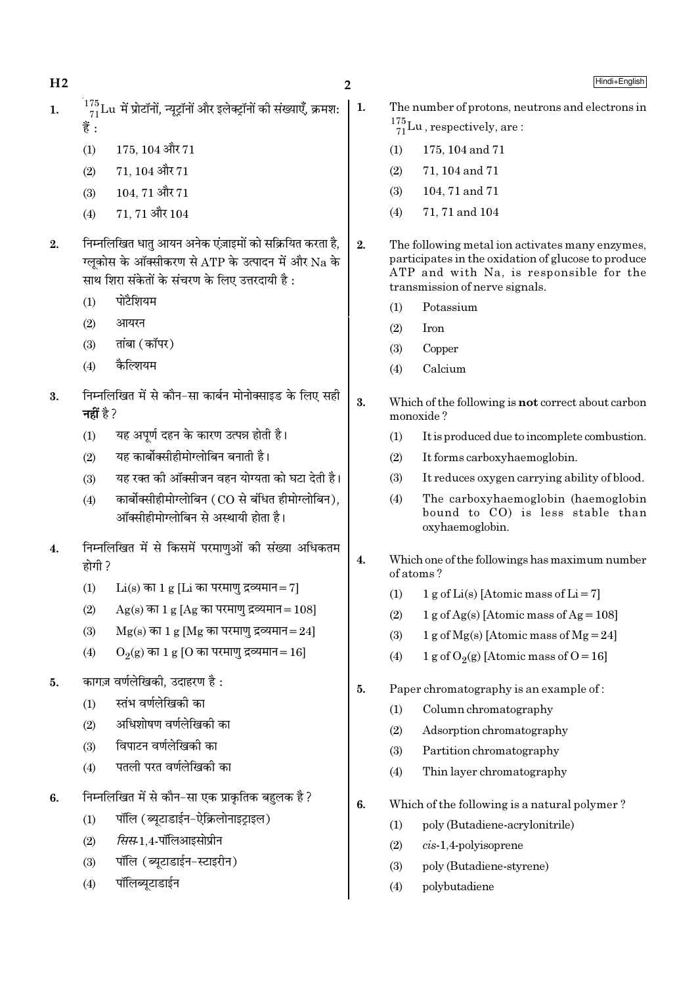$H<sub>2</sub>$ 

- $^{175}_{71}$ Lu में प्रोटॉनों, न्यूट्रॉनों और इलेक्ट्रॉनों की संख्याएँ, क्रमश:  $\mathbf{1}$ . 쑴.
	- 175, 104 और 71  $(1)$
	- 71.104 और 71  $(2)$
	- 104.71 और 71  $(3)$
	- 71 71 और 104  $(4)$
- निम्नलिखित धात आयन अनेक एंज़ाइमों को सक्रियित करता है,  $\overline{2}$ . ग्लकोस के ऑक्सीकरण से ATP के उत्पादन में और Na के साथ शिरा संकेतों के संचरण के लिए उत्तरदायी है :
	- पोटैशियम  $(1)$
	- आयरन  $(2)$
	- तांबा (कॉपर)  $(3)$
	- कैल्शियम  $(4)$
- निम्नलिखित में से कौन-सा कार्बन मोनोक्साइड के लिए सही 3. नहीं है ?
	- यह अपर्ण दहन के कारण उत्पन्न होती है।  $(1)$
	- यह कार्बोक्सीहीमोग्लोबिन बनाती है।  $(2)$
	- यह रक्त की ऑक्सीजन वहन योग्यता को घटा देती है।  $(3)$
	- कार्बोक्सीहीमोग्लोबिन (CO से बंधित हीमोग्लोबिन).  $(4)$ ऑक्सीहीमोग्लोबिन से अस्थायी होता है।
- निम्नलिखित में से किसमें परमाणुओं की संख्या अधिकतम  $\overline{4}$ . होगी ?
	- $Li(s)$  का 1 g [Li का परमाण द्रव्यमान= 7]  $(1)$
	- $(2)$  $Ag(s)$  का 1 g [Ag का परमाण द्रव्यमान = 108]
	- $(3)$  $Mg(s)$  का 1 g [Mg का परमाणु द्रव्यमान=24]
	- $O_2(g)$  का 1 g [O का परमाणु द्रव्यमान=16]  $(4)$
- कागज़ वर्णलेखिकी. उदाहरण है:  $\overline{5}$ .
	- स्तंभ वर्णलेखिकी का  $(1)$
	- अधिशोषण वर्णलेखिकी का  $(2)$
	- विपाटन वर्णलेखिको का  $(3)$
	- पतली परत वर्णलेखिकी का  $(4)$
- $6.$ निम्नलिखित में से कौन–सा एक प्राकृतिक बहुलक है?
	- पॉलि (ब्युटाडाईन-ऐक्रिलोनाइटाइल)  $(1)$
	- *सिस*-1.4-पॉलिआइसोप्रीन  $(2)$
	- पॉलि (ब्युटाडाईन-स्टाइरीन)  $(3)$
	- पॉलिब्युटाडाईन  $(4)$
- The number of protons, neutrons and electrons in  $\frac{175}{71}$ Lu, respectively, are:
- $(1)$ 175, 104 and 71
- $(2)$ 71, 104 and 71
- $(3)$ 104, 71 and 71
- 71, 71 and 104  $(4)$
- $2.$ The following metal ion activates many enzymes, participates in the oxidation of glucose to produce ATP and with Na, is responsible for the transmission of nerve signals.
	- Potassium  $(1)$
	- $(2)$ **Iron**
	- $(3)$ Copper
	- Calcium  $(4)$
- 3. Which of the following is not correct about carbon monoxide?
	- $(1)$ It is produced due to incomplete combustion.
	- $(2)$ It forms carboxyhaemoglobin.
	- $(3)$ It reduces oxygen carrying ability of blood.
	- $(4)$ The carboxyhaemoglobin (haemoglobin bound to CO) is less stable than oxyhaemoglobin.
- $\overline{4}$ . Which one of the followings has maximum number of atoms?
	- 1 g of Li(s) [Atomic mass of Li = 7]  $(1)$
	- $1 g$  of Ag(s) [Atomic mass of Ag = 108]  $(2)$
	- $(3)$ 1 g of Mg(s) [Atomic mass of Mg = 24]
	- 1 g of O<sub>2</sub>(g) [Atomic mass of O = 16]  $(4)$
- 5. Paper chromatography is an example of:
	- Column chromatography  $(1)$
	- $(2)$ Adsorption chromatography
	- $(3)$ Partition chromatography
	- Thin layer chromatography  $(4)$
- 6. Which of the following is a natural polymer?
	- poly (Butadiene-acrylonitrile)  $(1)$
	- $(2)$  $cis-1,4$ -polyisoprene
	- $(3)$ poly (Butadiene-styrene)
	- $(4)$ polybutadiene

|  $1$ .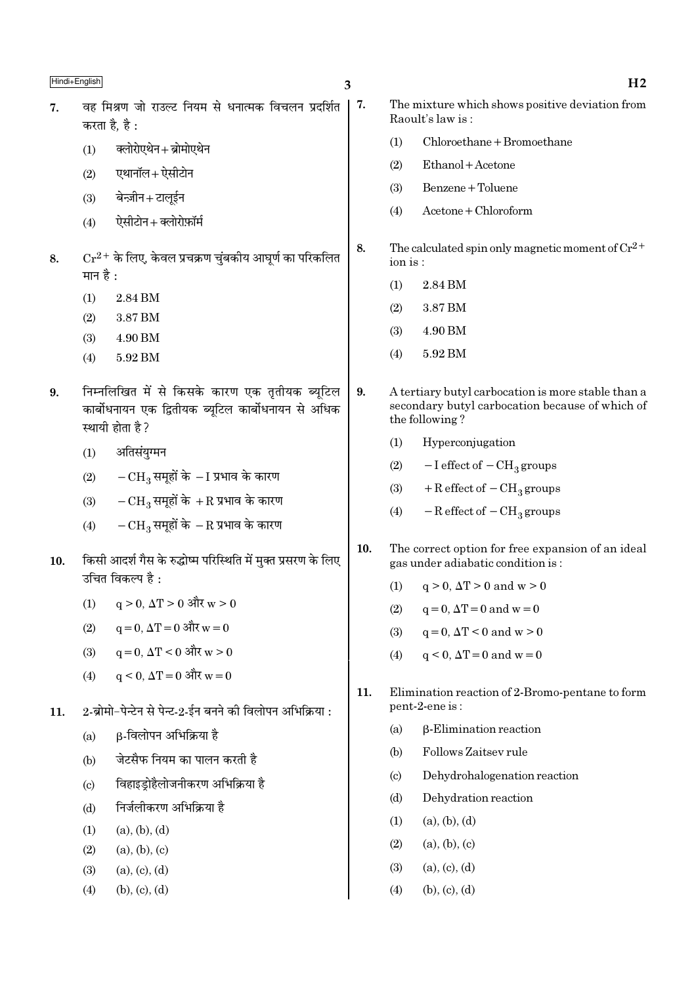3

8.

9.

 $10.$ 

- वह मिश्रण जो राउल्ट नियम से धनात्मक विचलन प्रदर्शित  $\vert 7.$  $\overline{7}$ . करता है है $\cdot$ 
	- क्लोरोएथेन+ब्रोमोएथेन  $(1)$
	- एथानॉल+ ऐसीटोन  $(2)$
	- बेन्ज़ीन+टालुईन  $(3)$
	- ऐसीटोन+क्लोरोफ़ॉर्म  $(4)$
- $\mathrm{Cr^{2+}}$  के लिए, केवल प्रचक्रण चुंबकीय आघूर्ण का परिकलित 8. मान है :
	- $(1)$ 2.84 BM
	- 3.87 BM  $(2)$
	- $(3)$ 4.90 BM
	- $(4)$ 5.92 BM
- निम्नलिखित में से किसके कारण एक तृतीयक ब्यूटिल  $9<sub>1</sub>$ कार्बोधनायन एक द्वितीयक ब्यटिल कार्बोधनायन से अधिक स्थायी होता है ?
	- अतिसंयुग्मन  $(1)$
	- $-CH_3$  समूहों के  $-I$  प्रभाव के कारण  $(2)$
	- $-CH_3$  समूहों के +R प्रभाव के कारण  $(3)$
	- $-{\rm CH}_3$  समूहों के  $-{\rm R}$  प्रभाव के कारण  $(4)$
- किसी आदर्श गैस के रुद्धोष्म परिस्थिति में मुक्त प्रसरण के लिए  $10.$ उचित विकल्प है $\cdot$ 
	- $q > 0$ ,  $\Delta T > 0$  और w > 0  $(1)$
	- $q = 0$ ,  $\Delta T = 0$  और  $w = 0$  $(2)$
	- $q = 0$ ,  $\Delta T < 0$  और w > 0  $(3)$
	- $a \le 0$ .  $\Delta T = 0$  और  $w = 0$  $(4)$
- 2-ब्रोमो-पेन्टेन से पेन्ट-2-ईन बनने की विलोपन अभिक्रिया :  $11.$ 
	- **ß-विलोपन अभिक्रिया है**  $(a)$
	- जेटसैफ नियम का पालन करती है  $(b)$
	- विहाइड़ोहैलोजनीकरण अभिक्रिया है  $(c)$
	- निर्जलीकरण अभिक्रिया है  $(d)$
	- $(a), (b), (d)$  $(1)$
	- $(2)$  $(a), (b), (c)$
	- $(3)$  $(a), (c), (d)$
	- $(4)$  $(b), (c), (d)$
- $H<sub>2</sub>$ The mixture which shows positive deviation from Raoult's law is:  $Chloroethane + Bromoethane$  $(1)$ Ethanol + Acetone  $(2)$ Benzene + Toluene  $(3)$  $(4)$  $A$ cetone + Chloroform The calculated spin only magnetic moment of  $Cr^{2+}$ ion is: 2.84 BM  $(1)$  $(2)$ 3.87 BM 4.90 BM  $(3)$  $(4)$ 5.92 BM A tertiary butyl carbocation is more stable than a secondary butyl carbocation because of which of the following?  $(1)$ Hyperconjugation  $(2)$  $-I$  effect of  $-CH<sub>3</sub>$  groups  $+$  R effect of  $-$  CH<sub>3</sub> groups  $(3)$  $-R$  effect of  $-CH<sub>3</sub>$  groups  $(4)$ The correct option for free expansion of an ideal gas under adiabatic condition is:  $q > 0$ ,  $\Delta T > 0$  and  $w > 0$  $(1)$  $q = 0$ ,  $\Delta T = 0$  and  $w = 0$  $(2)$  $q = 0$ ,  $\Delta T < 0$  and  $w > 0$  $(3)$  $q < 0$ ,  $\Delta T = 0$  and  $w = 0$  $(4)$
- Elimination reaction of 2-Bromo-pentane to form 11. pent-2-ene is:
	- β-Elimination reaction  $(a)$
	- Follows Zaitsey rule  $(h)$
	- Dehydrohalogenation reaction  $\left( \text{c} \right)$
	- Dehydration reaction  $(d)$
	- $(a), (b), (d)$  $(1)$
	- $(2)$  $(a), (b), (c)$
	- $(3)$  $(a)$ ,  $(c)$ ,  $(d)$
	- $(4)$  $(b)$ ,  $(c)$ ,  $(d)$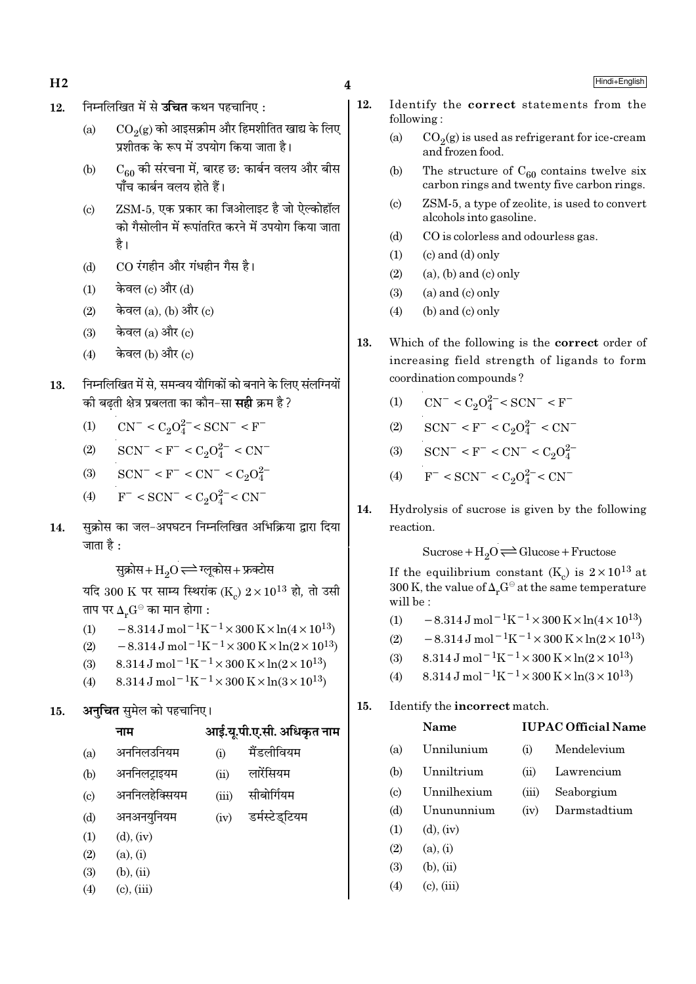- $H2 \hspace{1.5cm} 4$
- 12. निम्नलिखित में से **उचित** कथन पहचानिए:
	- (a)  $\rm CO_2(g)$  को आइसक्रीम और हिमशीतित खाद्य के लिए प्रशीतक के रूप में उपयोग किया जाता है।
	- (b)  $C_{60}$  की संरचना में, बारह छ: कार्बन वलय और बीस पाँच कार्बन वलय होते हैं।
	- (c) ZSM-5, एक प्रकार का जिओलाइट है जो ऐल्कोहॉल को गैसोलीन में रूपांतरित करने में उपयोग किया जाता है।
	- (d) CO रंगहीन और गंधहीन गैस है।
	- $(1)$  केवल  $(c)$  और  $(d)$
	- $(2)$  केवल  $(a)$ ,  $(b)$  और  $(c)$
	- $(3)$  केवल  $(a)$  और  $(c)$
	- $(4)$  केवल (b) और  $(c)$
- 13. निम्नलिखित में से. समन्वय यौगिकों को बनाने के लिए संलग्नियों ∑को बढती क्षेत्र प्रबलता का कौन−सा **सही** क्रम है ?
	- (1)  $CN^- < C_2O_4^{2-} < SCN^- < F^-$
	- (2)  $\text{SCN}^-$  < F<sup>-</sup> < C<sub>2</sub>O<sup>2</sup><sup>-</sup> < CN<sup>-</sup>
	- (3)  $\text{SCN}^-$  <  $\text{F}^-$  <  $\text{CN}^-$  <  $\text{C}_2\text{O}_4^{2-}$
	- (4)  $F^- < \text{SCN}^- < C_2 O_4^{2-} < \text{CN}^-$
- 14. सुक्रोस का जल-अपघटन निम्नलिखित अभिक्रिया द्वारा दिया जाता है $\cdot$

सुक्रोस+ $\mathrm{H}_2\mathrm{O}$  $\rightleftharpoons$ ग्लुकोस+ फ्रक्टोस

यदि 300 K पर साम्य स्थिरांक (K $_{\rm c}$ )  $2\!\times\!10^{13}$  हो, तो उसी ताप पर  $\Delta_r G^\ominus$  का मान होगा :

- (1)  $-8.314 \,\mathrm{J} \,\mathrm{mol}^{-1} \mathrm{K}^{-1} \times 300 \,\mathrm{K} \times \ln(4 \times 10^{13})$
- (2)  $-8.314 \,\mathrm{J} \,\mathrm{mol}^{-1} \mathrm{K}^{-1} \times 300 \,\mathrm{K} \times \ln(2 \times 10^{13})$
- (3) 8.314 J mol<sup>-1</sup>K<sup>-1</sup> × 300 K × ln(2 × 10<sup>13</sup>)
- (4) 8.314 J mol<sup>-1</sup>K<sup>-1</sup> × 300 K × ln(3 × 10<sup>13</sup>)
- 15. **अनचित** समेल को पहचानिए।

**ŸÊ◊ •Ê߸.ÿÍ.¬Ë.∞.'Ë. •Áœ∑Χà ŸÊ◊**

| (a)                       | अननिलउनियम      | (i)   | मैंडलीवियम     |
|---------------------------|-----------------|-------|----------------|
| (b)                       | अननिलट्राइयम    | (ii)  | लारेंसियम      |
| $\left( \text{c} \right)$ | अननिलहेक्सियम   | (iii) | सीबोर्गियम     |
| (d)                       | अनअनयुनियम      | (iv)  | डर्मस्टेड्टियम |
| (1)                       | $(d)$ , $(iv)$  |       |                |
| (2)                       | (a), (i)        |       |                |
| (3)                       | $(b)$ , $(ii)$  |       |                |
| (4)                       | $(c)$ , $(iii)$ |       |                |
|                           |                 |       |                |

- 12. Identify the correct statements from the following :
	- (a)  $CO_2(g)$  is used as refrigerant for ice-cream and frozen food.
	- (b) The structure of  $C_{60}$  contains twelve six carbon rings and twenty five carbon rings.
	- (c) ZSM-5, a type of zeolite, is used to convert alcohols into gasoline.
	- (d) CO is colorless and odourless gas.
	- $(1)$   $(c)$  and  $(d)$  only
	- $(2)$  (a), (b) and (c) only
	- $(3)$  (a) and  $(c)$  only
	- $(4)$  (b) and (c) only
- 13. Which of the following is the correct order of increasing field strength of ligands to form coordination compounds ?
	- (1)  $CN^- < C_2O_4^{2-} < SCN^- < F^-$
	- (2)  $\text{SCN}^-$  < F<sup>-</sup> < C<sub>2</sub>O<sub>4</sub><sup>2</sup><sup>-</sup> < CN<sup>-</sup>
	- (3)  $\text{SCN}^-$  < F<sup>-</sup> < CN<sup>-</sup> < C<sub>2</sub>O<sub>4</sub><sup>2</sup>
	- (4)  $F^-$  < SCN<sup>-</sup> < C<sub>2</sub>O<sub>4</sub><sup>2</sup><sup>-</sup>< CN<sup>-</sup>
- 14. Hydrolysis of sucrose is given by the following reaction.

 $Sucrose+H_2O \rightleftharpoons Glucose+Fructose$ 

If the equilibrium constant (K<sub>c</sub>) is  $2 \times 10^{13}$  at 300 K, the value of  $\Delta_r G^\ominus$  at the same temperature will be :

- (1)  $-8.314 \,\mathrm{J} \,\mathrm{mol}^{-1} \mathrm{K}^{-1} \times 300 \,\mathrm{K} \times \ln(4 \times 10^{13})$
- (2)  $-8.314 \text{ J mol}^{-1} \text{K}^{-1} \times 300 \text{ K} \times \ln(2 \times 10^{13})$
- (3)  $8.314 \text{ J mol}^{-1}\text{K}^{-1} \times 300 \text{ K} \times \ln(2 \times 10^{13})$
- (4)  $8.314 \text{ J mol}^{-1}\text{K}^{-1} \times 300 \text{ K} \times \ln(3 \times 10^{13})$

## 15. Identify the incorrect match.

## Name IUPAC Official Name

- (a) Unnilunium (i) Mendelevium
- (b) Unniltrium (ii) Lawrencium
- (c) Unnilhexium (iii) Seaborgium
- (d) Unununnium (iv) Darmstadtium
- $(1)$   $(d)$ ,  $(iv)$
- $(2)$   $(a), (i)$
- $(3)$   $(b), (ii)$
- $(4)$  (c), (iii)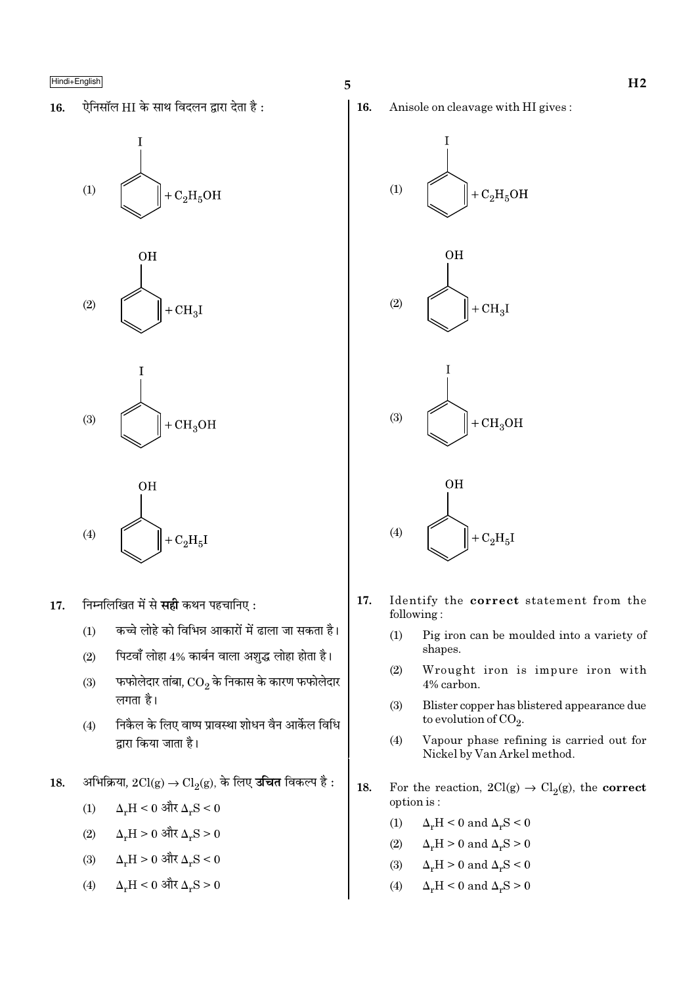ऐनिसॉल HI के साथ विदलन द्वारा देता है: 16.









- निम्नलिखित में से **सही** कथन पहचानिए : 17.
	- कच्चे लोहे को विभिन्न आकारों में ढाला जा सकता है।  $(1)$
	- पिटवाँ लोहा 4% कार्बन वाला अशुद्ध लोहा होता है।  $(2)$
	- फफोलेदार तांबा,  $\overline{\text{CO}_2}$  के निकास के कारण फफोलेदार  $(3)$ लगता है।
	- निकैल के लिए वाष्प प्रावस्था शोधन वैन आर्केल विधि  $(4)$ द्वारा किया जाता है।
- अभिक्रिया,  $2Cl(g) \rightarrow Cl_2(g)$ , के लिए **उचित** विकल्प है : 18.
	- $\Delta_r H < 0$  और  $\Delta_r S < 0$  $(1)$
	- $(2)$  $\Delta_r H > 0$  और  $\Delta_r S > 0$
	- $\Delta_r H > 0$  और  $\Delta_r S < 0$  $(3)$
	- $\Delta_r H < 0$  और  $\Delta_r S > 0$  $(4)$

16. Anisole on cleavage with HI gives:









- 17. Identify the correct statement from the following:
	- $(1)$ Pig iron can be moulded into a variety of shapes.
	- $(2)$ Wrought iron is impure iron with 4% carbon.
	- $(3)$ Blister copper has blistered appearance due to evolution of  $CO<sub>2</sub>$ .
	- Vapour phase refining is carried out for  $(4)$ Nickel by Van Arkel method.
- 18. For the reaction,  $2Cl(g) \rightarrow Cl_2(g)$ , the **correct** option is:
	- $(1)$  $\Delta_r H < 0$  and  $\Delta_r S < 0$
	- $(2)$  $\Delta_r H > 0$  and  $\Delta_r S > 0$
	- $(3)$  $\Delta_r H > 0$  and  $\Delta_r S < 0$
	- $(4)$  $\Delta_r H \leq 0$  and  $\Delta_r S \geq 0$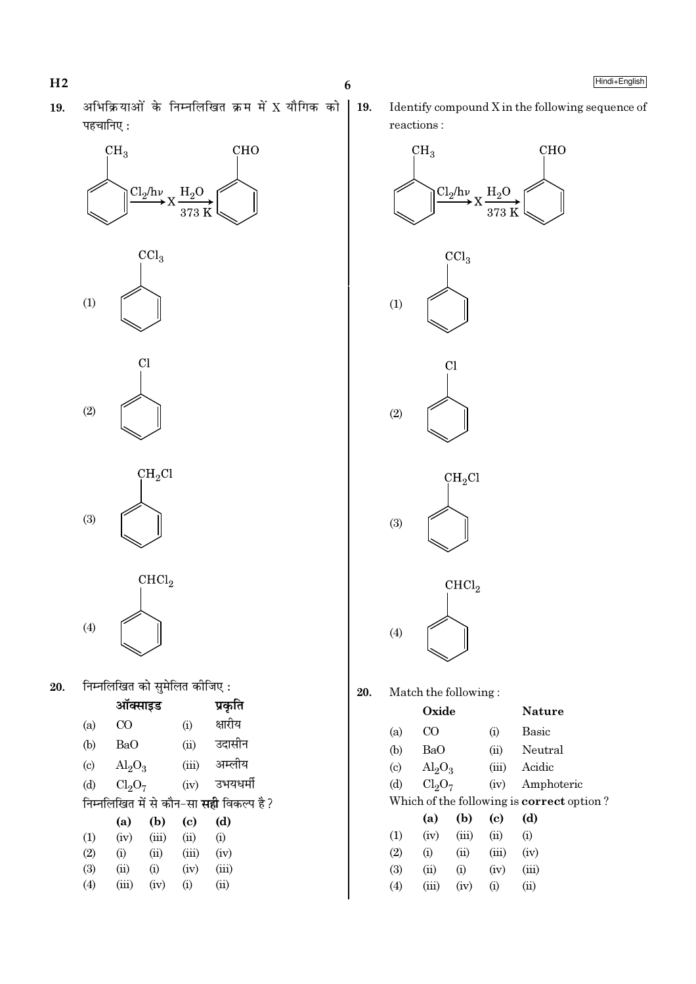- $H2$
- अभिक्रियाओं के निम्नलिखित क्रम में X यौगिक को 19. पहचानिए:





 $CH<sub>2</sub>Cl$  $(3)$ 

 $CHCl<sub>2</sub>$  $(4)$ 

निम्नलिखित को सुमेलित कीजिए : 20.

|                                                 | ऑक्साइड                        |       | प्रकृति |          |  |  |  |
|-------------------------------------------------|--------------------------------|-------|---------|----------|--|--|--|
| (a)                                             | $\overline{C}$                 |       | (i)     | क्षारीय  |  |  |  |
| (b)                                             | BaO                            |       | (ii)    | उदासीन   |  |  |  |
| $\left( \mathrm{c}\right)$                      | $\text{Al}_2\text{O}_3$        |       | (iii)   | अम्लीय   |  |  |  |
| (d)                                             | Cl <sub>2</sub> O <sub>7</sub> |       | (iv)    | उभयधर्मी |  |  |  |
| निम्नलिखित में से कौन-सा <b>सही</b> विकल्प है ? |                                |       |         |          |  |  |  |
|                                                 |                                |       |         |          |  |  |  |
|                                                 | (a)                            | (b)   | (c)     | (d)      |  |  |  |
| (1)                                             | (iv)                           | (iii) | (ii)    | (i)      |  |  |  |
| (2)                                             | (i)                            | (ii)  | (iii)   | (iv)     |  |  |  |
| (3)                                             | (ii)                           | (i)   | (iv)    | (iii)    |  |  |  |
| (4)                                             | (iii)                          | (iv)  | (i)     | (ii)     |  |  |  |

Identify compound X in the following sequence of reactions:



 $6\phantom{1}6$ 

19.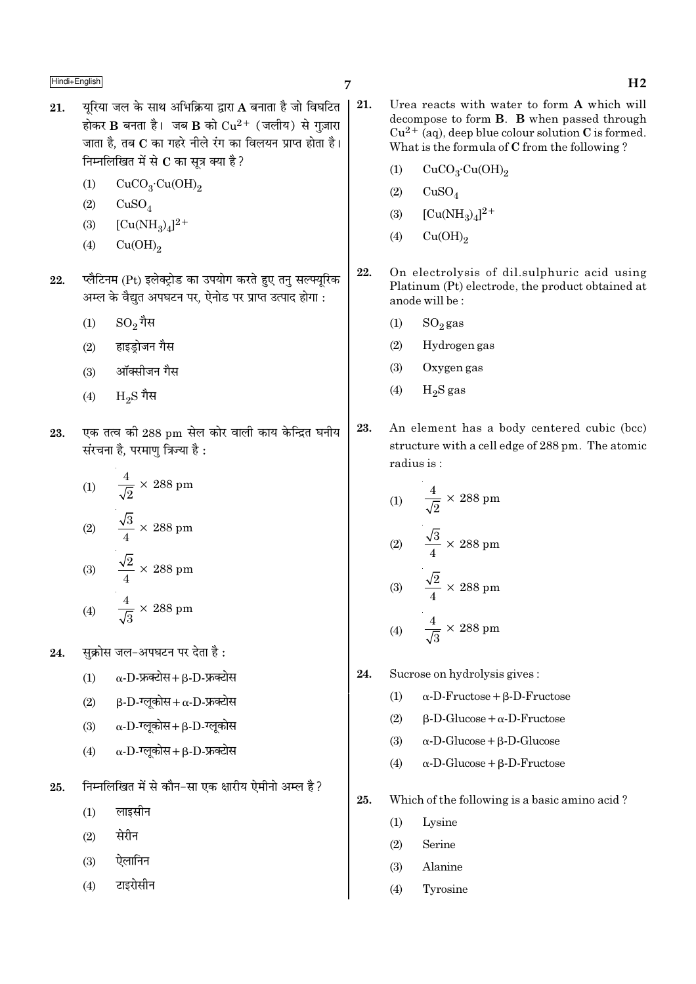- यरिया जल के साथ अभिक्रिया द्वारा A बनाता है जो विघटित | 21. 21. होकर B बनता है। जब B को  $Cu^{2+}$  (जलीय) से गज़ारा जाता है, तब C का गहरे नीले रंग का विलयन प्राप्त होता है। निम्नलिखित में से  $\bf C$  का सूत्र क्या है ?
	- $(1)$  $CuCO<sub>3</sub>·Cu(OH)<sub>2</sub>$
	- $(2)$  $CuSO<sub>4</sub>$
	- $[Cu(NH_3)_4]^2$ +  $(3)$
	- $(4)$  $Cu(OH)_{2}$
- प्लैटिनम (Pt) इलेक्टोड का उपयोग करते हुए तन सल्फ्युरिक 22 अम्ल के वैद्युत अपघटन पर, ऐनोड पर प्राप्त उत्पाद होगा :
	- $\mathrm{SO}_2$ गैस  $(1)$
	- हाइड़ोजन गैस  $(2)$
	- ऑक्सीजन गैस  $(3)$
	- $H_oS$  गैस  $(4)$
- एक तत्व की 288 pm सेल कोर वाली काय केन्द्रित घनीय 23. संरचना है, परमाणु त्रिज्या है :

(1) 
$$
\frac{4}{\sqrt{2}} \times 288 \text{ pm}
$$
  
\n(2) 
$$
\frac{\sqrt{3}}{4} \times 288 \text{ pm}
$$
  
\n(3) 
$$
\frac{\sqrt{2}}{4} \times 288 \text{ pm}
$$
  
\n(4) 
$$
\frac{4}{\sqrt{3}} \times 288 \text{ pm}
$$

सक्रोस जल-अपघटन पर देता है: 24.

- $\alpha$ -D-फ्रक्टोस+  $\beta$ -D-फ्रक्टोस  $(1)$
- $(2)$  $\beta$ -D-ग्लुकोस+  $\alpha$ -D-फ्रक्टोस
- $\alpha$ -D-ग्लूकोस+ $\beta$ -D-ग्लूकोस  $(3)$
- $\alpha$ -D-ग्लुकोस+ $\beta$ -D-फ्रक्टोस  $(4)$
- निम्नलिखित में से कौन-सा एक क्षारीय ऐमीनो अम्ल है ? 25.
	- लाइसीन  $(1)$
	- सेरीन  $(2)$
	- ऐलानिन  $(3)$
	- टाइरोसीन  $(4)$
- Urea reacts with water to form A which will decompose to form **B**. **B** when passed through  $Cu^{2+}$  (aq), deep blue colour solution C is formed. What is the formula of C from the following?
	- $(1)$  $CuCO<sub>3</sub>·Cu(OH)<sub>2</sub>$
	- $(2)$  $CuSO<sub>4</sub>$
	- $[Cu(NH_3)_4]^2$ <sup>+</sup>  $(3)$
	- $Cu(OH)<sub>2</sub>$  $(4)$
- 22. On electrolysis of dil.sulphuric acid using Platinum (Pt) electrode, the product obtained at anode will be:
	- $SO_2$ gas  $(1)$
	- $(2)$ Hydrogen gas
	- Oxygen gas  $(3)$
	- $H_2S$  gas  $(4)$
- 23. An element has a body centered cubic (bcc) structure with a cell edge of 288 pm. The atomic radius is:

(1) 
$$
\frac{4}{\sqrt{2}} \times 288 \text{ pm}
$$
  
\n(2) 
$$
\frac{\sqrt{3}}{4} \times 288 \text{ pm}
$$
  
\n(3) 
$$
\frac{\sqrt{2}}{4} \times 288 \text{ pm}
$$
  
\n(4) 
$$
\frac{4}{\sqrt{3}} \times 288 \text{ pm}
$$

- 24. Sucrose on hydrolysis gives:
	- $\alpha$ -D-Fructose + B-D-Fructose  $(1)$
	- $(2)$  $\beta$ -D-Glucose +  $\alpha$ -D-Fructose
	- $(3)$  $\alpha$ -D-Glucose +  $\beta$ -D-Glucose
	- $\alpha$ -D-Glucose +  $\beta$ -D-Fructose  $(4)$
- 25. Which of the following is a basic amino acid?
	- $(1)$ Lysine
	- Serine  $(2)$
	- Alanine  $(3)$
	- $(4)$ Tyrosine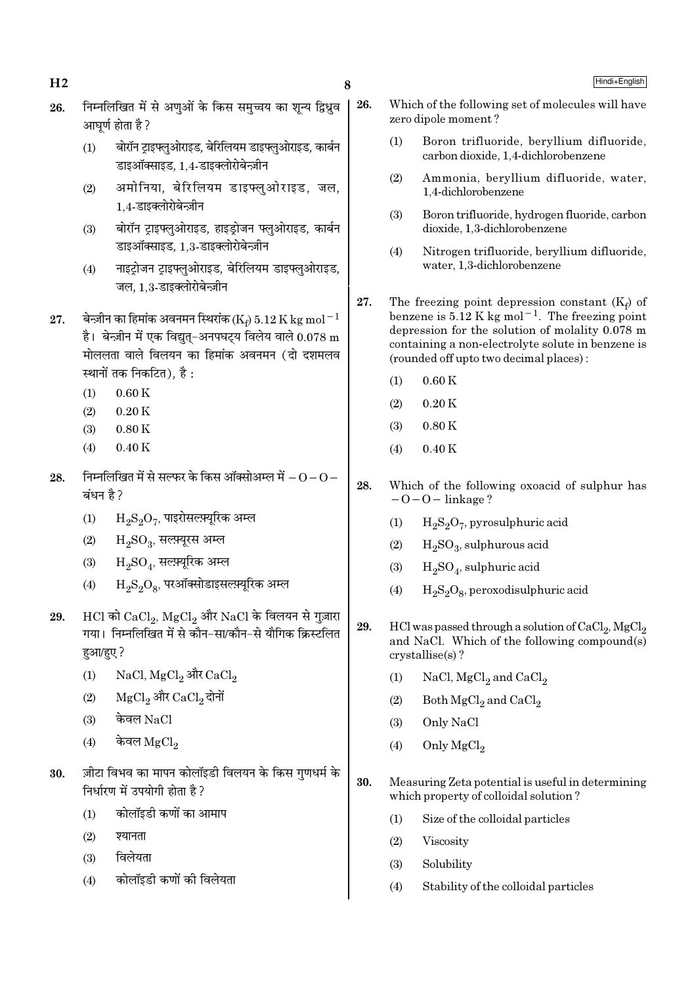- निम्नलिखित में से अणओं के किस समच्चय का शन्य द्विध्रव 26. आघर्ण होता है ?
	- बोरॉन ट्राइफ्लुओराइड, बेरिलियम डाइफ्लुओराइड, कार्बन  $(1)$ डाइऑक्साइड. 1.4-डाइक्लोरोबेन्ज़ीन
	- अमोनिया, बेरिलियम डाइफ्लुओराइड, जल,  $(2)$ 1.4-डाइक्लोरोबेन्ज़ीन
	- बोरॉन ट्राइफ्लुओराइड, हाइड़ोजन फ्लुओराइड, कार्बन  $(3)$ डाइऑक्साइड, 1.3-डाइक्लोरोबेन्ज़ीन
	- नाइट्रोजन ट्राइफ्लुओराइड, बेरिलियम डाइफ्लुओराइड,  $(4)$ जल, 1,3-डाइक्लोरोबेन्ज़ीन
- बेन्ज़ीन का हिमांक अवनमन स्थिरांक (Ke)  $5.12$  K kg mol $^{-1}$ 27. है। बेन्ज़ीन में एक विद्युत-अनपघट्य विलेय वाले  $0.078 \text{ m}$ मोललता वाले विलयन का हिमांक अवनमन (दो दशमलव स्थानों तक निकटित), है :
	- $0.60K$  $(1)$
	- $(2)$  $0.20K$
	- $(3)$  $0.80K$
	- $(4)$  $0.40K$
- निम्नलिखित में से सल्फर के किस ऑक्सोअम्ल में  $\rm O$   $\rm O$   $-$ 28. बंधन है ?
	- $\rm H_2S_2O_7$ , पाइरोसल्फ़्यूरिक अम्ल  $(1)$
	- $H_2SO_3$ , सल्फ़्यूरस अम्ल  $(2)$
	- $\rm H_2SO_4$ , सल्फ़्यूरिक अम्ल  $(3)$
	- $\rm H_2S_2O_8$ , परऑक्सोडाइसल्फ़्यूरिक अम्ल  $(4)$
- $HCl$  को  $CaCl_2$ ,  $MgCl_2$  और  $NaCl$  के विलयन से गुज़ारा 29. गया। निम्नलिखित में से कौन-सा/कौन-से यौगिक क्रिस्टलित हुआ/हुए ?
	- NaCl, MgCl<sub>2</sub> और CaCl<sub>2</sub>  $(1)$
	- MgCl<sub>2</sub> और CaCl<sub>2</sub> दोनों  $(2)$
	- केवल NaCl  $(3)$
	- केवल  $MeCl<sub>2</sub>$  $(4)$
- ज़ीटा विभव का मापन कोलॉइडी विलयन के किस गुणधर्म के 30. निर्धारण में उपयोगी होता है ?
	- कोलॉइडी कणों का आमाप  $(1)$
	- श्यानता  $(2)$
	- विलेयता  $(3)$
	- कोलॉइडी कणों की विलेयता  $(4)$
- 26. Which of the following set of molecules will have zero dipole moment?
	- Boron trifluoride, beryllium difluoride,  $(1)$ carbon dioxide, 1.4-dichlorobenzene
	- $(2)$ Ammonia, beryllium difluoride, water, 1,4-dichlorobenzene
	- $(3)$ Boron trifluoride, hydrogen fluoride, carbon dioxide, 1,3-dichlorobenzene
	- $(4)$ Nitrogen trifluoride, bervllium difluoride. water, 1.3-dichlorobenzene
- 27. The freezing point depression constant  $(K_e)$  of benzene is  $5.12$  K kg mol<sup>-1</sup>. The freezing point depression for the solution of molality  $0.078$  m containing a non-electrolyte solute in benzene is (rounded off up to two decimal places):
	- $(1)$  $0.60K$
	- $(2)$  $0.20K$
	- $(3)$  $0.80K$
	- $0.40K$  $(4)$
- 28. Which of the following oxoacid of sulphur has  $-0-0$  – linkage?
	- $H_2S_2O_7$ , pyrosulphuric acid  $(1)$
	- $H_2SO_3$ , sulphurous acid  $(2)$
	- $H_2SO_4$ , sulphuric acid  $(3)$
	- $H_2S_2O_8$ , peroxodisulphuric acid  $(4)$
- 29. HCl was passed through a solution of CaCl<sub>2</sub>, MgCl<sub>2</sub> and NaCl. Which of the following compound(s)  $crystalise(s)$ ?
	- NaCl,  $MgCl<sub>2</sub>$  and  $CaCl<sub>2</sub>$  $(1)$
	- $(2)$ Both MgCl<sub>2</sub> and CaCl<sub>2</sub>
	- Only NaCl  $(3)$
	- Only MgCl<sub>2</sub>  $(4)$
- 30. Measuring Zeta potential is useful in determining which property of colloidal solution?
	- $(1)$ Size of the colloidal particles
	- $(2)$ Viscosity
	- $(3)$ Solubility
	- Stability of the colloidal particles  $(4)$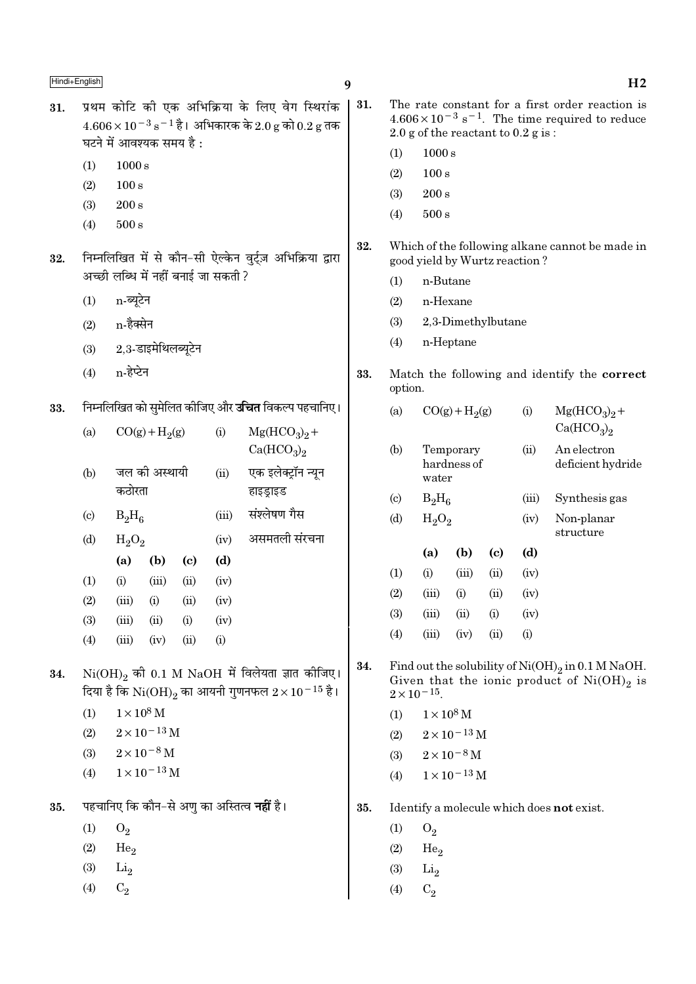- $\boldsymbol{q}$
- प्रथम कोटि की एक अभिक्रिया के लिए वेग स्थिरांक 31.  $4.606 \times 10^{-3}$  s<sup>-1</sup> है। अभिकारक के 2.0 g को 0.2 g तक घटने में आवश्यक समय है:
	- $1000 s$  $(1)$
	- $(2)$  $100 s$
	- $200 s$  $(3)$
	- $500 s$  $(4)$
- निम्नलिखित में से कौन-सी ऐल्केन वुर्ट्ज़ अभिक्रिया द्वारा 32. अच्छी लब्धि में नहीं बनाई जा सकती ?
	- $(1)$ n-ब्युटेन
	- $(2)$ n-हैक्सेन
	- 2,3-डाइमेथिलब्यूटेन  $(3)$
	- n-हेप्टेन  $(4)$

#### निम्नलिखित को सुमेलित कीजिए और **उचित** विकल्प पहचानिए। 33.

| (a)                       |          | $CO(g) + H2(g)$ |      | (i)   | $Mg(HCO3)2 +$<br>Ca(HCO <sub>3</sub> ) <sub>2</sub> |  |  |  |  |
|---------------------------|----------|-----------------|------|-------|-----------------------------------------------------|--|--|--|--|
| (b)                       | कठोरता   | जल की अस्थायी   |      | (ii)  | एक इलेक्ट्रॉन न्यून<br>हाइड्राइड                    |  |  |  |  |
| $\left( \text{c} \right)$ | $B_2H_6$ |                 |      | (iii) | संश्लेषण गैस                                        |  |  |  |  |
| (d)                       | $H_2O_2$ |                 |      | (iv)  | असमतली संरचना                                       |  |  |  |  |
|                           | (a)      | (b)             | (c)  | (d)   |                                                     |  |  |  |  |
| (1)                       | (i)      | (iii)           | (ii) | (iv)  |                                                     |  |  |  |  |
| (2)                       | (iii)    | (i)             | (ii) | (iv)  |                                                     |  |  |  |  |
| (3)                       | (iii)    | (ii)            | (i)  | (iv)  |                                                     |  |  |  |  |
| (4)                       | (iii)    | (iv)            | (ii) | (i)   |                                                     |  |  |  |  |
|                           |          |                 |      |       |                                                     |  |  |  |  |

 $Ni(OH)_{2}$  की 0.1 M NaOH में विलेयता ज्ञात कोजिए। 34. दिया है कि  $\rm Ni(OH)_2$  का आयनी गुणनफल  $2\times10^{-15}$  है।

- $(1)$  $1 \times 10^8$  M
- $2 \times 10^{-13}$  M  $(2)$
- $2 \times 10^{-8}$  M  $(3)$
- $1 \times 10^{-13}$  M  $(4)$

पहचानिए कि कौन–से अणु का अस्तित्व **नहीं** है। 35.

- $(1)$  $O_2$
- $(2)$ He<sub>2</sub>
- $(3)$  $\mathrm{Li}_2$
- $(4)$  $C<sub>2</sub>$
- $\vert$  31. The rate constant for a first order reaction is  $4.606 \times 10^{-3}$  s<sup>-1</sup>. The time required to reduce 2.0 g of the reactant to  $0.2$  g is:
	- $(1)$  $1000 s$
	- $(2)$  $100 s$
	- $(3)$  $200 s$
	- $500 s$  $(4)$
	- 32. Which of the following alkane cannot be made in good yield by Wurtz reaction?
		- n-Butane  $(1)$
		- $(2)$ n-Hexane
		- $(3)$ 2,3-Dimethylbutane
		- $(4)$ n-Heptane
	- 33. Match the following and identify the correct option.

| (a)                         |          | $CO(g) + H2(g)$          |      | $\rm(i)$ | $Mg(HCO3)2 +$<br>Ca(HCO <sub>3</sub> ) <sub>2</sub> |  |  |  |  |
|-----------------------------|----------|--------------------------|------|----------|-----------------------------------------------------|--|--|--|--|
| (b)                         | water    | Temporary<br>hardness of |      | (ii)     | An electron<br>deficient hydride                    |  |  |  |  |
| $\left( \mathrm{c} \right)$ | $B_2H_6$ |                          |      | (iii)    | Synthesis gas                                       |  |  |  |  |
| (d)                         | $H_2O_2$ |                          |      | (iv)     | Non-planar<br>structure                             |  |  |  |  |
|                             | (a)      | (b)                      | (c)  | (d)      |                                                     |  |  |  |  |
| (1)                         | (i)      | (iii)                    | (ii) | (iv)     |                                                     |  |  |  |  |

| (1)        | (i)   | (iii) | (i)            | (iv)               |
|------------|-------|-------|----------------|--------------------|
| (2)        | (iii) | (i)   | (ii)           | (iv)               |
| <b>(3)</b> | (iii) | (ii)  | (i)            | (iv)               |
| (4)        | (iii) | (iv)  | $\overline{u}$ | $\left( 1 \right)$ |

- 34. Find out the solubility of  $Ni(OH)_2$  in 0.1 M NaOH. Given that the ionic product of  $Ni(OH)_2$  is<br> $2 \times 10^{-15}$ .
	- $1 \times 10^8$  M  $(1)$
	- $(2)$  $2 \times 10^{-13}$  M
	- $2\times10^{-8}$  M  $(3)$
	- $1 \times 10^{-13}$  M  $(4)$
- 35. Identify a molecule which does not exist.
	- $(1)$  $O<sub>2</sub>$
	- $(2)$ He<sub>o</sub>
	- $(3)$ Li<sub>2</sub>
	- $(4)$  $C_2$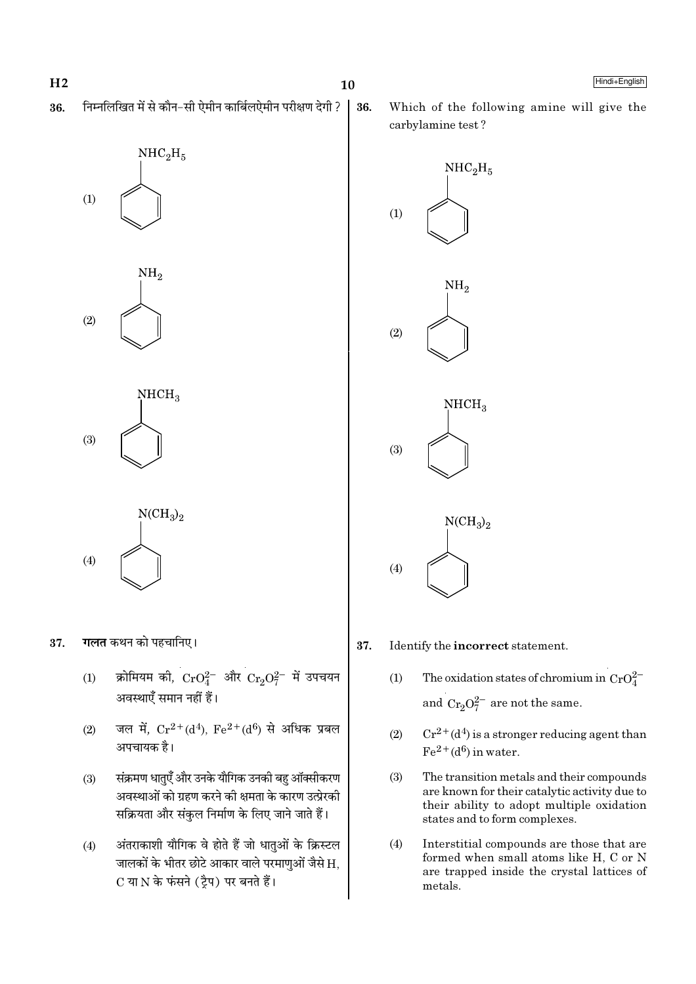निम्नलिखित में से कौन-सी ऐमीन कार्बिलऐमीन परीक्षण देगी ? 36.



 $(2)$ 



 $NCH<sub>3</sub>$ <sub>2</sub>  $(4)$ 

**गलत** कथन को पहचानिए। 37.

- क्रोमियम की,  $\text{CrO}_4^{2-}$  और  $\text{Cr}_2\text{O}_7^{2-}$  में उपचयन  $(1)$ अवस्थाएँ समान नहीं हैं।
- जल में,  $Cr^{2+}(d^4)$ ,  $Fe^{2+}(d^6)$  से अधिक प्रबल  $(2)$ अपचायक है।
- संक्रमण धातएँ और उनके यौगिक उनकी बह ऑक्सीकरण  $(3)$ अवस्थाओं को ग्रहण करने की क्षमता के कारण उत्प्रेरकी सक्रियता और संकुल निर्माण के लिए जाने जाते हैं।
- अंतराकाशी यौगिक वे होते हैं जो धातुओं के क्रिस्टल  $(4)$ जालकों के भीतर छोटे आकार वाले परमाणुओं जैसे H. C या N के फंसने (ट्रैप) पर बनते हैं।

36.

Which of the following amine will give the carbylamine test?



#### 37. Identify the incorrect statement.

- The oxidation states of chromium in  $CrO_4^{2-}$  $(1)$ and  $\mathrm{Cr_{2}O_{7}^{2-}}$  are not the same.
- $Cr^{2+}(d^4)$  is a stronger reducing agent than  $(2)$  $Fe<sup>2+</sup>(d<sup>6</sup>)$  in water.
- $(3)$ The transition metals and their compounds are known for their catalytic activity due to their ability to adopt multiple oxidation states and to form complexes.
- $(4)$ Interstitial compounds are those that are formed when small atoms like H, C or N are trapped inside the crystal lattices of metals.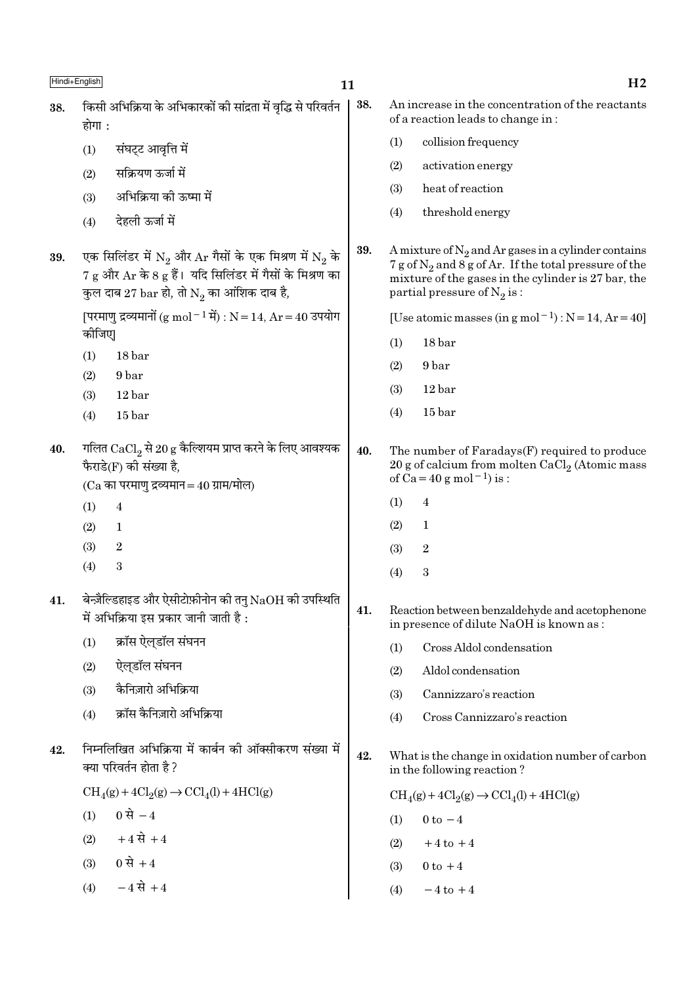| 38. | किसी अभिक्रिया के अभिकारकों की सांद्रता में वृद्धि से परिवर्तन<br>होगा :                                                                                                                                           | 38. | An increase in the concentration of the reactants<br>of a reaction leads to change in:                                                       |                                                                                                                                                                                                                |  |  |
|-----|--------------------------------------------------------------------------------------------------------------------------------------------------------------------------------------------------------------------|-----|----------------------------------------------------------------------------------------------------------------------------------------------|----------------------------------------------------------------------------------------------------------------------------------------------------------------------------------------------------------------|--|--|
|     | संघट्ट आवृत्ति में<br>(1)                                                                                                                                                                                          |     | (1)                                                                                                                                          | collision frequency                                                                                                                                                                                            |  |  |
|     | सक्रियण ऊर्जा में<br>(2)                                                                                                                                                                                           |     | (2)                                                                                                                                          | activation energy                                                                                                                                                                                              |  |  |
|     | अभिक्रिया की ऊष्मा में<br>(3)                                                                                                                                                                                      |     | (3)                                                                                                                                          | heat of reaction                                                                                                                                                                                               |  |  |
|     | देहली ऊर्जा में<br>(4)                                                                                                                                                                                             |     | (4)                                                                                                                                          | threshold energy                                                                                                                                                                                               |  |  |
| 39. | एक सिलिंडर में $\mathrm{N}_2$ और $\mathrm{Ar}$ गैसों के एक मिश्रण में $\mathrm{N}_2$ के<br>$7 g$ और $Ar$ के 8 $g$ हैं। यदि सिलिंडर में गैसों के मिश्रण का<br>कुल दाब 27 bar हो, तो $\mathrm{N}_2$ का आंशिक दाब है, | 39. |                                                                                                                                              | A mixture of $N_2$ and Ar gases in a cylinder contains<br>$7 g$ of $N_2$ and $8 g$ of Ar. If the total pressure of the<br>mixture of the gases in the cylinder is 27 bar, the<br>partial pressure of $N_2$ is: |  |  |
|     | [परमाणु द्रव्यमानों (g mol <sup>-1</sup> में) : N = 14, Ar = 40 उपयोग<br>कोजिए                                                                                                                                     |     | [Use atomic masses (in g mol <sup>-1</sup> ) : $N = 14$ , $Ar = 40$ ]                                                                        |                                                                                                                                                                                                                |  |  |
|     | 18 bar<br>(1)                                                                                                                                                                                                      |     | (1)                                                                                                                                          | 18 bar                                                                                                                                                                                                         |  |  |
|     | 9 bar<br>(2)                                                                                                                                                                                                       |     | (2)                                                                                                                                          | 9 bar                                                                                                                                                                                                          |  |  |
|     | 12 bar<br>(3)                                                                                                                                                                                                      |     | (3)                                                                                                                                          | 12 bar                                                                                                                                                                                                         |  |  |
|     | 15 bar<br>(4)                                                                                                                                                                                                      |     | (4)                                                                                                                                          | 15 bar                                                                                                                                                                                                         |  |  |
| 40. | गलित $\mathrm{CaCl}_2$ से 20 g कैल्शियम प्राप्त करने के लिए आवश्यक<br>फैराडे(F) की संख्या है,<br>$(Ca$ का परमाणु द्रव्यमान = 40 ग्राम/मोल)                                                                         |     | The number of Faradays(F) required to produce<br>20 g of calcium from molten $CaCl2$ (Atomic mass<br>of $Ca = 40 g$ mol <sup>-1</sup> ) is : |                                                                                                                                                                                                                |  |  |
|     | (1)<br>$\overline{4}$                                                                                                                                                                                              |     | (1)                                                                                                                                          | $\overline{4}$                                                                                                                                                                                                 |  |  |
|     | (2)<br>1                                                                                                                                                                                                           |     | (2)                                                                                                                                          | $\mathbf 1$                                                                                                                                                                                                    |  |  |
|     | (3)<br>$\sqrt{2}$                                                                                                                                                                                                  |     | (3)                                                                                                                                          | $\boldsymbol{2}$                                                                                                                                                                                               |  |  |
|     | $\sqrt{3}$<br>(4)                                                                                                                                                                                                  |     | (4)                                                                                                                                          | $\boldsymbol{3}$                                                                                                                                                                                               |  |  |
| 41. | बेन्ज़ैल्डिहाइड और ऐसीटोफ़ीनोन की तनु $\rm NaOH$ की उपस्थिति<br>में अभिक्रिया इस प्रकार जानी जाती है :                                                                                                             | 41. |                                                                                                                                              | Reaction between benzaldehyde and acetophenone<br>in presence of dilute NaOH is known as :                                                                                                                     |  |  |
|     | क्रॉस ऐलडॉल संघनन<br>(1)                                                                                                                                                                                           |     | (1)                                                                                                                                          | Cross Aldol condensation                                                                                                                                                                                       |  |  |
|     | ऐलुडॉल संघनन<br>(2)                                                                                                                                                                                                |     | (2)                                                                                                                                          | Aldol condensation                                                                                                                                                                                             |  |  |
|     | कैनिज़ारो अभिक्रिया<br>(3)                                                                                                                                                                                         |     | (3)                                                                                                                                          | Cannizzaro's reaction                                                                                                                                                                                          |  |  |
|     | क्रॉस कैनिज़ारो अभिक्रिया<br>(4)                                                                                                                                                                                   |     | (4)                                                                                                                                          | Cross Cannizzaro's reaction                                                                                                                                                                                    |  |  |
| 42. | निम्नलिखित अभिक्रिया में कार्बन की ऑक्सीकरण संख्या में<br>क्या परिवर्तन होता है ?                                                                                                                                  | 42. |                                                                                                                                              | What is the change in oxidation number of carbon<br>in the following reaction?                                                                                                                                 |  |  |
|     | $\text{CH}_4(g) + 4\text{Cl}_2(g) \rightarrow \text{CCl}_4(l) + 4\text{HCl}(g)$                                                                                                                                    |     |                                                                                                                                              | $\text{CH}_4(g) + 4\text{Cl}_2(g) \rightarrow \text{CCl}_4(l) + 4\text{HCl}(g)$                                                                                                                                |  |  |
|     | 0 से $-4$<br>(1)                                                                                                                                                                                                   |     | (1)                                                                                                                                          | $0$ to $-4$                                                                                                                                                                                                    |  |  |
|     | $+4 \vec{R} + 4$<br>(2)                                                                                                                                                                                            |     | (2)                                                                                                                                          | $+4$ to $+4$                                                                                                                                                                                                   |  |  |
|     | $0 \, \mathcal{H} + 4$<br>(3)                                                                                                                                                                                      |     | (3)                                                                                                                                          | $0$ to $+4$                                                                                                                                                                                                    |  |  |
|     | $-4 \vec{R} + 4$<br>(4)                                                                                                                                                                                            |     | (4)                                                                                                                                          | $-4$ to $+4$                                                                                                                                                                                                   |  |  |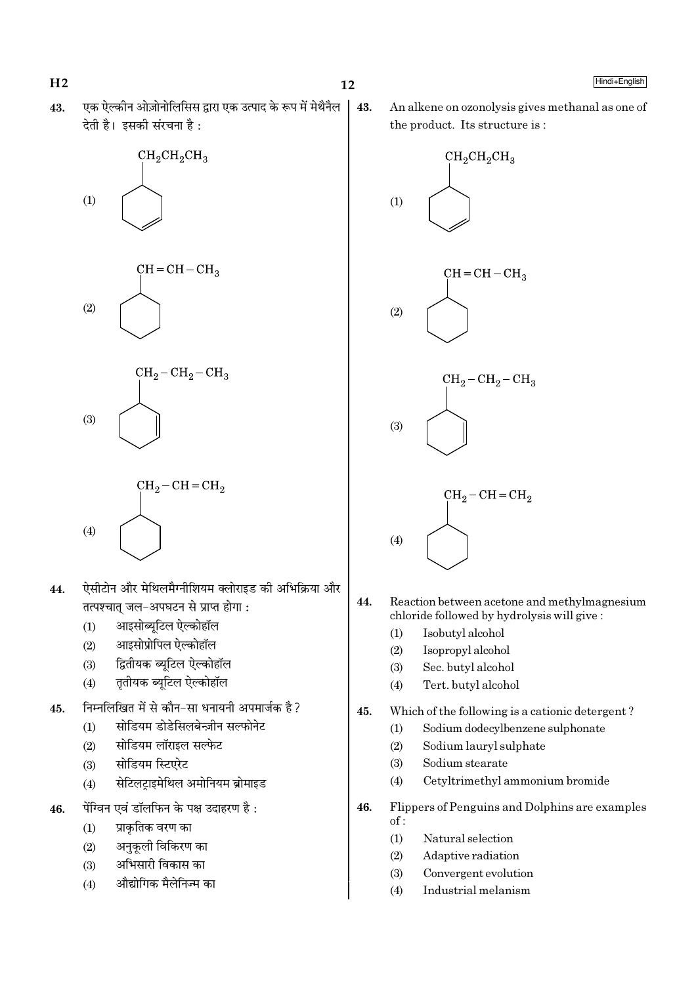$H<sub>2</sub>$ 

एक ऐल्कीन ओज़ोनोलिसिस द्वारा एक उत्पाद के रूप में मेथैनैल 43. देती है। इसकी संरचना है:









- ऐसीटोन और मेथिलमैग्नीशियम क्लोराइड की अभिक्रिया और 44. तत्पश्चात् जल-अपघटन से प्राप्त होगा:
	- आइसोब्यूटिल ऐल्कोहॉल  $(1)$
	- $(2)$ आइसोप्रोपिल ऐल्कोहॉल
	- द्वितीयक ब्यूटिल ऐल्कोहॉल  $(3)$
	- तृतीयक ब्यूटिल ऐल्कोहॉल  $(4)$
- निम्नलिखित में से कौन-सा धनायनी अपमार्जक है ? 45.
	- सोडियम डोडेसिलबेन्ज़ीन सल्फोनेट  $(1)$
	- $(2)$ सोडियम लॉराइल सल्फेट
	- सोडियम स्टिएरेट  $(3)$
	- सेटिलटाइमेथिल अमोनियम ब्रोमाइड  $(4)$
- पेंग्विन एवं डॉलफिन के पक्ष उदाहरण है: 46.
	- प्राकृतिक वरण का  $(1)$
	- अनुकूली विकिरण का  $(2)$
	- अभिसारी विकास का  $(3)$
	- औद्योगिक मैलेनिज्म का  $(4)$

43. An alkene on ozonolysis gives methanal as one of the product. Its structure is:



- 44. Reaction between acetone and methylmagnesium chloride followed by hydrolysis will give:
	- $(1)$ Isobutyl alcohol
	- $(2)$ Isopropyl alcohol
	- $(3)$ Sec. butyl alcohol
	- Tert. butyl alcohol  $(4)$
- $45.$ Which of the following is a cationic detergent?
	- Sodium dodecylbenzene sulphonate  $(1)$
	- $(2)$ Sodium lauryl sulphate
	- $(3)$ Sodium stearate
	- Cetyltrimethyl ammonium bromide  $(4)$
- 46. Flippers of Penguins and Dolphins are examples  $of:$ 
	- Natural selection  $(1)$
	- $(2)$ Adaptive radiation
	- $(3)$ Convergent evolution
	- Industrial melanism  $(4)$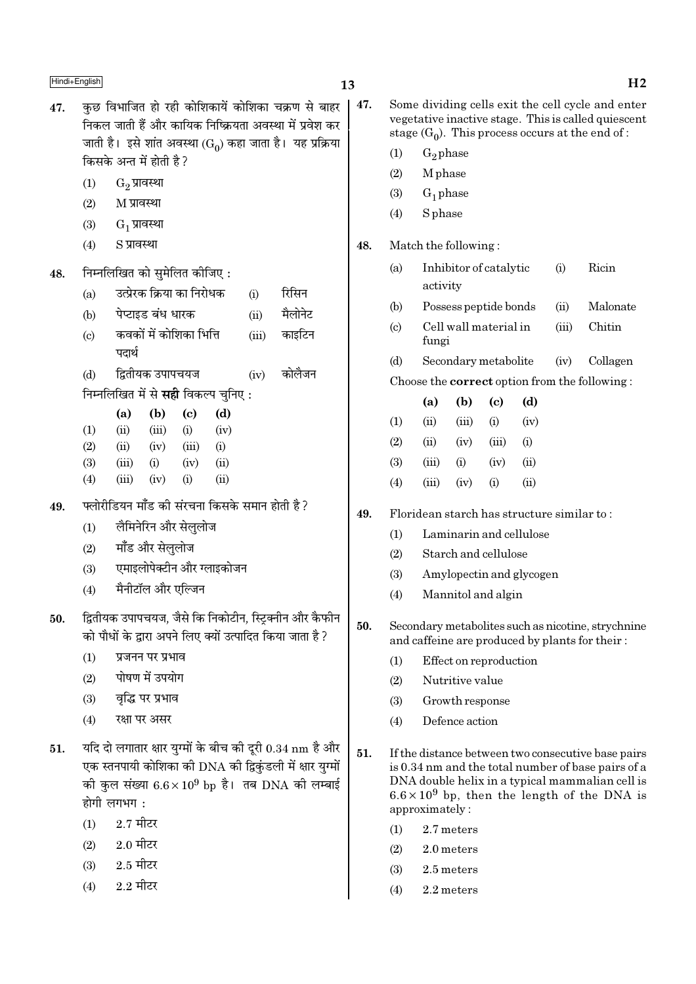- $47.$   $\,$  कछ विभाजित हो रही कोशिकायें कोशिका चक्रण से बाहर िनकल जाती हैं और कायिक निष्क्रियता अवस्था में प्रवेश कर जाती है। इसे शांत अवस्था ( $\mathrm{G}_0$ ) कहा जाता है। यह प्रक्रिया किसके अन्त में होती है ?  $(1)$   $G<sub>2</sub>$  प्रावस्था  $(2)$  M प्रावस्था  $(3)$   $G_1$  प्रावस्था  $(4)$   $S \overline{S}$  प्रावस्था  $48.$  निम्नलिखित को सुमेलित कीजिए: (a) ठित्प्रेरक क्रिया का निरोधक (i) रिसिन (b) पेप्टाइड बंध धारक (ii) मैलोनेट (c) ∑ कवकों में कोशिका भित्ति (iii) काइटिन पदार्थ (d) ÁmÃËÿ∑§ ©¬Ê¬øÿ¡ (iv) ∑§Ê‹Ò¡Ÿ िनम्नलिखित में से **सही** विकल्प चनिए : (a) (b) (c) (d)  $(1)$   $(ii)$   $(iii)$   $(i)$   $(iv)$  $(2)$   $(ii)$   $(iv)$   $(iii)$   $(i)$ (3) (iii) (i) (iv) (ii)  $(4)$   $(iii)$   $(iv)$   $(i)$   $(ii)$  $49.$  फ्लोरीडियन मॉॅंड की संरचना किसके समान होती है ? (1) लैमिनेरिन और सेललोज  $(2)$  माँड और सेललोज (3) एमाइलोपेक्टीन और ग्लाइकोजन  $(4)$  मैनीटॉल और एल्जिन 50. द्वितीयक उपापचयज, जैसे कि निकोटीन, स्ट्रिक्नीन और कैफीन को पौधों के द्वारा अपने लिए क्यों उत्पादित किया जाता है ?  $(1)$  प्रजनन पर प्रभाव  $(2)$  पोषण में उपयोग  $(3)$  वद्भि पर प्रभाव  $(4)$  रक्षा पर असर  $51.$  यदि दो लगातार क्षार युग्मों के बीच की दूरी  $0.34 \text{ nm}$  है और एक स्तनपायी कोशिका की DNA की द्विकंडली में क्षार युग्मों की कुल संख्या  $6.6 \times 10^9$  bp है। तब DNA की लम्बाई  $\overline{\mathbf{E}}$ होगी लगभग:  $(1)$  2.7 मीटर
	- $(2)$  2.0 मीटर
	- $(3)$  2.5 मीटर
	- $(4) 2.2 \text{ H}$ दर
- $\overline{\text{Hindi+English}}$  and  $\overline{\text{H2}}$ 47. Some dividing cells exit the cell cycle and enter vegetative inactive stage. This is called quiescent
	- $(1)$  G<sub>2</sub> phase
	- (2) M phase
	- $(3)$  G<sub>1</sub> phase
	- (4) S phase

## 48. Match the following :

(a) Inhibitor of catalytic (i) Ricin activity

stage  $(G_0)$ . This process occurs at the end of :

- (b) Possess peptide bonds (ii) Malonate
- (c) Cell wall material in (iii) Chitin fungi
- (d) Secondary metabolite (iv) Collagen

Choose the correct option from the following :

|     | (a)   | (b)   | (c)                    | (d)  |
|-----|-------|-------|------------------------|------|
| (1) | (ii)  | (iii) | $\rm \scriptstyle (i)$ | (iv) |
| (2) | (ii)  | (iv)  | (iii)                  | (i)  |
| (3) | (iii) | (i)   | (iv)                   | (ii) |
| (4) | (iii) | (iv)  | $\rm \scriptstyle (i)$ | (ii) |
|     |       |       |                        |      |

- 49. Floridean starch has structure similar to :
	- (1) Laminarin and cellulose
	- (2) Starch and cellulose
	- (3) Amylopectin and glycogen
	- (4) Mannitol and algin
- 50. Secondary metabolites such as nicotine, strychnine and caffeine are produced by plants for their :
	- (1) Effect on reproduction
	- (2) Nutritive value
	- (3) Growth response
	- (4) Defence action
- 51. If the distance between two consecutive base pairs is 0.34 nm and the total number of base pairs of a DNA double helix in a typical mammalian cell is  $6.6 \times 10^9$  bp, then the length of the DNA is approximately :
	- (1) 2.7 meters
	- $(2)$  2.0 meters
	- (3) 2.5 meters
	- (4) 2.2 meters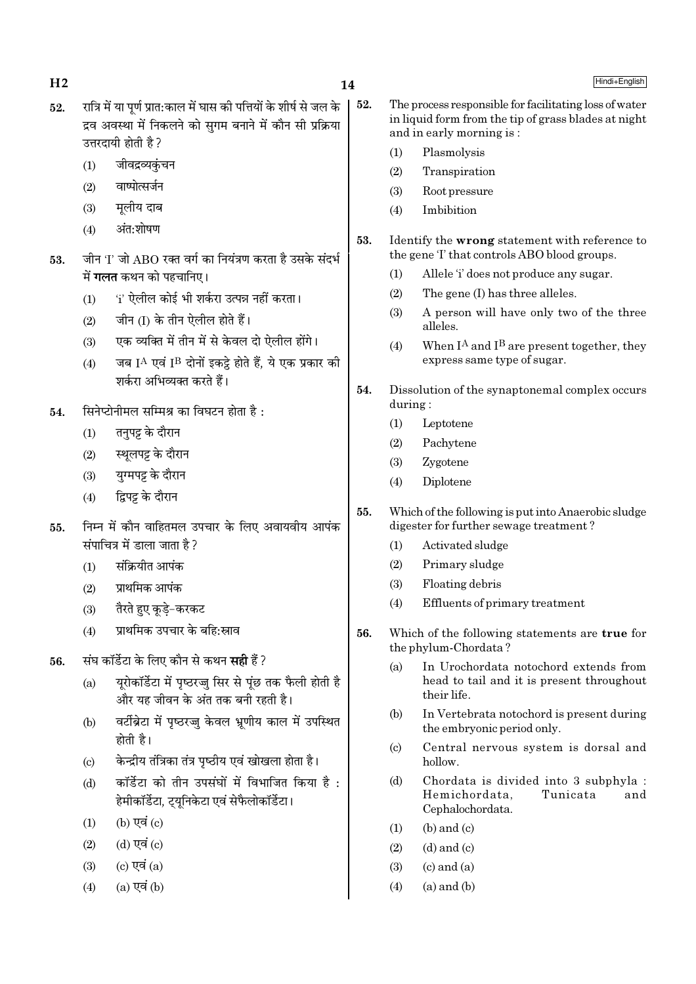$H<sub>2</sub>$ 

- रात्रि में या पर्ण प्रात:काल में घास की पत्तियों के शीर्ष से जल के  $52.$ द्रव अवस्था में निकलने को सगम बनाने में कौन सी प्रक्रिया उत्तरदायी होती है ?
	- जीवद्रव्यकंचन  $(1)$
	- वाष्पोत्सर्जन  $(2)$
	- मूलीय दाब  $(3)$
	- अंत:शोषण  $(4)$
- जीन 'I' जो ABO रक्त वर्ग का नियंत्रण करता है उसके संदर्भ 53. में **गलत** कथन को पहचानिए।
	- 'i' ऐलील कोई भी शर्करा उत्पन्न नहीं करता।  $(1)$
	- जीन (I) के तीन ऐलील होते हैं।  $(2)$
	- एक व्यक्ति में तीन में से केवल दो ऐलील होंगे।  $(3)$
	- जब  $I^A$  एवं  $I^B$  दोनों इकट्ठे होते हैं, ये एक प्रकार की  $(4)$ शर्करा अभिव्यक्त करते हैं।
- सिनेप्टोनीमल सम्मिश्र का विघटन होता है: 54.
	- तनपट्ट के दौरान  $(1)$
	- स्थूलपट्ट के दौरान  $(2)$
	- युग्मपट्ट के दौरान  $(3)$
	- द्विपट्ट के दौरान  $(4)$
- निम्न में कौन वाहितमल उपचार के लिए अवायवीय आपंक 55. संपाचित्र में डाला जाता है ?
	- संक्रियीत आपंक  $(1)$
	- पाथमिक आपंक  $(2)$
	- तैरते हुए कुडे-करकट  $(3)$
	- प्राथमिक उपचार के बहि:स्राव  $(4)$
- संघ कॉर्डेटा के लिए कौन से कथन **सही** हैं ? 56
	- यरोकॉर्डेटा में पृष्ठरज्जू सिर से पूंछ तक फैली होती है  $(a)$ और यह जीवन के अंत तक बनी रहती है।
	- वर्टीब्रेटा में पृष्ठरज्जु केवल भ्रूणीय काल में उपस्थित  $(b)$ होती है।
	- केन्द्रीय तंत्रिका तंत्र पष्ठीय एवं खोखला होता है।  $\left( \text{c} \right)$
	- कॉर्डेटा को तीन उपसंघों में विभाजित किया है :  $(d)$ हेमीकॉर्डेटा, ट्यूनिकेटा एवं सेफैलोकॉर्डेटा।
	- $(b)$  एवं  $(c)$  $(1)$
	- $(d)$  एवं  $(c)$  $(2)$
	- $(c)$  एवं  $(a)$  $(3)$
	- $(a)$  एवं  $(b)$  $(4)$
- 52. The process responsible for facilitating loss of water in liquid form from the tip of grass blades at night and in early morning is:
	- Plasmolysis  $(1)$
	- $(2)$ Transpiration
	- $(3)$ Root pressure
	- $(4)$ Imbibition
- 53. Identify the wrong statement with reference to the gene T that controls ABO blood groups.
	- $(1)$ Allele 'i' does not produce any sugar.
	- $(2)$ The gene (I) has three alleles.
	- $(3)$ A person will have only two of the three alleles.
	- When  $I^A$  and  $I^B$  are present together, they  $(4)$ express same type of sugar.
- 54. Dissolution of the synaptonemal complex occurs during:
	- Leptotene  $(1)$
	- $(2)$ Pachytene
	- Zygotene  $(3)$
	- $(4)$ Diplotene
- 55. Which of the following is put into Anaerobic sludge digester for further sewage treatment?
	- Activated sludge  $(1)$
	- $(2)$ Primary sludge
	- $(3)$ Floating debris
	- Effluents of primary treatment  $(4)$
- 56. Which of the following statements are true for the phylum-Chordata?
	- In Urochordata notochord extends from  $(a)$ head to tail and it is present throughout their life.
	- In Vertebrata notochord is present during (b) the embryonic period only.
	- Central nervous system is dorsal and  $(c)$ hollow.
	- Chordata is divided into 3 subphyla :  $(d)$ Hemichordata, Tunicata and Cephalochordata.
	- $(b)$  and  $(c)$  $(1)$
	- $(2)$  $(d)$  and  $(c)$
	- $(3)$  $(c)$  and  $(a)$
	- $(a)$  and  $(b)$  $(4)$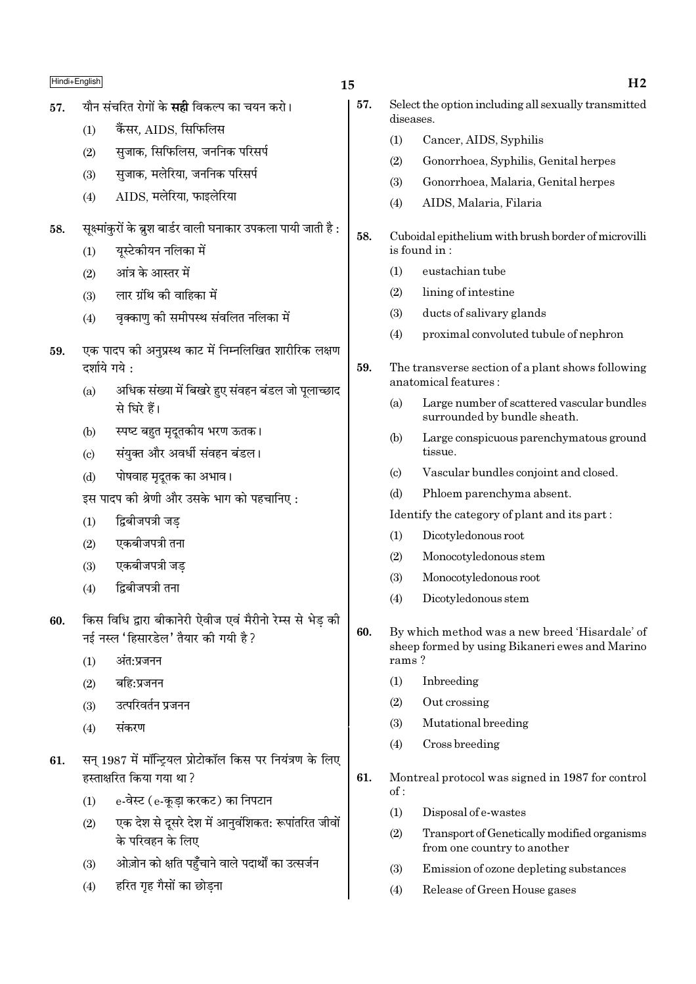| Hindi+English |               |                                                                   |
|---------------|---------------|-------------------------------------------------------------------|
| 57.           |               | यौन संचरित रोगों के <b>सही</b> विकल्प का चयन करो।                 |
|               | (1)           | कैंसर, AIDS, सिफिलिस                                              |
|               | (2)           | सुजाक, सिफिलिस, जननिक परिसर्प                                     |
|               | (3)           | सुजाक, मलेरिया, जननिक परिसर्प                                     |
|               | (4)           | AIDS, मलेरिया, फाइलेरिया                                          |
| 58.           |               | सूक्ष्मांकुरों के ब्रुश बार्डर वाली घनाकार उपकला पायी जाती है :   |
|               | (1)           | यूस्टेकीयन नलिका में                                              |
|               | (2)           | आंत्र के आस्तर में                                                |
|               | (3)           | लार ग्रंथि की वाहिका में                                          |
|               | (4)           | वृक्काणु की समीपस्थ संवलित नलिका में                              |
| 59.           |               | एक पादप की अनुप्रस्थ काट में निम्नलिखित शारीरिक लक्षण             |
|               | दर्शाये गये : |                                                                   |
|               | (a)           | अधिक संख्या में बिखरे हुए संवहन बंडल जो पूलाच्छाद<br>से घिरे हैं। |
|               | (b)           | स्पष्ट बहुत मृदूतकीय भरण ऊतक।                                     |
|               | (c)           | संयुक्त और अवर्धी संवहन बंडल।                                     |
|               | (d)           | पोषवाह मृदूतक का अभाव।                                            |
|               |               | इस पादप की श्रेणी और उसके भाग को पहचानिए :                        |

- द्विबीजपत्री जड  $(1)$
- एकबीजपत्री तना  $(2)$
- एकबीजपत्री जड  $(3)$
- द्विबीजपत्री तना  $(4)$
- किस विधि द्वारा बीकानेरी ऐवीज एवं मैरीनो रेम्स से भेड़ की 60. नई नस्ल 'हिसारडेल' तैयार की गयी है ?
	- $(1)$ अंत∙प्रजनन
	- बहि:प्रजनन  $(2)$
	- उत्परिवर्तन प्रजनन  $(3)$
	- संकरण  $(4)$
- सन् 1987 में मॉन्ट्रियल प्रोटोकॉल किस पर नियंत्रण के लिए 61. हस्ताक्षरित किया गया था?
	- e-वेस्ट (e-कडा करकट) का निपटान  $(1)$
	- एक देश से दूसरे देश में आनुवंशिकत: रूपांतरित जीवों  $(2)$ के परिवहन के लिए
	- ओज़ोन को क्षति पहुँचाने वाले पदार्थों का उत्सर्जन  $(3)$
	- हरित गृह गैसों का छोड़ना  $(4)$

15

- 57. Select the option including all sexually transmitted diseases.
	- $(1)$ Cancer, AIDS, Syphilis
	- $(2)$ Gonorrhoea, Syphilis, Genital herpes
	- $(3)$ Gonorrhoea, Malaria, Genital herpes
	- $(4)$ AIDS, Malaria, Filaria
- Cuboidal epithelium with brush border of microvilli is found in:
	- $(1)$ eustachian tube
	- $(2)$ lining of intestine
	- $(3)$ ducts of salivary glands
	- proximal convoluted tubule of nephron  $(4)$
- 59. The transverse section of a plant shows following anatomical features:
	- $(a)$ Large number of scattered vascular bundles surrounded by bundle sheath.
	- $(b)$ Large conspicuous parenchymatous ground tissue.
	- $\left( \mathrm{c}\right)$ Vascular bundles conjoint and closed.
	- Phloem parenchyma absent.  $(d)$
	- Identify the category of plant and its part:
	- Dicotyledonous root  $(1)$
	- $(2)$ Monocotyledonous stem
	- $(3)$ Monocotyledonous root
	- Dicotyledonous stem  $(4)$
- By which method was a new breed 'Hisardale' of 60. sheep formed by using Bikaneri ewes and Marino rams?
	- $(1)$ Inbreeding
	- $(2)$ Out crossing
	- Mutational breeding  $(3)$
	- $(4)$ Cross breeding
- 61. Montreal protocol was signed in 1987 for control  $of:$ 
	- $(1)$ Disposal of e-wastes
	- $(2)$ Transport of Genetically modified organisms from one country to another
	- Emission of ozone depleting substances  $(3)$
	- $(4)$ Release of Green House gases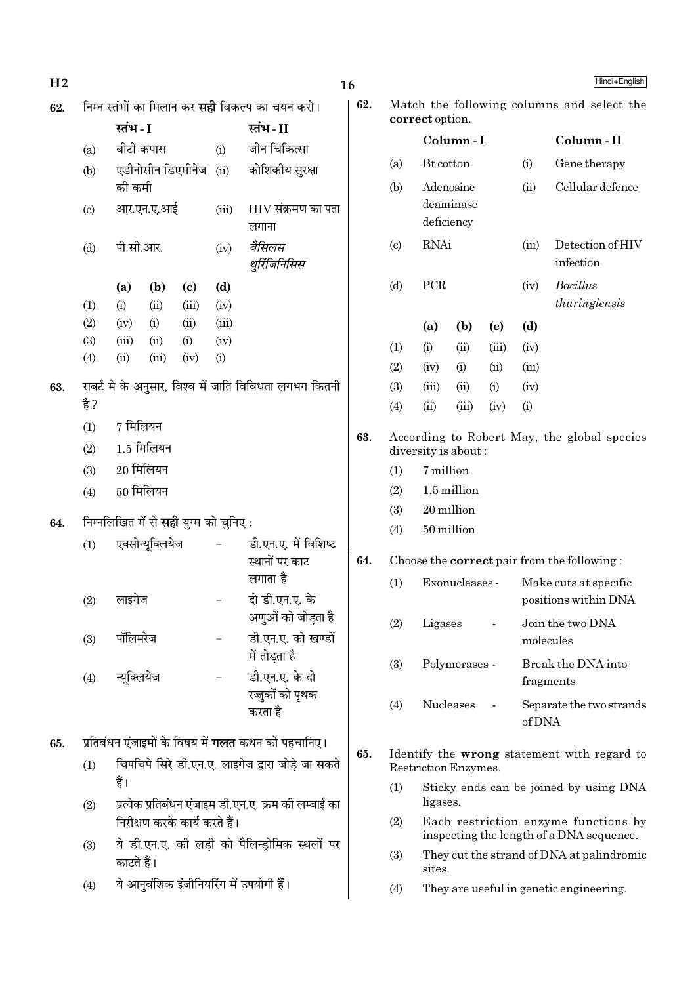| H <sub>2</sub> |                                                         |                             |                  |                                              |                                   |                                                           |     | Hindi+English<br>16        |                                                    |                      |                            |        |                                                                                  |  |
|----------------|---------------------------------------------------------|-----------------------------|------------------|----------------------------------------------|-----------------------------------|-----------------------------------------------------------|-----|----------------------------|----------------------------------------------------|----------------------|----------------------------|--------|----------------------------------------------------------------------------------|--|
| 62.            | निम्न स्तंभों का मिलान कर <b>सही</b> विकल्प का चयन करो। |                             |                  |                                              |                                   |                                                           | 62. |                            |                                                    |                      |                            |        | Match the following columns and select the                                       |  |
|                |                                                         | स्तंभ - I                   |                  |                                              |                                   | स्तंभ-II                                                  |     |                            | correct option.                                    |                      |                            |        |                                                                                  |  |
|                | (a)                                                     | बीटी कपास                   |                  |                                              | (i)                               | जीन चिकित्सा                                              |     |                            |                                                    | Column-I             |                            |        | Column-II                                                                        |  |
|                | (b)                                                     |                             |                  | एडीनोसीन डिएमीनेज                            | (ii)                              | कोशिकीय सुरक्षा                                           |     | (a)                        | Bt cotton                                          |                      |                            | (i)    | Gene therapy                                                                     |  |
|                |                                                         | की कमी                      |                  |                                              |                                   |                                                           |     | (b)                        |                                                    | Adenosine            |                            | (ii)   | Cellular defence                                                                 |  |
|                | (c)                                                     | आर.एन.ए.आई                  |                  | (iii)                                        | $\rm HIV$ संक्रमण का पता<br>लगाना |                                                           |     |                            | deaminase<br>deficiency                            |                      |                            |        |                                                                                  |  |
|                | (d)                                                     | पी.सी.आर.                   |                  |                                              | (iv)                              | बैसिलस<br>थुरिंजिनिसिस                                    |     | $\left( \mathrm{c}\right)$ | <b>RNAi</b>                                        |                      |                            | (iii)  | Detection of HIV<br>infection                                                    |  |
|                |                                                         | (a)                         | (b)              | $\left( \mathrm{c}\right)$                   | (d)                               |                                                           |     | (d)                        | PCR                                                |                      |                            | (iv)   | Bacillus                                                                         |  |
|                | (1)                                                     | (i)                         | (ii)             | (iii)                                        | (iv)                              |                                                           |     |                            |                                                    |                      |                            |        | thuringiensis                                                                    |  |
|                | (2)                                                     | (iv)                        | (i)              | (ii)                                         | (iii)                             |                                                           |     |                            | (a)                                                | (b)                  | $\left( \mathrm{c}\right)$ | (d)    |                                                                                  |  |
|                | (3)                                                     | (iii)                       | (ii)             | (i)                                          | (iv)                              |                                                           |     | (1)                        | (i)                                                | (ii)                 | (iii)                      | (iv)   |                                                                                  |  |
|                | (4)                                                     | (ii)                        | (iii)            | (iv)                                         | (i)                               |                                                           |     | (2)                        | (iv)                                               | (i)                  | (ii)                       | (iii)  |                                                                                  |  |
| 63.            |                                                         |                             |                  |                                              |                                   | राबर्ट मे के अनुसार, विश्व में जाति विविधता लगभग कितनी    |     | (3)                        | (iii)                                              | (ii)                 | (i)                        | (iv)   |                                                                                  |  |
|                | है ?                                                    |                             |                  |                                              |                                   |                                                           |     | (4)                        | (ii)                                               | (iii)                | (iv)                       | (i)    |                                                                                  |  |
|                | (1)                                                     | 7 मिलियन                    |                  |                                              |                                   |                                                           | 63. |                            |                                                    |                      |                            |        | According to Robert May, the global species                                      |  |
|                | (2)                                                     | $1.5$ मिलियन<br>$20$ मिलियन |                  |                                              |                                   |                                                           |     |                            |                                                    | diversity is about:  |                            |        |                                                                                  |  |
|                | (3)                                                     |                             |                  |                                              |                                   |                                                           |     | (1)                        | 7 million                                          |                      |                            |        |                                                                                  |  |
|                | (4)                                                     |                             | $50$ मिलियन      |                                              |                                   |                                                           |     | (2)                        | 1.5 million                                        |                      |                            |        |                                                                                  |  |
|                |                                                         |                             |                  |                                              |                                   |                                                           |     | (3)                        |                                                    | 20 million           |                            |        |                                                                                  |  |
| 64.            |                                                         |                             |                  | निम्नलिखित में से <b>सही</b> युग्म को चुनिए: |                                   |                                                           |     | (4)                        |                                                    | 50 million           |                            |        |                                                                                  |  |
|                | (1)                                                     |                             | एक्सोन्यूक्लियेज |                                              | $\overline{\phantom{0}}$          | डी.एन.ए. में विशिष्ट<br>स्थानों पर काट                    | 64. |                            |                                                    |                      |                            |        | Choose the <b>correct</b> pair from the following:                               |  |
|                |                                                         |                             |                  |                                              |                                   | लगाता है                                                  |     | (1)                        |                                                    | Exonucleases -       |                            |        | Make cuts at specific                                                            |  |
|                | (2)                                                     | लाइगेज                      |                  |                                              |                                   | दो डी.एन.ए. के                                            |     |                            |                                                    |                      |                            |        | positions within DNA                                                             |  |
|                |                                                         |                             |                  |                                              |                                   | अणुओं को जोड़ता है                                        |     | (2)                        | Ligases                                            |                      |                            |        | Join the two DNA                                                                 |  |
|                | (3)                                                     | पॉलिमरेज                    |                  |                                              |                                   | डी.एन.ए. को खण्डों                                        |     |                            |                                                    |                      |                            |        | molecules                                                                        |  |
|                |                                                         |                             |                  |                                              |                                   | में तोड़ता है                                             |     | (3)                        |                                                    | Polymerases -        |                            |        | Break the DNA into                                                               |  |
|                | (4)                                                     | न्यूक्लियेज                 |                  |                                              |                                   | डी.एन.ए. के दो<br>रज्जुकों को पृथक                        |     |                            |                                                    |                      |                            |        | fragments                                                                        |  |
|                |                                                         |                             |                  |                                              |                                   | करता है                                                   |     | (4)                        |                                                    | Nucleases            |                            | of DNA | Separate the two strands                                                         |  |
| 65.            |                                                         |                             |                  |                                              |                                   | प्रतिबंधन एंजाइमों के विषय में <b>गलत</b> कथन को पहचानिए। | 65. |                            |                                                    |                      |                            |        | Identify the wrong statement with regard to                                      |  |
|                | (1)                                                     |                             |                  |                                              |                                   | चिपचिपे सिरे डी.एन.ए. लाइगेज द्वारा जोड़े जा सकते         |     |                            |                                                    | Restriction Enzymes. |                            |        |                                                                                  |  |
|                | (2)                                                     | हैं।                        |                  |                                              |                                   | प्रत्येक प्रतिबंधन एंजाइम डी.एन.ए. क्रम की लम्बाई का      |     | (1)                        | Sticky ends can be joined by using DNA<br>ligases. |                      |                            |        |                                                                                  |  |
|                |                                                         |                             |                  | निरीक्षण करके कार्य करते हैं।                |                                   |                                                           |     | (2)                        |                                                    |                      |                            |        | Each restriction enzyme functions by<br>inspecting the length of a DNA sequence. |  |
|                | (3)                                                     | काटते हैं।                  |                  |                                              |                                   | ये डी.एन.ए. की लड़ी को पैलिन्ड्रोमिक स्थलों पर            |     | (3)                        | sites.                                             |                      |                            |        | They cut the strand of DNA at palindromic                                        |  |
|                | (4)                                                     |                             |                  |                                              |                                   | ये आनुवंशिक इंजीनियरिंग में उपयोगी हैं।                   |     | (4)                        |                                                    |                      |                            |        | They are useful in genetic engineering.                                          |  |
|                |                                                         |                             |                  |                                              |                                   |                                                           |     |                            |                                                    |                      |                            |        |                                                                                  |  |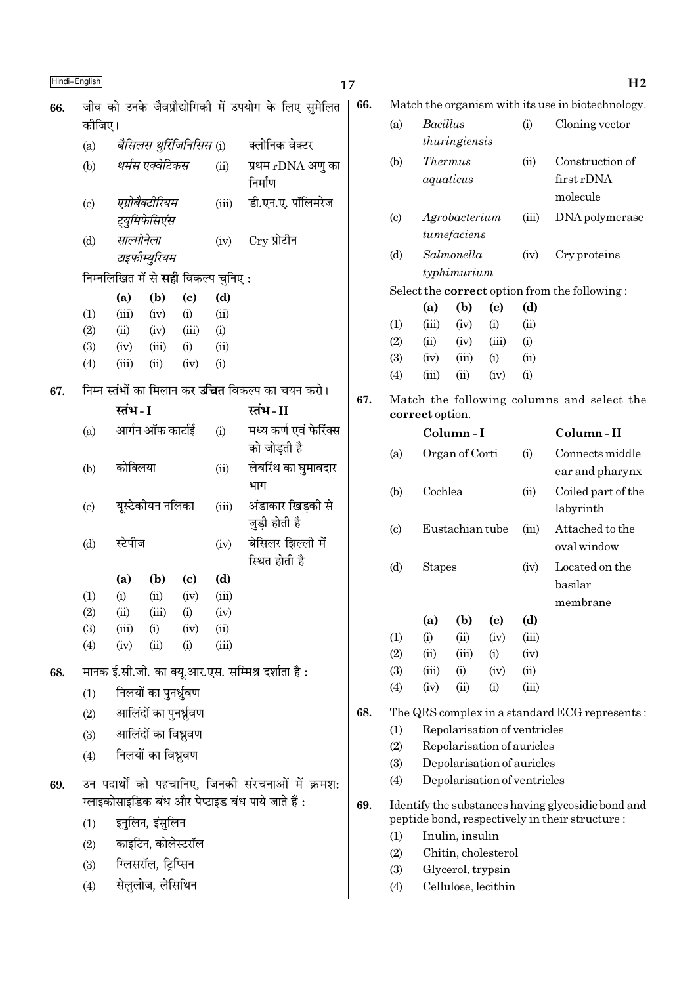| Hindi+English |                            |            |                                  |                            |                                            |                                                                      | 17  |                            |                 |                           |                            |                              | H <sub>2</sub>                                     |
|---------------|----------------------------|------------|----------------------------------|----------------------------|--------------------------------------------|----------------------------------------------------------------------|-----|----------------------------|-----------------|---------------------------|----------------------------|------------------------------|----------------------------------------------------|
| 66.           |                            |            |                                  |                            |                                            | जीव को उनके जैवप्रौद्योगिकी में उपयोग के लिए सुमेलित                 | 66. |                            |                 |                           |                            |                              | Match the organism with its use in biotechnology.  |
|               | कोजिए।                     |            |                                  |                            |                                            |                                                                      |     | (a)                        | Bacillus        |                           |                            | (i)                          | Cloning vector                                     |
|               | (a)                        |            |                                  | बैसिलस थुर्रिजिनिसिस (i)   |                                            | क्लोनिक वेक्टर                                                       |     |                            |                 | thuringiensis             |                            |                              |                                                    |
|               | (b)                        |            | थर्मस एक्वेटिकस                  |                            | (ii)                                       | प्रथम rDNA अणु का<br>निर्माण                                         |     | (b)                        | <b>Thermus</b>  | aquaticus                 |                            | (ii)                         | Construction of<br>first rDNA                      |
|               | $\left( \mathrm{c}\right)$ |            | एग्रोबैक्टीरियम<br>ट्युमिफेसिएंस |                            | (iii)                                      | डी.एन.ए. पॉलिमरेज                                                    |     | (c)                        |                 | Agrobacterium             |                            | (iii)                        | molecule<br>DNA polymerase                         |
|               | (d)                        | साल्मोनेला | टाइफीम्युरियम                    |                            | (iv)                                       | $Cry$ प्रोटीन                                                        |     | (d)                        |                 | tumefaciens<br>Salmonella |                            | (iv)                         | Cry proteins                                       |
|               |                            |            |                                  |                            | निम्नलिखित में से <b>सही</b> विकल्प चुनिए: |                                                                      |     |                            |                 | typhimurium               |                            |                              |                                                    |
|               |                            | (a)        | (b)                              | $\left( \mathrm{c}\right)$ | (d)                                        |                                                                      |     |                            |                 |                           |                            |                              | Select the correct option from the following:      |
|               | (1)                        | (iii)      | (iv)                             | (i)                        | (ii)                                       |                                                                      |     |                            | (a)             | (b)                       | $\left( \mathrm{c}\right)$ | (d)                          |                                                    |
|               | (2)                        | (ii)       | (iv)                             | (iii)                      | (i)                                        |                                                                      |     | (1)                        | (iii)           | (iv)                      | (i)                        | (ii)                         |                                                    |
|               | (3)                        | (iv)       | (iii)                            | (i)                        | (ii)                                       |                                                                      |     | (2)                        | (ii)            | (iv)                      | (iii)                      | (i)                          |                                                    |
|               | (4)                        | (iii)      | (ii)                             | (iv)                       | (i)                                        |                                                                      |     | (3)                        | (iv)            | (iii)                     | (i)                        | (ii)                         |                                                    |
|               |                            |            |                                  |                            |                                            |                                                                      |     | (4)                        | (iii)           | (ii)                      | (iv)                       | (i)                          |                                                    |
| 67.           |                            | स्तंभ - I  |                                  |                            |                                            | निम्न स्तंभों का मिलान कर <b>उचित</b> विकल्प का चयन करो।<br>स्तंभ-II | 67. |                            | correct option. |                           |                            |                              | Match the following columns and select the         |
|               | (a)                        |            | आर्गन ऑफ कार्टाई                 |                            | (i)                                        | मध्य कर्ण एवं फेरिंक्स                                               |     |                            |                 | Column-I                  |                            |                              | Column-II                                          |
|               |                            |            |                                  |                            |                                            | को जोडती है                                                          |     | (a)                        |                 | Organ of Corti            |                            | (i)                          | Connects middle                                    |
|               | (b)                        | कोक्लिया   |                                  |                            | (ii)                                       | लेर्बारॅथ का घुमावदार                                                |     |                            |                 |                           |                            |                              | ear and pharynx                                    |
|               |                            |            |                                  |                            |                                            | भाग                                                                  |     | (b)                        | Cochlea         |                           |                            | (ii)                         | Coiled part of the                                 |
|               | $\left( \mathrm{c}\right)$ |            | यूस्टेकीयन नलिका                 |                            | (iii)                                      | अंडाकार खिड़की से                                                    |     |                            |                 |                           |                            |                              | labyrinth                                          |
|               |                            |            |                                  |                            |                                            | जुड़ी होती है                                                        |     | $\left( \mathrm{c}\right)$ |                 | Eustachian tube           |                            | (iii)                        | Attached to the                                    |
|               | (d)                        | स्टेपीज    |                                  |                            | (iv)                                       | बेसिलर झिल्ली में                                                    |     |                            |                 |                           |                            |                              | oval window                                        |
|               |                            | (a)        | (b)                              | $\left( \mathrm{c}\right)$ | (d)                                        | स्थित होती है                                                        |     | (d)                        | <b>Stapes</b>   |                           |                            | (iv)                         | Located on the                                     |
|               | (1)                        | (i)        | (ii)                             | (iv)                       | (iii)                                      |                                                                      |     |                            |                 |                           |                            |                              | basilar                                            |
|               | (2)                        | (ii)       | (iii)                            | (i)                        | (iv)                                       |                                                                      |     |                            |                 |                           |                            |                              | membrane                                           |
|               | (3)                        | (iii)      | (i)                              | (iv)                       | (ii)                                       |                                                                      |     |                            | (a)             | (b)                       | $\left( \mathrm{c}\right)$ | (d)                          |                                                    |
|               | (4)                        | (iv)       | (ii)                             | (i)                        | (iii)                                      |                                                                      |     | (1)                        | (i)             | (ii)                      | (iv)                       | (iii)                        |                                                    |
|               |                            |            |                                  |                            |                                            |                                                                      |     | (2)                        | (ii)            | (iii)                     | (i)                        | (iv)                         |                                                    |
| 68.           |                            |            |                                  |                            |                                            | मानक ई.सी.जी. का क्यू.आर.एस. सम्मिश्र दर्शाता है:                    |     | (3)                        | (iii)           | (i)                       | (iv)                       | (ii)                         |                                                    |
|               | (1)                        |            | निलयों का पुनर्ध्रुवण            |                            |                                            |                                                                      |     | (4)                        | (iv)            | (ii)                      | (i)                        | (iii)                        |                                                    |
|               | (2)                        |            | आलिंदों का पुनर्ध्रुवण           |                            |                                            |                                                                      | 68. |                            |                 |                           |                            |                              | The QRS complex in a standard ECG represents:      |
|               | (3)                        |            | आलिंदों का विध्रुवण              |                            |                                            |                                                                      |     | (1)                        |                 |                           |                            | Repolarisation of ventricles |                                                    |
|               | (4)                        |            | निलयों का विध्रुवण               |                            |                                            |                                                                      |     | (2)                        |                 |                           |                            | Repolarisation of auricles   |                                                    |
|               |                            |            |                                  |                            |                                            |                                                                      |     | (3)                        |                 |                           |                            | Depolarisation of auricles   |                                                    |
| 69.           |                            |            |                                  |                            |                                            | उन पदार्थों को पहचानिए, जिनकी संरचनाओं में क्रमश:                    |     | (4)                        |                 |                           |                            | Depolarisation of ventricles |                                                    |
|               |                            |            |                                  |                            |                                            | ग्लाइकोसाइडिक बंध और पेप्टाइड बंध पाये जाते हैं :                    | 69. |                            |                 |                           |                            |                              | Identify the substances having glycosidic bond and |
|               | (1)                        |            | इनुलिन, इंसुलिन                  |                            |                                            |                                                                      |     | (1)                        |                 | Inulin, insulin           |                            |                              | peptide bond, respectively in their structure :    |
|               | (2)                        |            | काइटिन, कोलेस्टरॉल               |                            |                                            |                                                                      |     | (2)                        |                 | Chitin, cholesterol       |                            |                              |                                                    |
|               | (3)                        |            | ग्लिसरॉल, ट्रिप्सिन              |                            |                                            |                                                                      |     | (3)                        |                 | Glycerol, trypsin         |                            |                              |                                                    |
|               | (4)                        |            | सेलुलोज, लेसिथिन                 |                            |                                            |                                                                      |     | (4)                        |                 | Cellulose, lecithin       |                            |                              |                                                    |
|               |                            |            |                                  |                            |                                            |                                                                      |     |                            |                 |                           |                            |                              |                                                    |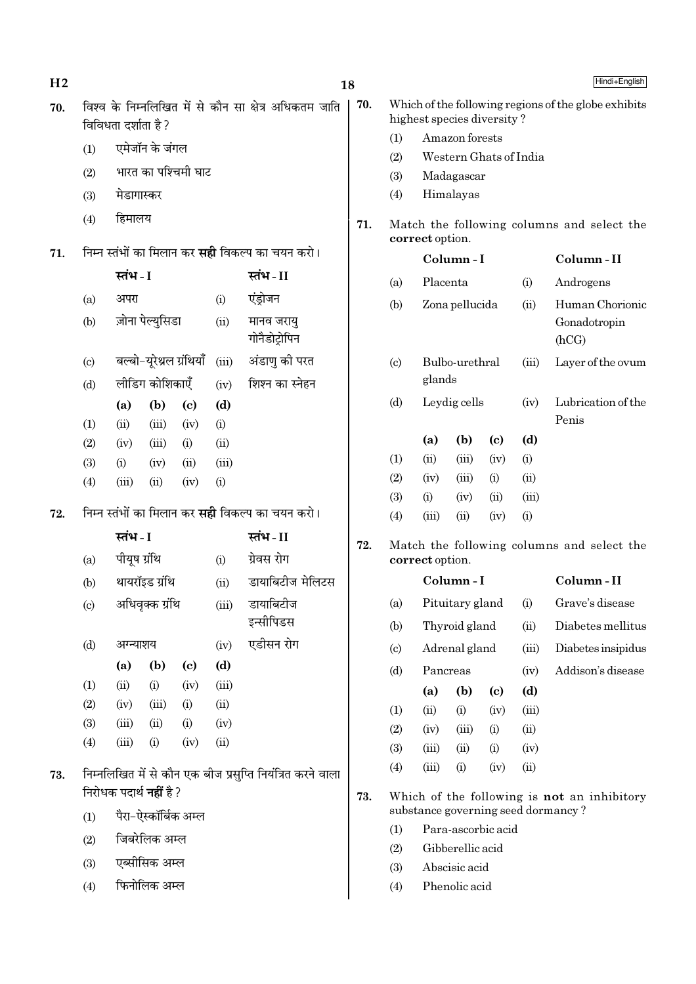| H <sub>2</sub> |                            |                                |                  |                            |       |                                                            | 18  |                            |                 |                            |                            |                     | Hindi+English                                        |
|----------------|----------------------------|--------------------------------|------------------|----------------------------|-------|------------------------------------------------------------|-----|----------------------------|-----------------|----------------------------|----------------------------|---------------------|------------------------------------------------------|
| 70.            |                            | विविधता दर्शाता है ?           |                  |                            |       | विश्व के निम्नलिखित में से कौन सा क्षेत्र अधिकतम जाति      | 70. |                            |                 | highest species diversity? |                            |                     | Which of the following regions of the globe exhibits |
|                | (1)                        |                                | एमेजॉन के जंगल   |                            |       |                                                            |     | (1)                        |                 | Amazon forests             |                            |                     |                                                      |
|                | (2)                        |                                |                  | भारत का पश्चिमी घाट        |       |                                                            |     | (2)                        |                 | Western Ghats of India     |                            |                     |                                                      |
|                |                            | मेडागास्कर                     |                  |                            |       |                                                            |     | (3)<br>(4)                 |                 | Madagascar<br>Himalayas    |                            |                     |                                                      |
|                | (3)                        |                                |                  |                            |       |                                                            |     |                            |                 |                            |                            |                     |                                                      |
|                | (4)                        | हिमालय                         |                  |                            |       |                                                            | 71. |                            | correct option. |                            |                            |                     | Match the following columns and select the           |
| 71.            |                            |                                |                  |                            |       | निम्न स्तंभों का मिलान कर <b>सही</b> विकल्प का चयन करो।    |     |                            |                 | Column-I                   |                            |                     | Column-II                                            |
|                |                            | स्तंभ - I                      |                  |                            |       | स्तंभ-II                                                   |     | (a)                        | Placenta        |                            |                            | (i)                 | Androgens                                            |
|                | (a)                        | अपरा                           |                  |                            | (i)   | एंड्रोजन                                                   |     | (b)                        |                 | Zona pellucida             |                            | (ii)                | Human Chorionic                                      |
|                | (b)                        |                                | ज़ोना पेल्युसिडा |                            | (ii)  | मानव जरायु<br>गोनैडोट्रोपिन                                |     |                            |                 |                            |                            |                     | Gonadotropin<br>(hCG)                                |
|                | $\left( \mathrm{c}\right)$ |                                |                  | बल्बो-यूरेथ्रल ग्रंथियाँ   | (iii) | अंडाणु की परत                                              |     | $\left( \mathrm{c}\right)$ |                 | Bulbo-urethral             |                            | (iii)               | Layer of the ovum                                    |
|                | (d)                        |                                | लीडिंग कोशिकाएँ  |                            | (iv)  | शिश्न का स्नेहन                                            |     |                            | glands          |                            |                            |                     |                                                      |
|                |                            | (a)                            | (b)              | $\left( \mathrm{c}\right)$ | (d)   |                                                            |     | (d)                        |                 | Leydig cells               |                            | (iv)                | Lubrication of the                                   |
|                | (1)                        | (ii)                           | (iii)            | (iv)                       | (i)   |                                                            |     |                            |                 |                            |                            |                     | Penis                                                |
|                | (2)                        | (iv)                           | (iii)            | (i)                        | (ii)  |                                                            |     |                            | (a)             | (b)                        | $\left( \mathrm{c}\right)$ | (d)                 |                                                      |
|                | (3)                        | (i)                            | (iv)             | (ii)                       | (iii) |                                                            |     | (1)                        | (ii)            | (iii)                      | (iv)                       | (i)                 |                                                      |
|                | (4)                        | (iii)                          | (ii)             | (iv)                       | (i)   |                                                            |     | (2)                        | (iv)            | (iii)                      | (i)                        | (ii)                |                                                      |
| 72.            |                            |                                |                  |                            |       | निम्न स्तंभों का मिलान कर <b>सही</b> विकल्प का चयन करो।    |     | (3)<br>(4)                 | (i)<br>(iii)    | (iv)<br>(ii)               | (ii)<br>(iv)               | (iii)<br>(i)        |                                                      |
|                |                            | स्तंभ - I                      |                  |                            |       | स्तंभ-II                                                   |     |                            |                 |                            |                            |                     |                                                      |
|                | (a)                        | पीयूष ग्रंथि                   |                  |                            | (i)   | ग्रेवस रोग                                                 | 72. |                            | correct option. |                            |                            |                     | Match the following columns and select the           |
|                | (b)                        |                                | थायरॉइड ग्रंथि   |                            | (ii)  | डायाबिटीज मेलिटस                                           |     |                            |                 | Column-I                   |                            |                     | Column-II                                            |
|                | $\left( \mathrm{c}\right)$ |                                | अधिवृक्क ग्रंथि  |                            | (iii) | डायाबिटीज                                                  |     | (a)                        |                 |                            |                            | Pituitary gland (i) | Grave's disease                                      |
|                |                            |                                |                  |                            |       | इन्सीपिडस                                                  |     | (b)                        |                 | Thyroid gland              |                            | (ii)                | Diabetes mellitus                                    |
|                | (d)                        | अग्न्याशय                      |                  |                            | (iv)  | एडीसन रोग                                                  |     | $\left( \circ \right)$     |                 | Adrenal gland              |                            | (iii)               | Diabetes insipidus                                   |
|                |                            | (a)                            | (b)              | $\left( \mathrm{c}\right)$ | (d)   |                                                            |     | (d)                        | Pancreas        |                            |                            | (iv)                | Addison's disease                                    |
|                | (1)                        | (ii)                           | (i)              | (iv)                       | (iii) |                                                            |     |                            | (a)             | (b)                        | (c)                        | (d)                 |                                                      |
|                | (2)                        | (iv)                           | (iii)            | (i)                        | (ii)  |                                                            |     | (1)                        | (ii)            | (i)                        | (iv)                       | (iii)               |                                                      |
|                | (3)                        | (iii)                          | (ii)<br>(i)      | (i)                        | (iv)  |                                                            |     | (2)                        | (iv)            | (iii)                      | (i)                        | (ii)                |                                                      |
|                | (4)                        | (iii)                          |                  | (iv)                       | (ii)  |                                                            |     | (3)                        | (iii)           | (ii)                       | (i)                        | (iv)                |                                                      |
| 73.            |                            | निरोधक पदार्थ <b>नहीं</b> है ? |                  |                            |       | निम्नलिखित में से कौन एक बीज प्रसुप्ति नियंत्रित करने वाला | 73. | (4)                        | (iii)           | (i)                        | (iv)                       | (ii)                | Which of the following is <b>not</b> an inhibitory   |
|                | (1)                        |                                |                  | पैरा–ऐस्कॉर्बिक अम्ल       |       |                                                            |     |                            |                 |                            |                            |                     | substance governing seed dormancy?                   |
|                |                            |                                | जिबरेलिक अम्ल    |                            |       |                                                            |     | (1)                        |                 | Para-ascorbic acid         |                            |                     |                                                      |
|                | (2)                        |                                |                  |                            |       |                                                            |     | (2)                        |                 | Gibberellic acid           |                            |                     |                                                      |
|                | (3)                        |                                | एब्सीसिक अम्ल    |                            |       |                                                            |     | (3)                        |                 | Abscisic acid              |                            |                     |                                                      |
|                | (4)                        |                                | फिनोलिक अम्ल     |                            |       |                                                            |     | (4)                        |                 | Phenolic acid              |                            |                     |                                                      |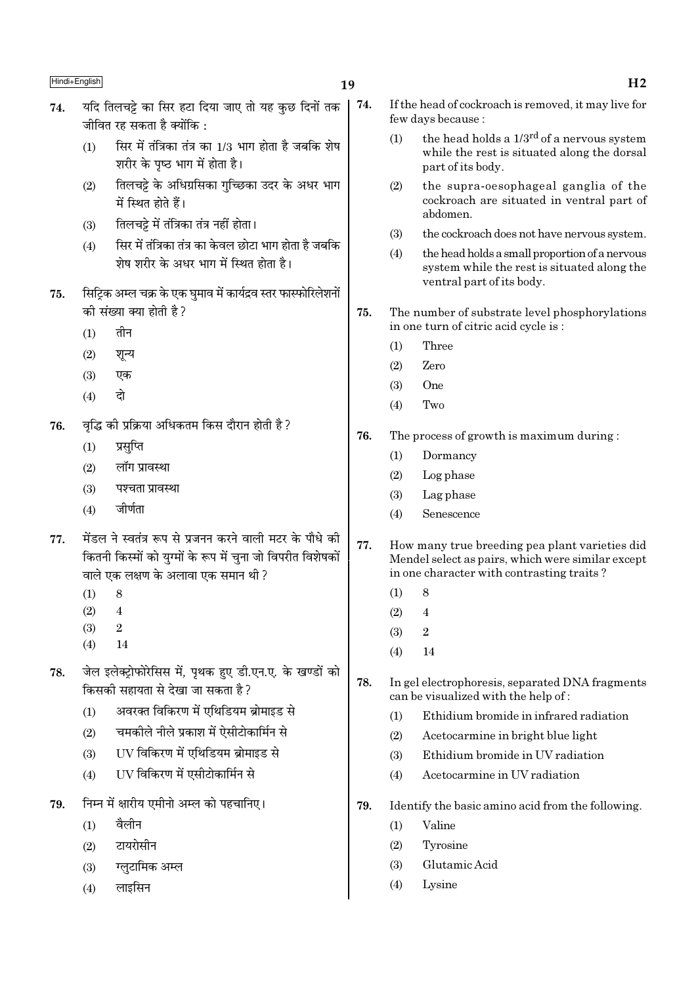## 19

- यदि तिलचट्टे का सिर हटा दिया जाए तो यह कुछ दिनों तक 74. 74. जीवित रह सकता है क्योंकि $\cdot$ 
	- सिर में तंत्रिका तंत्र का 1/3 भाग होता है जबकि शेष  $(1)$ शरीर के पृष्ठ भाग में होता है।
	- तिलचट्टे के अधिग्रसिका गुच्छिका उदर के अधर भाग  $(2)$ में स्थित होते हैं।
	- तिलचट्टे में तंत्रिका तंत्र नहीं होता।  $(3)$
	- सिर में तंत्रिका तंत्र का केवल छोटा भाग होता है जबकि  $(4)$ शेष शरीर के अधर भाग में स्थित होता है।
- सिटिक अम्ल चक्र के एक घमाव में कार्यद्रव स्तर फास्फोरिलेशनों 75. की संख्या क्या होती है?
	- तीन  $(1)$
	- $(2)$ शून्य
	- $(3)$ एक
	- दो  $(4)$
- वृद्धि की प्रक्रिया अधिकतम किस दौरान होती है ? 76.
	- $(1)$ प्रसूप्ति
	- लॉग प्रावस्था  $(2)$
	- $(3)$ पश्चता प्रावस्था
	- जीर्णता  $(4)$
- मेंडल ने स्वतंत्र रूप से प्रजनन करने वाली मटर के पौधे की 77. कितनी किस्मों को यग्मों के रूप में चना जो विपरीत विशेषकों वाले एक लक्षण के अलावा एक समान थी ?
	- $(1)$ 8
	- $\overline{4}$  $(2)$
	- $(3)$  $\mathfrak{D}$
	- $(4)$  $14$
- जेल इलेक्टोफोरेसिस में. पथक हुए डी.एन.ए. के खण्डों को 78. किसकी सहायता से देखा जा सकता है ?
	- अवरक्त विकिरण में एथिडियम ब्रोमाइड से  $(1)$
	- चमकीले नीले प्रकाश में ऐसीटोकार्मिन से  $(2)$
	- UV विकिरण में एथिडियम ब्रोमाइड से  $(3)$
	- UV विकिरण में एसीटोकार्मिन से  $(4)$
- निम्न में क्षारीय एमीनो अम्ल को पहचानिए। 79.
	- वैलीन  $(1)$
	- टायरोसीन  $(2)$
	- ग्लुटामिक अम्ल  $(3)$
	- लाइसिन  $(4)$
- If the head of cockroach is removed, it may live for few days because :
	- the head holds a 1/3<sup>rd</sup> of a nervous system  $(1)$ while the rest is situated along the dorsal part of its body.
	- the supra-oesophageal ganglia of the  $(2)$ cockroach are situated in ventral part of ahdomen
	- the cockroach does not have nervous system.  $(3)$
	- $(4)$ the head holds a small proportion of a nervous system while the rest is situated along the ventral part of its body.
- 75. The number of substrate level phosphorylations in one turn of citric acid cycle is:
	- Three  $(1)$
	- $(2)$ Zero
	- $One$  $(3)$
	- $(4)$ Two
- The process of growth is maximum during: 76.
	- $(1)$ Dormancy
	- $(2)$ Log phase
	- $(3)$ Lag phase
	- Senescence  $(4)$
- 77. How many true breeding pea plant varieties did Mendel select as pairs, which were similar except in one character with contrasting traits?
	- 8  $(1)$
	- $\overline{4}$  $(2)$
	- $\overline{2}$  $(3)$
	- $(4)$  $14$
- 78. In gel electrophoresis, separated DNA fragments can be visualized with the help of:
	- Ethidium bromide in infrared radiation  $(1)$
	- Acetocarmine in bright blue light  $(2)$
	- Ethidium bromide in UV radiation  $(3)$
	- Acetocarmine in UV radiation  $(4)$
- 79. Identify the basic amino acid from the following.
	- $(1)$ Valine
	- $(2)$ Tyrosine
	- Glutamic Acid  $(3)$
	- $(4)$ Lysine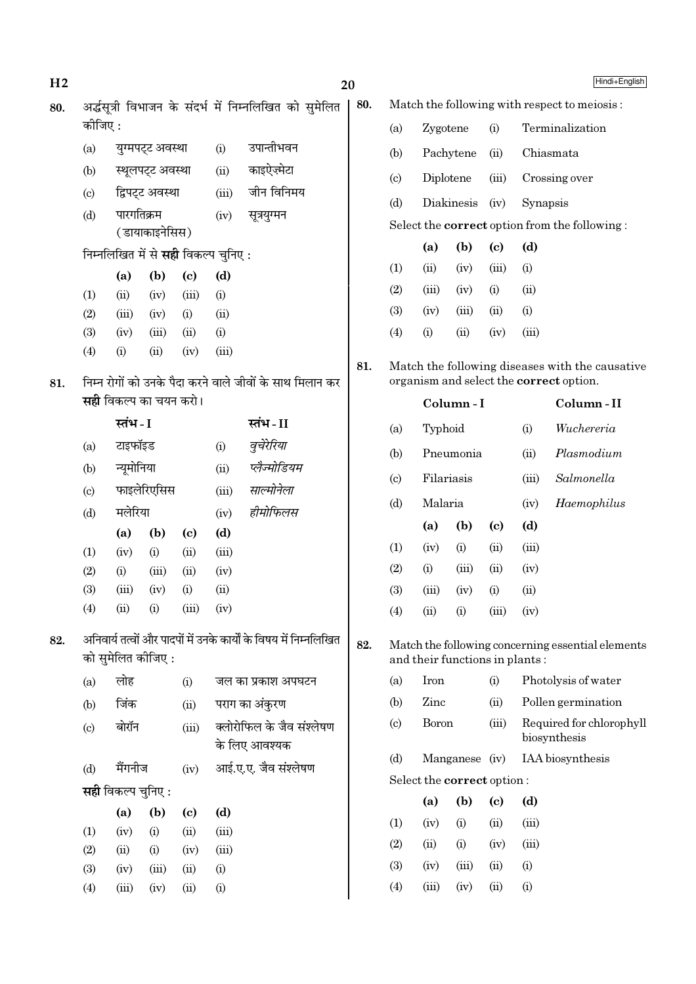| H <sub>2</sub> |                            |                               |                  |                                             |              |                                                                   | 20  |                            |               |                                |                             |              | Hindi+English                                                                              |
|----------------|----------------------------|-------------------------------|------------------|---------------------------------------------|--------------|-------------------------------------------------------------------|-----|----------------------------|---------------|--------------------------------|-----------------------------|--------------|--------------------------------------------------------------------------------------------|
| 80.            |                            |                               |                  |                                             |              | अर्द्धसूत्री विभाजन के संदर्भ में निम्नलिखित को सुमेलित           | 80. |                            |               |                                |                             |              | Match the following with respect to meiosis:                                               |
|                | कीजिए:                     |                               |                  |                                             |              |                                                                   |     | (a)                        | Zygotene      |                                | (i)                         |              | Terminalization                                                                            |
|                | (a)                        |                               | युग्मपट्ट अवस्था |                                             | (i)          | उपान्तीभवन                                                        |     | (b)                        | Pachytene     |                                | (ii)                        |              | Chiasmata                                                                                  |
|                | (b)                        |                               | स्थूलपट्ट अवस्था |                                             | (ii)         | काइऐज़्मेटा                                                       |     | (c)                        | Diplotene     |                                | (iii)                       |              | Crossing over                                                                              |
|                | (c)                        |                               | द्विपट्ट अवस्था  |                                             | (iii)        | जीन विनिमय                                                        |     | (d)                        |               | Diakinesis                     | (iv)                        | Synapsis     |                                                                                            |
|                | (d)                        | पारगतिक्रम                    | ( डायाकाइनेसिस)  |                                             | (iv)         | सूत्रयुग्मन                                                       |     |                            |               |                                |                             |              | Select the <b>correct</b> option from the following:                                       |
|                |                            |                               |                  | निम्नलिखित में से <b>सही</b> विकल्प चुनिए : |              |                                                                   |     |                            | (a)           | (b)                            | $\left( \mathrm{c}\right)$  | (d)          |                                                                                            |
|                |                            | (a)                           | (b)              | $\left( \mathbf{c} \right)$                 | (d)          |                                                                   |     | (1)                        | (ii)          | (iv)                           | (iii)                       | (i)          |                                                                                            |
|                | (1)                        | (ii)                          | (iv)             | (iii)                                       | (i)          |                                                                   |     | (2)                        | (iii)         | (iv)                           | (i)                         | (ii)         |                                                                                            |
|                | (2)                        | (iii)                         | (iv)             | (i)                                         | (ii)         |                                                                   |     | (3)                        | (iv)          | (iii)                          | (ii)                        | (i)          |                                                                                            |
|                | (3)                        | (iv)                          | (iii)            | (ii)                                        | (i)          |                                                                   |     | (4)                        | (i)           | (ii)                           | (iv)                        | (iii)        |                                                                                            |
|                | (4)                        | (i)                           | (ii)             | (iv)                                        | (iii)        |                                                                   |     |                            |               |                                |                             |              |                                                                                            |
| 81.            |                            |                               |                  |                                             |              | निम्न रोगों को उनके पैदा करने वाले जीवों के साथ मिलान कर          | 81. |                            |               |                                |                             |              | Match the following diseases with the causative<br>organism and select the correct option. |
|                |                            | <b>सही</b> विकल्प का चयन करो। |                  |                                             |              |                                                                   |     |                            |               | Column-I                       |                             |              | Column-II                                                                                  |
|                |                            | स्तंभ - I                     |                  |                                             |              | स्तंभ-II                                                          |     | (a)                        | Typhoid       |                                |                             | (i)          | Wuchereria                                                                                 |
|                | (a)                        | टाइफॉइड                       |                  |                                             | (i)          | वूचेरेरिया                                                        |     | (b)                        |               | Pneumonia                      |                             | (ii)         | Plasmodium                                                                                 |
|                | (b)                        | न्यूमोनिया                    |                  |                                             | (ii)         | प्लेज्मोडियम                                                      |     | $\left( \mathrm{c}\right)$ | Filariasis    |                                |                             | (iii)        | Salmonella                                                                                 |
|                | $\left( \mathrm{c}\right)$ |                               | फाइलेरिएसिस      |                                             | (iii)        | साल्मोनेला                                                        |     | (d)                        | Malaria       |                                |                             | (iv)         | Haemophilus                                                                                |
|                | (d)                        | मलेरिया                       |                  |                                             | (iv)         | हीमोफिलस                                                          |     |                            | (a)           | (b)                            | $\left( \mathrm{c}\right)$  | (d)          |                                                                                            |
|                |                            | (a)                           | (b)              | $\left( \mathrm{c}\right)$                  | (d)          |                                                                   |     | (1)                        | (iv)          | (i)                            | (ii)                        | (iii)        |                                                                                            |
|                | (1)                        | (iv)                          | (i)              | (ii)                                        | (iii)        |                                                                   |     |                            |               |                                |                             |              |                                                                                            |
|                | (2)                        | (i)                           | (iii)            | (ii)                                        | (iv)         |                                                                   |     | (2)                        | (i)           | (iii)                          | (ii)                        | (iv)         |                                                                                            |
|                | (3)<br>(4)                 | (iii)<br>(ii)                 | (iv)<br>(i)      | (i)<br>(iii)                                | (ii)<br>(iv) |                                                                   |     | (3)<br>(4)                 | (iii)<br>(ii) | (iv)<br>(i)                    | (i)<br>(iii)                | (ii)<br>(iv) |                                                                                            |
|                |                            |                               |                  |                                             |              |                                                                   |     |                            |               |                                |                             |              |                                                                                            |
| 82.            |                            | को सुमेलित कीजिए :            |                  |                                             |              | अनिवार्य तत्वों और पादपों में उनके कार्यों के विषय में निम्नलिखित | 82. |                            |               | and their functions in plants: |                             |              | Match the following concerning essential elements                                          |
|                | (a)                        | लोह                           |                  | (i)                                         |              | जल का प्रकाश अपघटन                                                |     | (a)                        | Iron          |                                | (i)                         |              | Photolysis of water                                                                        |
|                | (b)                        | जिंक                          |                  | (ii)                                        |              | पराग का अंकुरण                                                    |     | (b)                        | Zinc          |                                | (ii)                        |              | Pollen germination                                                                         |
|                | (c)                        | बोरॉन                         |                  | (iii)                                       |              | क्लोरोफिल के जैव संश्लेषण<br>के लिए आवश्यक                        |     | $\left( \circ \right)$     | Boron         |                                | (iii)                       |              | Required for chlorophyll<br>biosynthesis                                                   |
|                | (d)                        | मैंगनीज                       |                  | (iv)                                        |              | आई.ए.ए. जैव संश्लेषण                                              |     | (d)                        |               | Manganese (iv)                 |                             |              | IAA biosynthesis                                                                           |
|                |                            | <b>सही</b> विकल्प चुनिए :     |                  |                                             |              |                                                                   |     |                            |               | Select the correct option:     |                             |              |                                                                                            |
|                |                            |                               |                  |                                             |              |                                                                   |     |                            | (a)           | (b)                            | $\left( \mathbf{c} \right)$ | (d)          |                                                                                            |
|                | (1)                        | (a)<br>(iv)                   | (b)<br>(i)       | $\left( \mathbf{c} \right)$<br>(ii)         | (d)<br>(iii) |                                                                   |     | (1)                        | (iv)          | (i)                            | (ii)                        | (iii)        |                                                                                            |
|                | (2)                        | (ii)                          | (i)              | (iv)                                        | (iii)        |                                                                   |     | (2)                        | (ii)          | (i)                            | (iv)                        | (iii)        |                                                                                            |
|                | (3)                        | (iv)                          | (iii)            | (ii)                                        | (i)          |                                                                   |     | (3)                        | (iv)          | (iii)                          | (ii)                        | (i)          |                                                                                            |
|                | (4)                        | (iii)                         | (iv)             | (ii)                                        | (i)          |                                                                   |     | (4)                        | (iii)         | (iv)                           | (ii)                        | (i)          |                                                                                            |
|                |                            |                               |                  |                                             |              |                                                                   |     |                            |               |                                |                             |              |                                                                                            |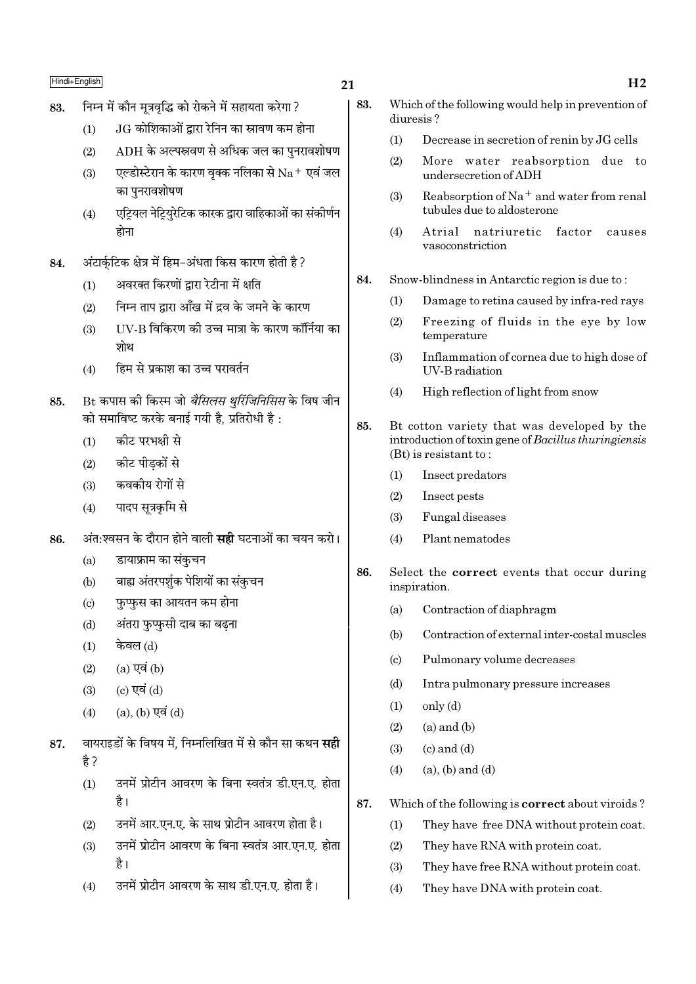## $21$

- निम्न में कौन मत्रवद्धि को रोकने में सहायता करेगा ? 83.
	- JG कोशिकाओं द्वारा रेनिन का स्रावण कम होना  $(1)$
	- $ADH$  के अल्पस्रवण से अधिक जल का पनरावशोषण  $(2)$
	- एल्डोस्टेरान के कारण वृक्क नलिका से  $\rm Na^+$  एवं जल  $(3)$ का पुनरावशोषण
	- एट्रियल नेट्रियरेटिक कारक द्वारा वाहिकाओं का संकीर्णन  $(4)$ होना
- अंटार्कटिक क्षेत्र में हिम-अंधता किस कारण होती है ? 84.
	- अवरक्त किरणों द्वारा रेटीना में क्षति  $(1)$
	- निम्न ताप द्वारा आँख में द्रव के जमने के कारण  $(2)$
	- IIV-B विकिरण को उच्च मात्रा के कारण कॉर्निया का  $(3)$ शोथ
	- हिम से प्रकाश का उच्च परावर्तन  $(4)$
- Bt कपास की किस्म जो *बैसिलस थूरिंजिनिसिस* के विष जीन 85. को समाविष्ट करके बनाई गयी है. प्रतिरोधी है:
	- कीट परभक्षी से  $(1)$
	- कीट पीड़कों से  $(2)$
	- कवकीय रोगों से  $(3)$
	- पादप सत्रकमि से  $(4)$
- अंत:श्वसन के दौरान होने वाली **सही** घटनाओं का चयन करो। 86.
	- डायाफ्राम का संकुचन  $(a)$
	- बाह्य अंतरपर्शुक पेशियों का संकुचन  $(b)$
	- फुप्फुस का आयतन कम होना  $(c)$
	- अंतरा फुप्फुसी दाब का बढना  $(d)$
	- केवल (d)  $(1)$
	- $(a)$  एवं  $(b)$  $(2)$
	- (c) एवं (d)  $(3)$
	- (a), (b) एवं (d)  $(4)$
- वायराइडों के विषय में, निम्नलिखित में से कौन सा कथन **सही** 87. है ?
	- उनमें प्रोटीन आवरण के बिना स्वतंत्र डी.एन.ए. होता  $(1)$ है।
	- $(2)$ उनमें आर.एन.ए. के साथ प्रोटीन आवरण होता है।
	- उनमें प्रोटीन आवरण के बिना स्वतंत्र आर.एन.ए. होता  $(3)$ है।
	- उनमें प्रोटीन आवरण के साथ डी.एन.ए. होता है।  $(4)$
- 83. Which of the following would help in prevention of diuresis?
	- $(1)$ Decrease in secretion of renin by JG cells
	- More water reabsorption due to  $(2)$ undersecretion of ADH
	- Reabsorption of Na<sup>+</sup> and water from renal  $(3)$ tubules due to aldosterone
	- $(4)$ Atrial natriuretic factor causes vasoconstriction
- Snow-blindness in Antarctic region is due to: 84.
	- $(1)$ Damage to retina caused by infra-red rays
	- Freezing of fluids in the eye by low  $(2)$ temperature
	- Inflammation of cornea due to high dose of  $(3)$ **IIV-B** radiation
	- High reflection of light from snow  $(4)$
- 85. Bt cotton variety that was developed by the introduction of toxin gene of Bacillus thuringiensis  $(Bt)$  is resistant to:
	- $(1)$ Insect predators
	- $(2)$ Insect pests
	- $(3)$ Fungal diseases
	- $(4)$ Plant nematodes
- 86. Select the **correct** events that occur during inspiration.
	- $(a)$ Contraction of diaphragm
	- Contraction of external inter-costal muscles  $(h)$
	- Pulmonary volume decreases  $\left( \mathrm{c}\right)$
	- $(d)$ Intra pulmonary pressure increases
	- $(1)$  $only (d)$
	- $(2)$  $(a)$  and  $(b)$
	- $(c)$  and  $(d)$  $(3)$
	- $(a)$ ,  $(b)$  and  $(d)$  $(4)$
- 87. Which of the following is **correct** about viroids?
	- $(1)$ They have free DNA without protein coat.
	- $(2)$ They have RNA with protein coat.
	- They have free RNA without protein coat.  $(3)$
	- $(4)$ They have DNA with protein coat.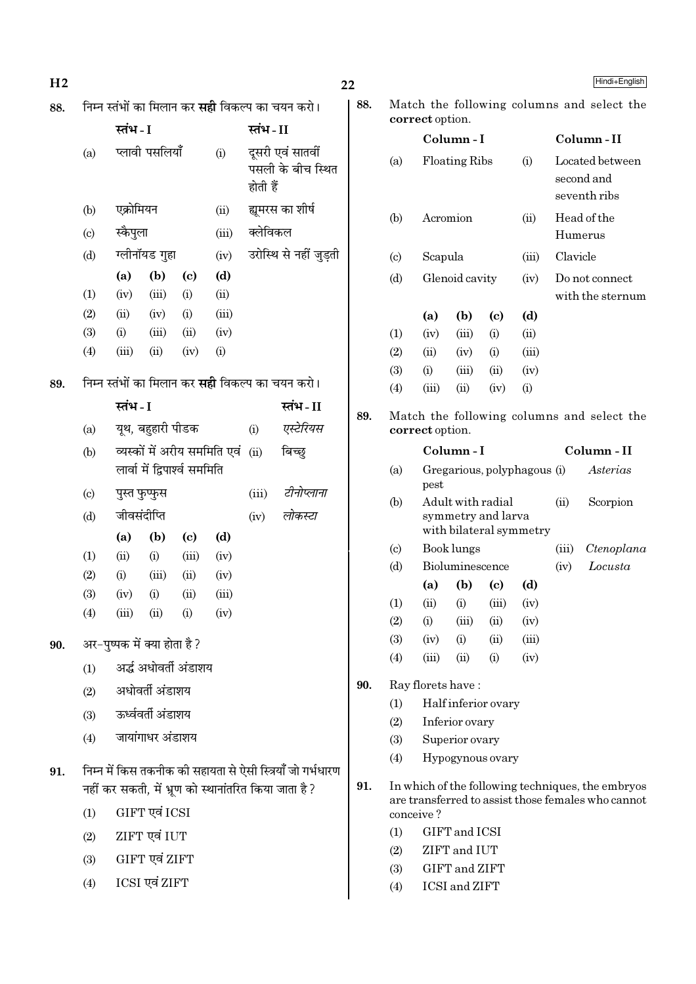| H <sub>2</sub> |                           |               |                               |                            |                              |          |                                                            | 22  |            |                   |                                               |                            |       |          | Hindi+English                                                                                           |  |
|----------------|---------------------------|---------------|-------------------------------|----------------------------|------------------------------|----------|------------------------------------------------------------|-----|------------|-------------------|-----------------------------------------------|----------------------------|-------|----------|---------------------------------------------------------------------------------------------------------|--|
| 88.            |                           |               |                               |                            |                              |          | निम्न स्तंभों का मिलान कर <b>सही</b> विकल्प का चयन करो।    | 88. |            | correct option.   |                                               |                            |       |          | Match the following columns and select the                                                              |  |
|                |                           | स्तंभ - I     |                               |                            |                              | स्तंभ-II |                                                            |     |            |                   | Column-I                                      |                            |       |          | Column-II                                                                                               |  |
|                | (a)                       |               | प्लावी पसलियाँ                |                            | (i)                          | होती हैं | दूसरी एवं सातवीं<br>पसली के बीच स्थित                      |     | (a)        |                   | Floating Ribs                                 |                            | (i)   |          | Located between<br>second and<br>seventh ribs                                                           |  |
|                | (b)                       | एक्रोमियन     |                               |                            | (ii)                         |          | ह्यमरस का शीर्ष                                            |     | (b)        | Acromion          |                                               |                            | (ii)  |          | Head of the                                                                                             |  |
|                | $\left( \text{c} \right)$ | स्कैपुला      |                               |                            | (iii)                        | क्लेविकल |                                                            |     |            |                   |                                               |                            |       | Humerus  |                                                                                                         |  |
|                | (d)                       |               | ग्लीनॉयड गुहा                 |                            | (iv)                         |          | उरोस्थि से नहीं जुड़ती                                     |     | (c)        | Scapula           |                                               |                            | (iii) | Clavicle |                                                                                                         |  |
|                |                           | (a)           | (b)                           | $\left( \mathrm{c}\right)$ | (d)                          |          |                                                            |     | (d)        |                   | Glenoid cavity                                |                            | (iv)  |          | Do not connect                                                                                          |  |
|                | (1)                       | (iv)          | (iii)                         | (i)                        | (ii)                         |          |                                                            |     |            |                   |                                               |                            |       |          | with the sternum                                                                                        |  |
|                | (2)                       | (ii)          | (iv)                          | (i)                        | (iii)                        |          |                                                            |     |            | (a)               | (b)                                           | $\left( \mathrm{c}\right)$ | (d)   |          |                                                                                                         |  |
|                | (3)                       | (i)           | (iii)                         | (ii)                       | (iv)                         |          |                                                            |     | (1)        | (iv)              | (iii)                                         | (i)                        | (ii)  |          |                                                                                                         |  |
|                | (4)                       | (iii)         | (ii)                          | (iv)                       | (i)                          |          |                                                            |     | (2)        | (ii)              | (iv)                                          | (i)                        | (iii) |          |                                                                                                         |  |
| 89.            |                           |               |                               |                            |                              |          | निम्न स्तंभों का मिलान कर <b>सही</b> विकल्प का चयन करो।    |     | (3)        | (i)               | (iii)                                         | (ii)                       | (iv)  |          |                                                                                                         |  |
|                |                           |               |                               |                            |                              |          |                                                            |     | (4)        | (iii)             | (ii)                                          | (iv)                       | (i)   |          |                                                                                                         |  |
|                | (a)                       | स्तंभ - I     | यूथ, बहुहारी पीडक             |                            |                              | (i)      | स्तंभ-II<br>एस्टेरियस                                      | 89. |            | correct option.   |                                               |                            |       |          | Match the following columns and select the                                                              |  |
|                | (b)                       |               |                               |                            | व्यस्कों में अरीय सममिति एवं | (ii)     | बिच्छ्                                                     |     |            |                   | Column-I                                      |                            |       |          | Column - II                                                                                             |  |
|                |                           |               | लार्वा में द्विपार्श्व सममिति |                            |                              |          |                                                            |     | (a)        | pest              | Gregarious, polyphagous (i)                   |                            |       |          | Asterias                                                                                                |  |
|                | $\left( \circ \right)$    | पुस्त फुप्फुस |                               |                            |                              | (iii)    | टीनोप्लाना                                                 |     | (b)        |                   | Adult with radial                             |                            |       | (ii)     | Scorpion                                                                                                |  |
|                | (d)                       | जीवसंदीप्ति   |                               |                            |                              | (iv)     | लोकस्टा                                                    |     |            |                   | symmetry and larva<br>with bilateral symmetry |                            |       |          |                                                                                                         |  |
|                |                           | (a)           | (b)                           | $\left( \mathrm{e}\right)$ | (d)                          |          |                                                            |     | (c)        |                   | Book lungs                                    |                            |       | (iii)    | Ctenoplana                                                                                              |  |
|                | (1)                       | (ii)          | (i)                           | (iii)                      | (iv)                         |          |                                                            |     | (d)        |                   | Bioluminescence                               |                            |       | (iv)     | Locusta                                                                                                 |  |
|                | (2)                       | (i)           | (iii)                         | (ii)                       | (iv)                         |          |                                                            |     |            |                   | (a) (b) (c) (d)                               |                            |       |          |                                                                                                         |  |
|                | (3)                       | (iv)          | (i)<br>(ii)                   | (ii)                       | (iii)                        |          |                                                            |     | (1)        | (ii)              | (i)                                           | (iii)                      | (iv)  |          |                                                                                                         |  |
|                | (4)                       | (iii)         |                               | (i)                        | (iv)                         |          |                                                            |     | (2)        | (i)               | (iii)                                         | (ii)                       | (iv)  |          |                                                                                                         |  |
| 90.            |                           |               | अर-पुष्पक में क्या होता है ?  |                            |                              |          |                                                            |     | (3)        | (iv)              | (i)                                           | (ii)                       | (iii) |          |                                                                                                         |  |
|                | (1)                       |               | अर्द्ध अधोवर्ती अंडाशय        |                            |                              |          |                                                            |     | (4)        | (iii)             | (ii)                                          | (i)                        | (iv)  |          |                                                                                                         |  |
|                | (2)                       |               | अधोवर्ती अंडाशय               |                            |                              |          |                                                            | 90. |            | Ray florets have: |                                               |                            |       |          |                                                                                                         |  |
|                |                           |               | ऊर्ध्ववर्ती अंडाशय            |                            |                              |          |                                                            |     | (1)        |                   | Half inferior ovary                           |                            |       |          |                                                                                                         |  |
|                | (3)                       |               |                               |                            |                              |          |                                                            |     | (2)        |                   | Inferior ovary                                |                            |       |          |                                                                                                         |  |
|                | (4)                       |               | जायांगाधर अंडाशय              |                            |                              |          |                                                            |     | (3)        |                   | Superior ovary                                |                            |       |          |                                                                                                         |  |
| 91.            |                           |               |                               |                            |                              |          | निम्न में किस तकनीक की सहायता से ऐसी स्त्रियाँ जो गर्भधारण |     | (4)        |                   | Hypogynous ovary                              |                            |       |          |                                                                                                         |  |
|                |                           |               |                               |                            |                              |          | नहीं कर सकती, में भ्रूण को स्थानांतरित किया जाता है ?      | 91. |            |                   |                                               |                            |       |          | In which of the following techniques, the embryos<br>are transferred to assist those females who cannot |  |
|                | (1)                       |               | GIFT एवं ICSI                 |                            |                              |          |                                                            |     |            | conceive?         |                                               |                            |       |          |                                                                                                         |  |
|                | (2)                       |               | ZIFT एवं IUT                  |                            |                              |          |                                                            |     | (1)        |                   | GIFT and ICSI                                 |                            |       |          |                                                                                                         |  |
|                | (3)                       |               | GIFT एवं ZIFT                 |                            |                              |          |                                                            |     | (2)        |                   | ZIFT and IUT                                  |                            |       |          |                                                                                                         |  |
|                | (4)                       |               | ICSI एवं ZIFT                 |                            |                              |          |                                                            |     | (3)<br>(4) |                   | GIFT and ZIFT<br><b>ICSI</b> and <b>ZIFT</b>  |                            |       |          |                                                                                                         |  |
|                |                           |               |                               |                            |                              |          |                                                            |     |            |                   |                                               |                            |       |          |                                                                                                         |  |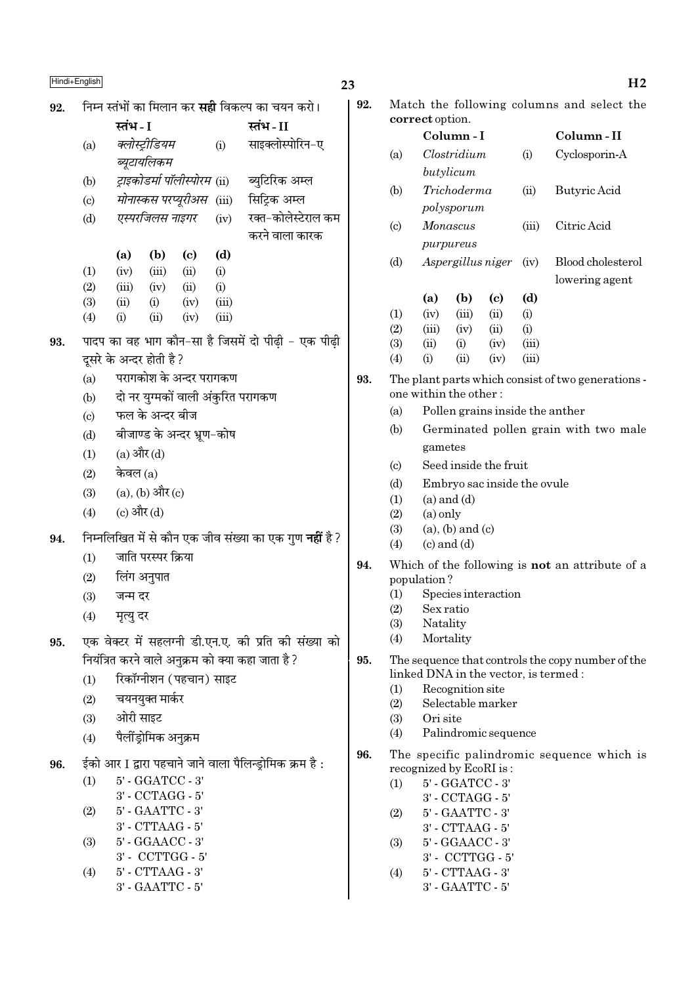| 92. |                                   |                      |                                      |                                    |                | निम्न स्तंभों का मिलान कर <b>सही</b> विकल्प का चयन करो।       |
|-----|-----------------------------------|----------------------|--------------------------------------|------------------------------------|----------------|---------------------------------------------------------------|
|     |                                   | स्तंभ - I            |                                      |                                    |                | स्तंभ - II                                                    |
|     | (a)                               |                      | क्लोस्ट्रीडियम                       |                                    | (i)            | साइक्लोस्पोरिन-ए                                              |
|     |                                   |                      | ब्यूटायलिकम                          |                                    |                |                                                               |
|     | (b)                               |                      |                                      | ट्राइकोडर्मा पॉलीस्पोरम (ii)       |                | ब्युटिरिक अम्ल                                                |
|     | (c)                               |                      |                                      |                                    |                | <i>मोनास्कस परप्यूरीअस</i> (iii) सिट्रिक अम्ल                 |
|     | (d)                               |                      |                                      | एस्परजिलस नाइगर                    | (iv)           | रक्त-कोलेस्टेराल कम                                           |
|     |                                   |                      |                                      |                                    |                | करने वाला कारक                                                |
|     |                                   |                      | $(a)$ $(b)$                          | $\left( \mathrm{c}\right)$         | (d)            |                                                               |
|     | (1)                               |                      | $(iv)$ $(iii)$ $(ii)$                |                                    | (i)            |                                                               |
|     | (2)                               | (iii)                | (iv)                                 | (ii)                               | (i)            |                                                               |
|     | (3)<br>(4)                        | (ii)<br>(i)          | (i)<br>(ii)                          | (iv)<br>(iv)                       | (iii)<br>(iii) |                                                               |
|     |                                   |                      |                                      |                                    |                |                                                               |
| 93. |                                   |                      | दूसरे के अन्दर होती है ?             |                                    |                | पादप का वह भाग कौन-सा है जिसमें दो पीढ़ी - एक पीढ़ी           |
|     | (a)                               |                      |                                      | परागकोश के अन्दर परागकण            |                |                                                               |
|     | (b)                               |                      |                                      | दो नर युग्मकों वाली अंकुरित परागकण |                |                                                               |
|     |                                   |                      | फल के अन्दर बीज                      |                                    |                |                                                               |
|     | $\left( \mathrm{c}\right)$<br>(d) |                      |                                      | बीजाण्ड के अन्दर भ्रूण-कोष         |                |                                                               |
|     |                                   | $(1)$ $(a)$ और $(d)$ |                                      |                                    |                |                                                               |
|     |                                   |                      |                                      |                                    |                |                                                               |
|     |                                   | $(2)$ केवल $(a)$     |                                      |                                    |                |                                                               |
|     |                                   |                      | (3) (a), (b) और (c)                  |                                    |                |                                                               |
|     | (4)                               | (c) और (d)           |                                      |                                    |                |                                                               |
| 94. |                                   |                      |                                      |                                    |                | निम्नलिखित में से कौन एक जीव संख्या का एक गुण <b>नहीं</b> है? |
|     | (1)                               |                      | जाति परस्पर क्रिया                   |                                    |                |                                                               |
|     | (2)                               |                      | लिंग अनुपात                          |                                    |                |                                                               |
|     | (3)                               | जन्म दर              |                                      |                                    |                |                                                               |
|     | (4)                               | मृत्यु दर            |                                      |                                    |                |                                                               |
| 95. |                                   |                      |                                      |                                    |                | एक वेक्टर में सहलग्नी डी.एन.ए. की प्रति की संख्या को          |
|     |                                   |                      |                                      |                                    |                | नियंत्रित करने वाले अनुक्रम को क्या कहा जाता है ?             |
|     | (1)                               |                      |                                      | रिकॉग्नीशन (पहचान) साइट            |                |                                                               |
|     | (2)                               |                      | चयनयुक्त मार्कर                      |                                    |                |                                                               |
|     |                                   | (3) ओरी साइट         |                                      |                                    |                |                                                               |
|     | (4)                               |                      | पैलींड्रोमिक अनुक्रम                 |                                    |                |                                                               |
| 96. |                                   |                      |                                      |                                    |                | ईको आर I द्वारा पहचाने जाने वाला पैलिन्ड़ोमिक क्रम है :       |
|     | (1)                               |                      | 5' - GGATCC - 3'                     |                                    |                |                                                               |
|     |                                   |                      | 3' - CCTAGG - 5'                     |                                    |                |                                                               |
|     | (2)                               |                      | 5' - GAATTC - 3'                     |                                    |                |                                                               |
|     | (3)                               |                      | 3' - CTTAAG - 5'<br>5' - GGAACC - 3' |                                    |                |                                                               |
|     |                                   |                      | 3' - CCTTGG - 5'                     |                                    |                |                                                               |
|     | (4)                               |                      | $5'$ - $CTTAAG$ - $3'$               |                                    |                |                                                               |
|     |                                   |                      | 3' - GAATTC - 5'                     |                                    |                |                                                               |

|     | Hindi+English               |                                                         |                                                               | 23  |                           |                 |                                            |                               |              |                                                                                            | H <sub>2</sub> |
|-----|-----------------------------|---------------------------------------------------------|---------------------------------------------------------------|-----|---------------------------|-----------------|--------------------------------------------|-------------------------------|--------------|--------------------------------------------------------------------------------------------|----------------|
| 92. |                             | निम्न स्तंभों का मिलान कर <b>सही</b> विकल्प का चयन करो। |                                                               | 92. |                           |                 |                                            |                               |              | Match the following columns and select the                                                 |                |
|     |                             | स्तंभ - I                                               | स्तंभ - II                                                    |     |                           | correct option. |                                            |                               |              |                                                                                            |                |
|     | (a)                         | क्लोस्ट्रीडियम                                          | साइक्लोस्पोरिन-ए<br>(i)                                       |     |                           |                 | Column-I                                   |                               |              | Column-II                                                                                  |                |
|     |                             | ब्यूटायलिकम                                             |                                                               |     | (a)                       |                 | Clostridium                                |                               | (i)          | Cyclosporin-A                                                                              |                |
|     | (b)                         | ट्राइकोडर्मा पॉलीस्पोरम (ii)                            | ब्युटिरिक अम्ल                                                |     |                           |                 | butylicum                                  |                               |              |                                                                                            |                |
|     | $\left( \mathrm{c} \right)$ | मोनास्कस परप्यूरीअस (iii)                               | सिट्रिक अम्ल                                                  |     | (b)                       |                 | Trichoderma                                |                               | (ii)         | Butyric Acid                                                                               |                |
|     | (d)                         | एस्परजिलस नाइगर                                         | रक्त-कोलेस्टेराल कम<br>(iv)                                   |     |                           |                 | polysporum                                 |                               |              |                                                                                            |                |
|     |                             |                                                         | करने वाला कारक                                                |     | $\left( \text{c} \right)$ |                 | Monascus                                   |                               | (iii)        | Citric Acid                                                                                |                |
|     |                             | (a)<br>(b)<br>$\left( \mathbf{c} \right)$               | (d)                                                           |     |                           |                 | purpureus                                  |                               |              |                                                                                            |                |
|     | (1)                         | (iv)<br>(iii)<br>(ii)                                   | (i)                                                           |     | (d)                       |                 |                                            | Aspergillus niger             | (iv)         | Blood cholesterol                                                                          |                |
|     | (2)                         | (ii)<br>(iii)<br>(iv)                                   | (i)                                                           |     |                           |                 |                                            |                               |              | lowering agent                                                                             |                |
|     | (3)                         | (iv)<br>(ii)<br>(i)                                     | (iii)                                                         |     |                           | (a)             | (b)                                        | $\left( \mathrm{e}\right)$    | (d)          |                                                                                            |                |
|     | (4)                         | (ii)<br>(iv)<br>(i)                                     | (iii)                                                         |     | (1)                       | (iv)            | (iii)                                      | (ii)                          | (i)          |                                                                                            |                |
| 93. |                             |                                                         | पादप का वह भाग कौन-सा है जिसमें दो पीढ़ी - एक पीढ़ी           |     | (2)<br>(3)                | (iii)<br>(ii)   | (iv)<br>(i)                                | (ii)<br>(iv)                  | (i)<br>(iii) |                                                                                            |                |
|     |                             | दूसरे के अन्दर होती है ?                                |                                                               |     | (4)                       | (i)             | (ii)                                       | (iv)                          | (iii)        |                                                                                            |                |
|     | (a)                         | परागकोश के अन्दर परागकण                                 |                                                               | 93. |                           |                 |                                            |                               |              | The plant parts which consist of two generations -                                         |                |
|     | (b)                         | दो नर युग्मकों वाली अंकुरित परागकण                      |                                                               |     |                           |                 | one within the other:                      |                               |              |                                                                                            |                |
|     | (c)                         | फल के अन्दर बीज                                         |                                                               |     | (a)                       |                 |                                            |                               |              | Pollen grains inside the anther                                                            |                |
|     | (d)                         | बीजाण्ड के अन्दर भ्रूण-कोष                              |                                                               |     | (b)                       |                 |                                            |                               |              | Germinated pollen grain with two male                                                      |                |
|     |                             | (a) और (d)                                              |                                                               |     |                           | gametes         |                                            |                               |              |                                                                                            |                |
|     | (1)                         |                                                         |                                                               |     | $\left( \text{c} \right)$ |                 |                                            | Seed inside the fruit         |              |                                                                                            |                |
|     | (2)                         | केवल $(a)$                                              |                                                               |     | (d)                       |                 |                                            | Embryo sac inside the ovule   |              |                                                                                            |                |
|     | (3)                         | $(a)$ , $(b)$ और $(c)$                                  |                                                               |     | (1)                       |                 | $(a)$ and $(d)$                            |                               |              |                                                                                            |                |
|     | (4)                         | (c) और (d)                                              |                                                               |     | (2)                       | $(a)$ only      |                                            |                               |              |                                                                                            |                |
| 94. |                             |                                                         | निम्नलिखित में से कौन एक जीव संख्या का एक गुण <b>नहीं</b> है? |     | (3)<br>(4)                |                 | $(a)$ , $(b)$ and $(c)$<br>$(c)$ and $(d)$ |                               |              |                                                                                            |                |
|     | (1)                         | जाति परस्पर क्रिया                                      |                                                               |     |                           |                 |                                            |                               |              |                                                                                            |                |
|     | (2)                         | लिंग अनुपात                                             |                                                               | 94. |                           | population?     |                                            |                               |              | Which of the following is <b>not</b> an attribute of a                                     |                |
|     | (3)                         | जन्म दर                                                 |                                                               |     | (1)                       |                 |                                            | Species interaction           |              |                                                                                            |                |
|     | (4)                         | मृत्यु दर                                               |                                                               |     | (2)                       | Sex ratio       |                                            |                               |              |                                                                                            |                |
|     |                             |                                                         |                                                               |     | (3)                       | Natality        |                                            |                               |              |                                                                                            |                |
| 95. |                             |                                                         | एक वेक्टर में सहलग्नी डी.एन.ए. की प्रति की संख्या को          |     | (4)                       | Mortality       |                                            |                               |              |                                                                                            |                |
|     |                             | नियंत्रित करने वाले अनुक्रम को क्या कहा जाता है ?       |                                                               | 95. |                           |                 |                                            |                               |              | The sequence that controls the copy number of the<br>linked DNA in the vector, is termed : |                |
|     | (1)                         | रिकॉग्नीशन (पहचान) साइट                                 |                                                               |     | (1)                       |                 | Recognition site                           |                               |              |                                                                                            |                |
|     | (2)                         | चयनयुक्त मार्कर                                         |                                                               |     | (2)                       |                 |                                            | Selectable marker             |              |                                                                                            |                |
|     | (3)                         | ओरी साइट                                                |                                                               |     | (3)                       | Ori site        |                                            |                               |              |                                                                                            |                |
|     | (4)                         | पैलींड्रोमिक अनुक्रम                                    |                                                               |     | (4)                       |                 |                                            | Palindromic sequence          |              |                                                                                            |                |
| 96. |                             |                                                         | ईको आर I द्वारा पहचाने जाने वाला पैलिन्ड्रोमिक क्रम है :      | 96. |                           |                 |                                            |                               |              | The specific palindromic sequence which is                                                 |                |
|     | (1)                         | 5' - GGATCC - 3'                                        |                                                               |     | (1)                       |                 | $5'$ - $GGATCC$ - $3'$                     | recognized by EcoRI is:       |              |                                                                                            |                |
|     |                             | 3' - CCTAGG - 5'                                        |                                                               |     |                           |                 | 3' - CCTAGG - 5'                           |                               |              |                                                                                            |                |
|     | (2)                         | 5' - GAATTC - 3'                                        |                                                               |     | (2)                       |                 | 5' - GAATTC - 3'                           |                               |              |                                                                                            |                |
|     |                             | 3' - CTTAAG - 5'                                        |                                                               |     |                           |                 | 3' - CTTAAG - 5'                           |                               |              |                                                                                            |                |
|     | (3)                         | 5' - GGAACC - 3'                                        |                                                               |     | (3)                       |                 | 5' - GGAACC - 3'                           |                               |              |                                                                                            |                |
|     |                             | $3'$ - $\text{CCTTGG}$ - $5'$                           |                                                               |     |                           |                 |                                            | $3'$ - $\text{CCTTGG}$ - $5'$ |              |                                                                                            |                |

- (4) 5' CTTAAG 3'
	- 3' GAATTC 5'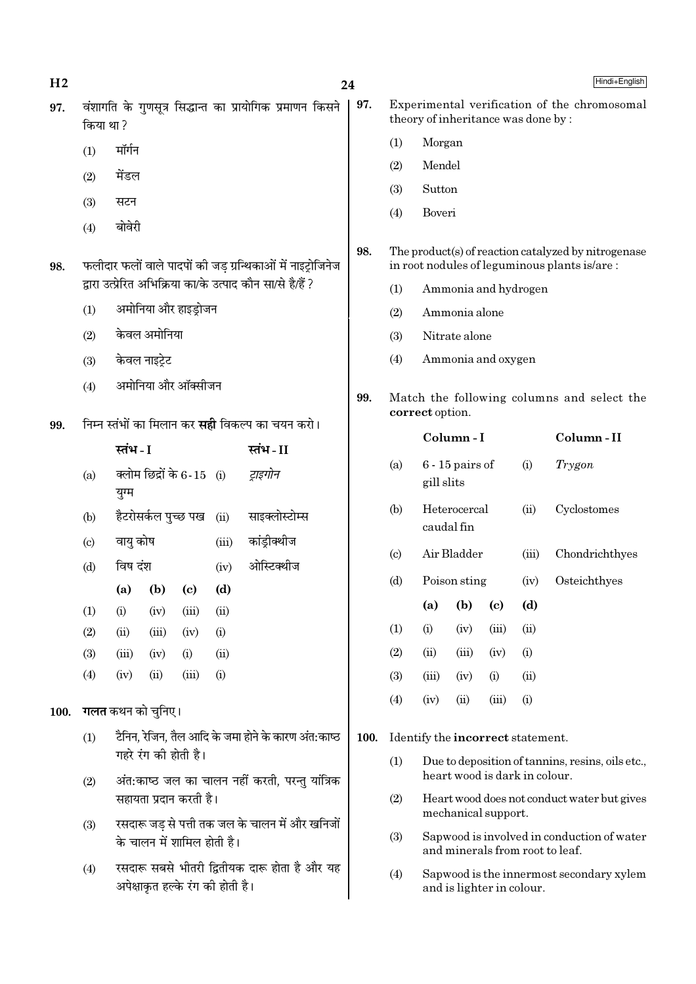| 97.<br>Experimental verification of the chromosomal<br>वंशागति के गुणसूत्र सिद्धान्त का प्रायोगिक प्रमाणन किसने<br>97.<br>theory of inheritance was done by:<br>किया था ?<br>(1)<br>Morgan<br>मॉर्गन<br>(1)<br>Mendel<br>(2)<br>मेंडल<br>(2)<br>Sutton<br>(3)<br>(3)<br>सटन<br>(4)<br>Boveri<br>बोवेरी<br>(4)<br>98.<br>The product(s) of reaction catalyzed by nitrogenase<br>फलीदार फलों वाले पादपों की जड़ ग्रन्थिकाओं में नाइट्रोजिनेज<br>in root nodules of leguminous plants is/are:<br>98.<br>द्रारा उत्प्रेरित अभिक्रिया का/के उत्पाद कौन सा/से है/हैं ?<br>Ammonia and hydrogen<br>(1)<br>अमोनिया और हाइड्रोजन<br>(1)<br>(2)<br>Ammonia alone<br>केवल अमोनिया<br>(2)<br>(3)<br>Nitrate alone<br>(4)<br>Ammonia and oxygen<br>केवल नाइट्रेट<br>(3)<br>अमोनिया और ऑक्सीजन<br>(4)<br>99.<br>Match the following columns and select the<br>correct option.<br>निम्न स्तंभों का मिलान कर <b>सही</b> विकल्प का चयन करो।<br>99.<br>Column-I<br>Column-II<br>स्तंभ - I<br>स्तंभ-II<br>$6 - 15$ pairs of<br>(i)<br>Trygon<br>(a)<br>क्लोम छिद्रों के 6-15 (i)<br>ट्राइगोन<br>(a)<br>gill slits<br>युग्म<br>Heterocercal<br>(ii)<br>Cyclostomes<br>(b)<br>हैटरोसर्कल पुच्छ पख<br>साइक्लोस्टोम्स<br>(ii)<br>(b)<br>caudal fin<br>कांड्रीक्थीज<br>वायु कोष<br>(iii)<br>(c)<br>Air Bladder<br>Chondrichthyes<br>(iii)<br>$\left( \mathrm{c} \right)$<br>ओस्टिक्थीज<br>विष दंश<br>(d)<br>(iv)<br>Poison sting<br>Osteichthyes<br>(d)<br>(iv)<br>(d)<br>(b)<br>$\left( \mathrm{c}\right)$<br>(a)<br>(b)<br>(d)<br>(a)<br>$\left( \mathrm{c}\right)$<br>(1)<br>(i)<br>(iv)<br>(iii)<br>(ii)<br>(ii)<br>(1)<br>(iii)<br>(i)<br>(iv)<br>(2)<br>(iii)<br>(ii)<br>(iv)<br>(i)<br>(2)<br>(ii)<br>(iii)<br>(iv)<br>(i)<br>(3)<br>(ii)<br>(iii)<br>(iv)<br>(i)<br>(4)<br>(iii)<br>(i)<br>(iv)<br>(ii)<br>(3)<br>(ii)<br>(iii)<br>(i)<br>(iv)<br>(4)<br>(ii)<br>(iii)<br>(i)<br>(iv)<br>गलत कथन को चुनिए।<br><b>100.</b><br>टैनिन, रेजिन, तैल आदि के जमा होने के कारण अंत:काष्ठ<br>(1)<br>100.<br>Identify the incorrect statement.<br>गहरे रंग की होती है।<br>(1)<br>Due to deposition of tannins, resins, oils etc.,<br>heart wood is dark in colour.<br>अंत:काष्ठ जल का चालन नहीं करती, परन्तु यांत्रिक<br>(2)<br>सहायता प्रदान करती है।<br>(2)<br>Heart wood does not conduct water but gives<br>mechanical support.<br>रसदारू जड़ से पत्ती तक जल के चालन में और खनिजों<br>(3)<br>(3)<br>Sapwood is involved in conduction of water<br>के चालन में शामिल होती है।<br>and minerals from root to leaf.<br>रसदारू सबसे भीतरी द्वितीयक दारू होता है और यह<br>(4)<br>(4)<br>Sapwood is the innermost secondary xylem<br>अपेक्षाकृत हल्के रंग की होती है।<br>and is lighter in colour. | H <sub>2</sub> |  |  |  |  |  | 24 |  |  |  |  | Hindi+English |
|-----------------------------------------------------------------------------------------------------------------------------------------------------------------------------------------------------------------------------------------------------------------------------------------------------------------------------------------------------------------------------------------------------------------------------------------------------------------------------------------------------------------------------------------------------------------------------------------------------------------------------------------------------------------------------------------------------------------------------------------------------------------------------------------------------------------------------------------------------------------------------------------------------------------------------------------------------------------------------------------------------------------------------------------------------------------------------------------------------------------------------------------------------------------------------------------------------------------------------------------------------------------------------------------------------------------------------------------------------------------------------------------------------------------------------------------------------------------------------------------------------------------------------------------------------------------------------------------------------------------------------------------------------------------------------------------------------------------------------------------------------------------------------------------------------------------------------------------------------------------------------------------------------------------------------------------------------------------------------------------------------------------------------------------------------------------------------------------------------------------------------------------------------------------------------------------------------------------------------------------------------------------------------------------------------------------------------------------------------------------------------------------------------------------------------------------------------------------------------------------------------------------------------------------------------------------------------------------------------------------------------------------------------------------------|----------------|--|--|--|--|--|----|--|--|--|--|---------------|
|                                                                                                                                                                                                                                                                                                                                                                                                                                                                                                                                                                                                                                                                                                                                                                                                                                                                                                                                                                                                                                                                                                                                                                                                                                                                                                                                                                                                                                                                                                                                                                                                                                                                                                                                                                                                                                                                                                                                                                                                                                                                                                                                                                                                                                                                                                                                                                                                                                                                                                                                                                                                                                                                       |                |  |  |  |  |  |    |  |  |  |  |               |
|                                                                                                                                                                                                                                                                                                                                                                                                                                                                                                                                                                                                                                                                                                                                                                                                                                                                                                                                                                                                                                                                                                                                                                                                                                                                                                                                                                                                                                                                                                                                                                                                                                                                                                                                                                                                                                                                                                                                                                                                                                                                                                                                                                                                                                                                                                                                                                                                                                                                                                                                                                                                                                                                       |                |  |  |  |  |  |    |  |  |  |  |               |
|                                                                                                                                                                                                                                                                                                                                                                                                                                                                                                                                                                                                                                                                                                                                                                                                                                                                                                                                                                                                                                                                                                                                                                                                                                                                                                                                                                                                                                                                                                                                                                                                                                                                                                                                                                                                                                                                                                                                                                                                                                                                                                                                                                                                                                                                                                                                                                                                                                                                                                                                                                                                                                                                       |                |  |  |  |  |  |    |  |  |  |  |               |
|                                                                                                                                                                                                                                                                                                                                                                                                                                                                                                                                                                                                                                                                                                                                                                                                                                                                                                                                                                                                                                                                                                                                                                                                                                                                                                                                                                                                                                                                                                                                                                                                                                                                                                                                                                                                                                                                                                                                                                                                                                                                                                                                                                                                                                                                                                                                                                                                                                                                                                                                                                                                                                                                       |                |  |  |  |  |  |    |  |  |  |  |               |
|                                                                                                                                                                                                                                                                                                                                                                                                                                                                                                                                                                                                                                                                                                                                                                                                                                                                                                                                                                                                                                                                                                                                                                                                                                                                                                                                                                                                                                                                                                                                                                                                                                                                                                                                                                                                                                                                                                                                                                                                                                                                                                                                                                                                                                                                                                                                                                                                                                                                                                                                                                                                                                                                       |                |  |  |  |  |  |    |  |  |  |  |               |
|                                                                                                                                                                                                                                                                                                                                                                                                                                                                                                                                                                                                                                                                                                                                                                                                                                                                                                                                                                                                                                                                                                                                                                                                                                                                                                                                                                                                                                                                                                                                                                                                                                                                                                                                                                                                                                                                                                                                                                                                                                                                                                                                                                                                                                                                                                                                                                                                                                                                                                                                                                                                                                                                       |                |  |  |  |  |  |    |  |  |  |  |               |
|                                                                                                                                                                                                                                                                                                                                                                                                                                                                                                                                                                                                                                                                                                                                                                                                                                                                                                                                                                                                                                                                                                                                                                                                                                                                                                                                                                                                                                                                                                                                                                                                                                                                                                                                                                                                                                                                                                                                                                                                                                                                                                                                                                                                                                                                                                                                                                                                                                                                                                                                                                                                                                                                       |                |  |  |  |  |  |    |  |  |  |  |               |
|                                                                                                                                                                                                                                                                                                                                                                                                                                                                                                                                                                                                                                                                                                                                                                                                                                                                                                                                                                                                                                                                                                                                                                                                                                                                                                                                                                                                                                                                                                                                                                                                                                                                                                                                                                                                                                                                                                                                                                                                                                                                                                                                                                                                                                                                                                                                                                                                                                                                                                                                                                                                                                                                       |                |  |  |  |  |  |    |  |  |  |  |               |
|                                                                                                                                                                                                                                                                                                                                                                                                                                                                                                                                                                                                                                                                                                                                                                                                                                                                                                                                                                                                                                                                                                                                                                                                                                                                                                                                                                                                                                                                                                                                                                                                                                                                                                                                                                                                                                                                                                                                                                                                                                                                                                                                                                                                                                                                                                                                                                                                                                                                                                                                                                                                                                                                       |                |  |  |  |  |  |    |  |  |  |  |               |
|                                                                                                                                                                                                                                                                                                                                                                                                                                                                                                                                                                                                                                                                                                                                                                                                                                                                                                                                                                                                                                                                                                                                                                                                                                                                                                                                                                                                                                                                                                                                                                                                                                                                                                                                                                                                                                                                                                                                                                                                                                                                                                                                                                                                                                                                                                                                                                                                                                                                                                                                                                                                                                                                       |                |  |  |  |  |  |    |  |  |  |  |               |
|                                                                                                                                                                                                                                                                                                                                                                                                                                                                                                                                                                                                                                                                                                                                                                                                                                                                                                                                                                                                                                                                                                                                                                                                                                                                                                                                                                                                                                                                                                                                                                                                                                                                                                                                                                                                                                                                                                                                                                                                                                                                                                                                                                                                                                                                                                                                                                                                                                                                                                                                                                                                                                                                       |                |  |  |  |  |  |    |  |  |  |  |               |
|                                                                                                                                                                                                                                                                                                                                                                                                                                                                                                                                                                                                                                                                                                                                                                                                                                                                                                                                                                                                                                                                                                                                                                                                                                                                                                                                                                                                                                                                                                                                                                                                                                                                                                                                                                                                                                                                                                                                                                                                                                                                                                                                                                                                                                                                                                                                                                                                                                                                                                                                                                                                                                                                       |                |  |  |  |  |  |    |  |  |  |  |               |
|                                                                                                                                                                                                                                                                                                                                                                                                                                                                                                                                                                                                                                                                                                                                                                                                                                                                                                                                                                                                                                                                                                                                                                                                                                                                                                                                                                                                                                                                                                                                                                                                                                                                                                                                                                                                                                                                                                                                                                                                                                                                                                                                                                                                                                                                                                                                                                                                                                                                                                                                                                                                                                                                       |                |  |  |  |  |  |    |  |  |  |  |               |
|                                                                                                                                                                                                                                                                                                                                                                                                                                                                                                                                                                                                                                                                                                                                                                                                                                                                                                                                                                                                                                                                                                                                                                                                                                                                                                                                                                                                                                                                                                                                                                                                                                                                                                                                                                                                                                                                                                                                                                                                                                                                                                                                                                                                                                                                                                                                                                                                                                                                                                                                                                                                                                                                       |                |  |  |  |  |  |    |  |  |  |  |               |
|                                                                                                                                                                                                                                                                                                                                                                                                                                                                                                                                                                                                                                                                                                                                                                                                                                                                                                                                                                                                                                                                                                                                                                                                                                                                                                                                                                                                                                                                                                                                                                                                                                                                                                                                                                                                                                                                                                                                                                                                                                                                                                                                                                                                                                                                                                                                                                                                                                                                                                                                                                                                                                                                       |                |  |  |  |  |  |    |  |  |  |  |               |
|                                                                                                                                                                                                                                                                                                                                                                                                                                                                                                                                                                                                                                                                                                                                                                                                                                                                                                                                                                                                                                                                                                                                                                                                                                                                                                                                                                                                                                                                                                                                                                                                                                                                                                                                                                                                                                                                                                                                                                                                                                                                                                                                                                                                                                                                                                                                                                                                                                                                                                                                                                                                                                                                       |                |  |  |  |  |  |    |  |  |  |  |               |
|                                                                                                                                                                                                                                                                                                                                                                                                                                                                                                                                                                                                                                                                                                                                                                                                                                                                                                                                                                                                                                                                                                                                                                                                                                                                                                                                                                                                                                                                                                                                                                                                                                                                                                                                                                                                                                                                                                                                                                                                                                                                                                                                                                                                                                                                                                                                                                                                                                                                                                                                                                                                                                                                       |                |  |  |  |  |  |    |  |  |  |  |               |
|                                                                                                                                                                                                                                                                                                                                                                                                                                                                                                                                                                                                                                                                                                                                                                                                                                                                                                                                                                                                                                                                                                                                                                                                                                                                                                                                                                                                                                                                                                                                                                                                                                                                                                                                                                                                                                                                                                                                                                                                                                                                                                                                                                                                                                                                                                                                                                                                                                                                                                                                                                                                                                                                       |                |  |  |  |  |  |    |  |  |  |  |               |
|                                                                                                                                                                                                                                                                                                                                                                                                                                                                                                                                                                                                                                                                                                                                                                                                                                                                                                                                                                                                                                                                                                                                                                                                                                                                                                                                                                                                                                                                                                                                                                                                                                                                                                                                                                                                                                                                                                                                                                                                                                                                                                                                                                                                                                                                                                                                                                                                                                                                                                                                                                                                                                                                       |                |  |  |  |  |  |    |  |  |  |  |               |
|                                                                                                                                                                                                                                                                                                                                                                                                                                                                                                                                                                                                                                                                                                                                                                                                                                                                                                                                                                                                                                                                                                                                                                                                                                                                                                                                                                                                                                                                                                                                                                                                                                                                                                                                                                                                                                                                                                                                                                                                                                                                                                                                                                                                                                                                                                                                                                                                                                                                                                                                                                                                                                                                       |                |  |  |  |  |  |    |  |  |  |  |               |
|                                                                                                                                                                                                                                                                                                                                                                                                                                                                                                                                                                                                                                                                                                                                                                                                                                                                                                                                                                                                                                                                                                                                                                                                                                                                                                                                                                                                                                                                                                                                                                                                                                                                                                                                                                                                                                                                                                                                                                                                                                                                                                                                                                                                                                                                                                                                                                                                                                                                                                                                                                                                                                                                       |                |  |  |  |  |  |    |  |  |  |  |               |
|                                                                                                                                                                                                                                                                                                                                                                                                                                                                                                                                                                                                                                                                                                                                                                                                                                                                                                                                                                                                                                                                                                                                                                                                                                                                                                                                                                                                                                                                                                                                                                                                                                                                                                                                                                                                                                                                                                                                                                                                                                                                                                                                                                                                                                                                                                                                                                                                                                                                                                                                                                                                                                                                       |                |  |  |  |  |  |    |  |  |  |  |               |
|                                                                                                                                                                                                                                                                                                                                                                                                                                                                                                                                                                                                                                                                                                                                                                                                                                                                                                                                                                                                                                                                                                                                                                                                                                                                                                                                                                                                                                                                                                                                                                                                                                                                                                                                                                                                                                                                                                                                                                                                                                                                                                                                                                                                                                                                                                                                                                                                                                                                                                                                                                                                                                                                       |                |  |  |  |  |  |    |  |  |  |  |               |
|                                                                                                                                                                                                                                                                                                                                                                                                                                                                                                                                                                                                                                                                                                                                                                                                                                                                                                                                                                                                                                                                                                                                                                                                                                                                                                                                                                                                                                                                                                                                                                                                                                                                                                                                                                                                                                                                                                                                                                                                                                                                                                                                                                                                                                                                                                                                                                                                                                                                                                                                                                                                                                                                       |                |  |  |  |  |  |    |  |  |  |  |               |
|                                                                                                                                                                                                                                                                                                                                                                                                                                                                                                                                                                                                                                                                                                                                                                                                                                                                                                                                                                                                                                                                                                                                                                                                                                                                                                                                                                                                                                                                                                                                                                                                                                                                                                                                                                                                                                                                                                                                                                                                                                                                                                                                                                                                                                                                                                                                                                                                                                                                                                                                                                                                                                                                       |                |  |  |  |  |  |    |  |  |  |  |               |
|                                                                                                                                                                                                                                                                                                                                                                                                                                                                                                                                                                                                                                                                                                                                                                                                                                                                                                                                                                                                                                                                                                                                                                                                                                                                                                                                                                                                                                                                                                                                                                                                                                                                                                                                                                                                                                                                                                                                                                                                                                                                                                                                                                                                                                                                                                                                                                                                                                                                                                                                                                                                                                                                       |                |  |  |  |  |  |    |  |  |  |  |               |
|                                                                                                                                                                                                                                                                                                                                                                                                                                                                                                                                                                                                                                                                                                                                                                                                                                                                                                                                                                                                                                                                                                                                                                                                                                                                                                                                                                                                                                                                                                                                                                                                                                                                                                                                                                                                                                                                                                                                                                                                                                                                                                                                                                                                                                                                                                                                                                                                                                                                                                                                                                                                                                                                       |                |  |  |  |  |  |    |  |  |  |  |               |
|                                                                                                                                                                                                                                                                                                                                                                                                                                                                                                                                                                                                                                                                                                                                                                                                                                                                                                                                                                                                                                                                                                                                                                                                                                                                                                                                                                                                                                                                                                                                                                                                                                                                                                                                                                                                                                                                                                                                                                                                                                                                                                                                                                                                                                                                                                                                                                                                                                                                                                                                                                                                                                                                       |                |  |  |  |  |  |    |  |  |  |  |               |
|                                                                                                                                                                                                                                                                                                                                                                                                                                                                                                                                                                                                                                                                                                                                                                                                                                                                                                                                                                                                                                                                                                                                                                                                                                                                                                                                                                                                                                                                                                                                                                                                                                                                                                                                                                                                                                                                                                                                                                                                                                                                                                                                                                                                                                                                                                                                                                                                                                                                                                                                                                                                                                                                       |                |  |  |  |  |  |    |  |  |  |  |               |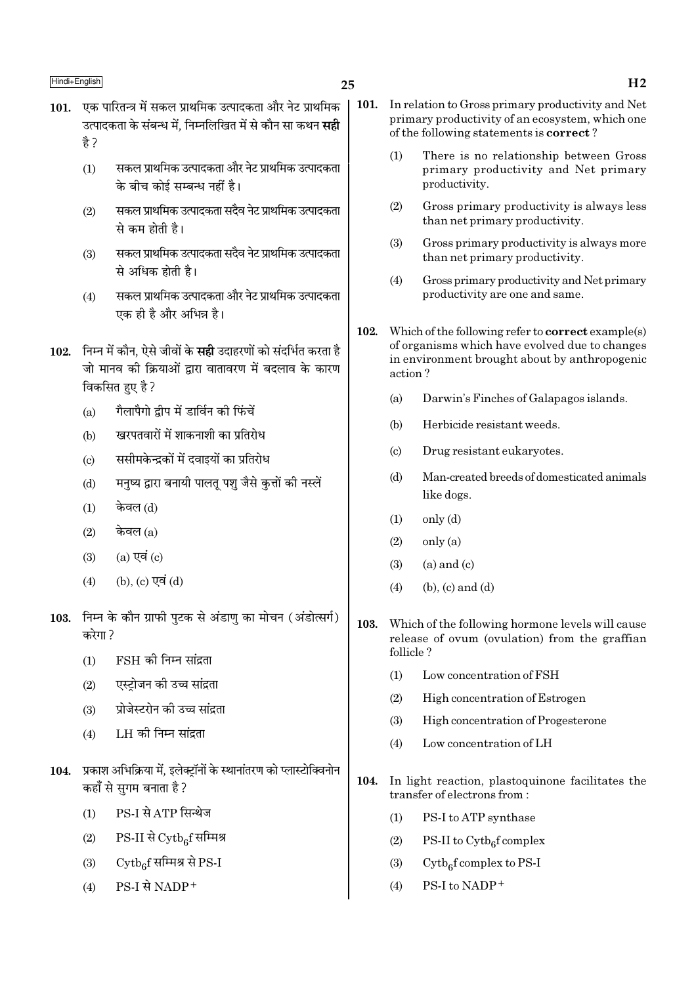- 25
- 101. एक पारितन्त्र में सकल प्राथमिक उत्पादकता और नेट प्राथमिक उत्पादकता के संबन्ध में. निम्नलिखित में से कौन सा कथन **सद्दी** है ?
	- सकल प्राथमिक उत्पादकता और नेट प्राथमिक उत्पादकता  $(1)$ के बीच कोई सम्बन्ध नहीं है।
	- सकल प्राथमिक उत्पादकता सदैव नेट प्राथमिक उत्पादकता  $(2)$ से कम होती है।
	- सकल प्राथमिक उत्पादकता सदैव नेट प्राथमिक उत्पादकता  $(3)$ से अधिक होती है।
	- सकल प्राथमिक उत्पादकता और नेट प्राथमिक उत्पादकता  $(4)$ एक ही है और अभिन्न है।
- 102. निम्न में कौन, ऐसे जीवों के **सही** उदाहरणों को संदर्भित करता है जो मानव की क्रियाओं द्वारा वातावरण में बदलाव के कारण विकसित हुए है ?
	- गैलापैगो द्वीप में डार्विन की फिंचें  $(a)$
	- खरपतवारों में शाकनाशी का प्रतिरोध  $(h)$
	- ससीमकेन्द्रकों में दवाइयों का प्रतिरोध  $\left($ c $\right)$
	- मनुष्य द्वारा बनायी पालतू पशु जैसे कुत्तों की नस्लें  $(d)$
	- केवल (d)  $(1)$
	- केवल $(a)$  $(2)$
	- $(a)$  एवं  $(c)$  $(3)$
	- (b), (c) एवं (d)  $(4)$
- 103. निम्न के कौन ग्राफी पुटक से अंडाणु का मोचन (अंडोत्सर्ग) करेगा?
	- FSH की निम्न सांद्रता  $(1)$
	- एस्टोजन की उच्च सांद्रता  $(2)$
	- प्रोजेस्टरोन की उच्च सांद्रता  $(3)$
	- LH की निम्न सांद्रता  $(4)$
- 104. प्रकाश अभिक्रिया में. इलेक्टॉनों के स्थानांतरण को प्लास्टोक्विनोन कहाँ से सुगम बनाता है ?
	- PS-I से ATP सिन्थेज  $(1)$
	- $(2)$  $PS-II \overrightarrow{H} Cytb_{6}f$  सम्मिश्र
	- $\mathrm{Cytb}_{6}$ f सम्मिश्र से PS-I  $(3)$
	- $PS-I$  से NADP+  $(4)$
- 101. In relation to Gross primary productivity and Net primary productivity of an ecosystem, which one of the following statements is **correct**?
	- There is no relationship between Gross  $(1)$ primary productivity and Net primary productivity.
	- Gross primary productivity is always less  $(2)$ than net primary productivity.
	- Gross primary productivity is always more  $(3)$ than net primary productivity.
	- $(4)$ Gross primary productivity and Net primary productivity are one and same.
- 102. Which of the following refer to **correct** example(s) of organisms which have evolved due to changes in environment brought about by anthropogenic action?
	- $(a)$ Darwin's Finches of Galapagos islands.
	- $(b)$ Herbicide resistant weeds
	- $(c)$ Drug resistant eukaryotes.
	- $(d)$ Man-created breeds of domesticated animals like dogs.
	- $(1)$  $only (d)$
	- $(2)$ only (a)
	- $(3)$  $(a)$  and  $(c)$
	- $(b)$ ,  $(c)$  and  $(d)$  $(4)$
- 103. Which of the following hormone levels will cause release of ovum (ovulation) from the graffian follicle?
	- $(1)$ Low concentration of FSH
	- $(2)$ High concentration of Estrogen
	- $(3)$ High concentration of Progesterone
	- Low concentration of LH  $(4)$
- 104. In light reaction, plastoquinone facilitates the transfer of electrons from:
	- PS-I to ATP synthase  $(1)$
	- PS-II to  $\mathrm{Cytb}_{6}$ f complex  $(2)$
	- $(3)$  $Cytb<sub>6</sub>f complex to PS-I$
	- PS-I to NADP+  $(4)$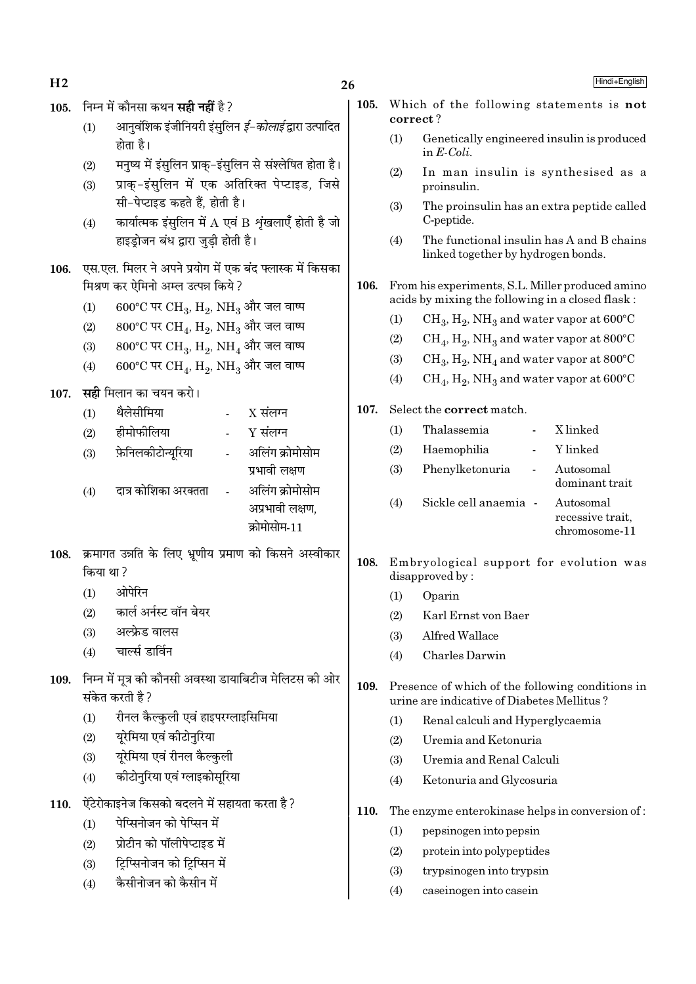$H<sub>2</sub>$ 

## $26$

- 105. निम्न में कौनसा कथन सही नहीं है ?
	- आनवशिक इंजीनियरी इंसुलिन *ई-कोलाई* द्वारा उत्पादित  $(1)$ होता है।
	- मनुष्य में इंसुलिन प्राक्-इंसुलिन से संश्लेषित होता है।  $(2)$
	- प्राक-इंसलिन में एक अतिरिक्त पेप्टाइड, जिसे  $(3)$ सी-पेप्टाइड कहते हैं. होती है।
	- कार्यात्मक इंसुलिन में  $A$  एवं B शृंखलाएँ होती है जो  $(4)$ हाइडोजन बंध द्वारा जडी होती है।
- 106. एस.एल. मिलर ने अपने प्रयोग में एक बंद फ्लास्क में किसका मिश्रण कर ऐमिनो अम्ल उत्पन्न किये ?
	- $600^{\circ}$ C पर CH<sub>3</sub>, H<sub>2</sub>, NH<sub>3</sub> और जल वाष्प  $(1)$
	- 800°C पर CH<sub>4</sub>, H<sub>2</sub>, NH<sub>3</sub> और जल वाष्प  $(2)$
	- $800^{\circ}$ C पर CH<sub>3</sub>, H<sub>2</sub>, NH<sub>4</sub> और जल वाष्प  $(3)$
	- $600^{\circ}$ C पर CH<sub>4</sub>, H<sub>2</sub>, NH<sub>3</sub> और जल वाष्प  $(4)$
- 107. सही मिलान का चयन करो।
	- थैलेसीमिया  $X$  संलग्न  $(1)$ हीमोफीलिया  $Y$  संलग्न  $(2)$ फ़ेनिलकीटोन्यरिया अलिंग क्रोमोसोम  $(3)$ प्रभावी लक्षण
	- अलिंग कोमोसोम  $(4)$ दात्र कोशिका अरक्तता अप्रभावी लक्षण. क्रोमोसोम-11
- 108. क्रमागत उन्नति के लिए भ्रणीय प्रमाण को किसने अस्वीकार किया था ?
	- $(1)$ ओपेरिन
	- कार्ल अर्नस्ट वॉन बेयर  $(2)$
	- अल्फ्रेड वालस  $(3)$
	- चार्ल्स डार्विन  $(4)$
- 109. निम्न में मत्र की कौनसी अवस्था डायाबिटीज मेलिटस की ओर संकेत करती है ?
	- रीनल कैल्कुली एवं हाइपरग्लाइसिमिया  $(1)$
	- यरेमिया एवं कीटोनरिया  $(2)$
	- यरेमिया एवं रीनल कैल्कुली  $(3)$
	- कीटोनुरिया एवं ग्लाइकोसुरिया  $(4)$
- .<br>ऐंटेरोकाइनेज किसको बदलने में सहायता करता है ? 110.
	- पेप्सिनोजन को पेप्सिन में  $(1)$
	- प्रोटीन को पॉलीपेप्टाइड में  $(2)$
	- टिप्सिनोजन को टिप्सिन में  $(3)$
	- .<br>कैसीनोजन को कैसीन में  $(4)$
- 105. Which of the following statements is not correct?
	- $(1)$ Genetically engineered insulin is produced in  $E\text{-}Coli$ .
	- $(2)$ In man insulin is synthesised as a proinsulin.
	- The proinsulin has an extra peptide called  $(3)$ C-peptide.
	- The functional insulin has A and B chains  $(4)$ linked together by hydrogen bonds.
- 106. From his experiments, S.L. Miller produced amino acids by mixing the following in a closed flask:
	- $(1)$  $CH_3$ ,  $H_2$ , NH<sub>3</sub> and water vapor at 600°C
	- $CH_4$ ,  $H_2$ , NH<sub>3</sub> and water vapor at 800°C  $(2)$
	- $(3)$  $CH_3, H_2, NH_4$  and water vapor at 800°C
	- $CH_4$ ,  $H_2$ , NH<sub>3</sub> and water vapor at 600°C  $(4)$
- 107. Select the correct match.

| (1) | Thalassemia           | X linked                                       |
|-----|-----------------------|------------------------------------------------|
| (2) | Haemophilia           | Y linked                                       |
| (3) | Phenylketonuria       | Autosomal<br>dominant trait                    |
| (4) | Sickle cell anaemia - | Autosomal<br>recessive trait,<br>chromosome-11 |

- 108. Embryological support for evolution was disapproved by:
	- $(1)$ Oparin
	- Karl Ernst von Baer  $(2)$
	- Alfred Wallace  $(3)$
	- Charles Darwin  $(4)$
- 109 Presence of which of the following conditions in urine are indicative of Diabetes Mellitus?
	- $(1)$ Renal calculi and Hyperglycaemia
	- $(2)$ Uremia and Ketonuria
	- Uremia and Renal Calculi  $(3)$
	- $(4)$ Ketonuria and Glycosuria
- 110. The enzyme enterokinase helps in conversion of:
	- $(1)$ pepsinogen into pepsin
	- $(2)$ protein into polypeptides
	- $(3)$ trypsinogen into trypsin
	- $(4)$ caseinogen into casein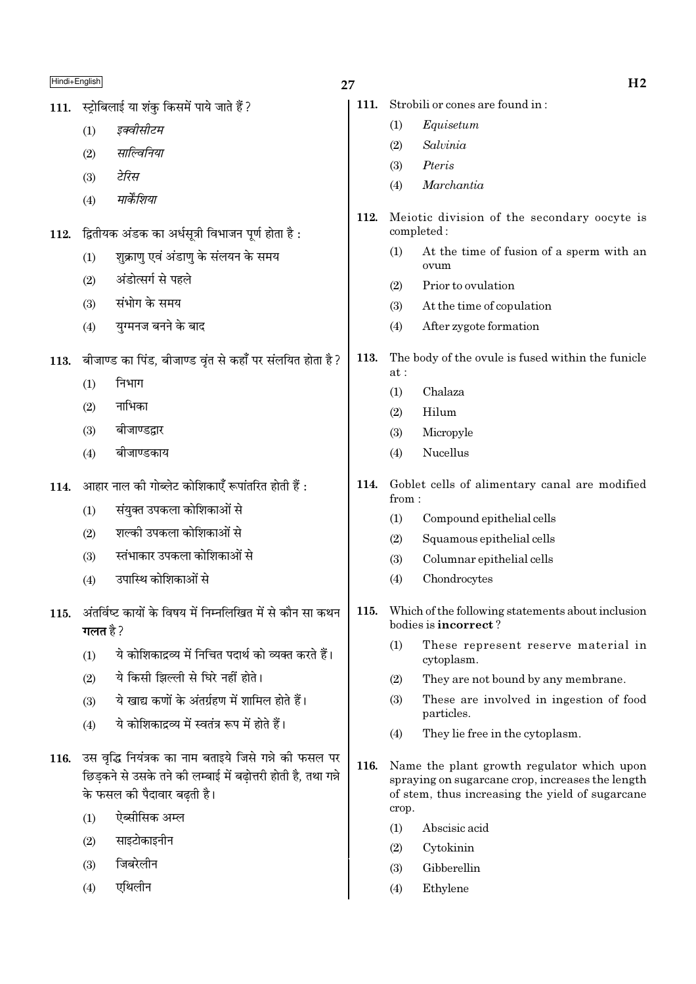| Hindi+English |                                                                                                                                                       | 27   |              | H <sub>2</sub>                                                                                                                                    |
|---------------|-------------------------------------------------------------------------------------------------------------------------------------------------------|------|--------------|---------------------------------------------------------------------------------------------------------------------------------------------------|
| 111.          | स्ट्रोबिलाई या शंकु किसमें पाये जाते हैं ?                                                                                                            | 111. |              | Strobili or cones are found in:                                                                                                                   |
|               | इक्वीसीटम<br>(1)                                                                                                                                      |      | (1)          | Equisetum                                                                                                                                         |
|               | साल्विनिया<br>(2)                                                                                                                                     |      | (2)          | Salvinia                                                                                                                                          |
|               | टेरिस<br>(3)                                                                                                                                          |      | (3)          | Pteris                                                                                                                                            |
|               | मार्केशिया<br>(4)                                                                                                                                     |      | (4)          | Marchantia                                                                                                                                        |
| 112.          | द्वितीयक अंडक का अर्धसूत्री विभाजन पूर्ण होता है :                                                                                                    | 112. |              | Meiotic division of the secondary oocyte is<br>completed:                                                                                         |
|               | शुक्राणु एवं अंडाणु के संलयन के समय<br>(1)                                                                                                            |      | (1)          | At the time of fusion of a sperm with an<br>ovum                                                                                                  |
|               | अंडोत्सर्ग से पहले<br>(2)                                                                                                                             |      | (2)          | Prior to ovulation                                                                                                                                |
|               | संभोग के समय<br>(3)                                                                                                                                   |      | (3)          | At the time of copulation                                                                                                                         |
|               | युग्मनज बनने के बाद<br>(4)                                                                                                                            |      | (4)          | After zygote formation                                                                                                                            |
| 113.          | बीजाण्ड का पिंड, बीजाण्ड वृंत से कहाँ पर संलयित होता है?                                                                                              | 113. | at:          | The body of the ovule is fused within the funicle                                                                                                 |
|               | निभाग<br>(1)                                                                                                                                          |      | (1)          | Chalaza                                                                                                                                           |
|               | नाभिका<br>(2)                                                                                                                                         |      | (2)          | Hilum                                                                                                                                             |
|               | बीजाण्डद्वार<br>(3)                                                                                                                                   |      | (3)          | Micropyle                                                                                                                                         |
|               | बीजाण्डकाय<br>(4)                                                                                                                                     |      | (4)          | Nucellus                                                                                                                                          |
| 114.          | आहार नाल की गोब्लेट कोशिकाएँ रूपांतरित होती हैं :                                                                                                     | 114. |              | Goblet cells of alimentary canal are modified                                                                                                     |
|               | संयुक्त उपकला कोशिकाओं से<br>(1)                                                                                                                      |      | from:<br>(1) | Compound epithelial cells                                                                                                                         |
|               | शल्की उपकला कोशिकाओं से<br>(2)                                                                                                                        |      | (2)          | Squamous epithelial cells                                                                                                                         |
|               | स्तंभाकार उपकला कोशिकाओं से<br>(3)                                                                                                                    |      | (3)          | Columnar epithelial cells                                                                                                                         |
|               | उपास्थि कोशिकाओं से<br>(4)                                                                                                                            |      | (4)          | Chondrocytes                                                                                                                                      |
| 115.          | अंतर्विष्ट कायों के विषय में निम्नलिखित में से कौन सा कथन<br>गलत है ?                                                                                 | 115. |              | Which of the following statements about inclusion<br>bodies is incorrect?                                                                         |
|               | ये कोशिकाद्रव्य में निचित पदार्थ को व्यक्त करते हैं।<br>(1)                                                                                           |      | (1)          | These represent reserve material in<br>cytoplasm.                                                                                                 |
|               | ये किसी झिल्ली से घिरे नहीं होते।<br>(2)                                                                                                              |      | (2)          | They are not bound by any membrane.                                                                                                               |
|               | ये खाद्य कणों के अंतर्ग्रहण में शामिल होते हैं।<br>(3)                                                                                                |      | (3)          | These are involved in ingestion of food<br>particles.                                                                                             |
|               | ये कोशिकाद्रव्य में स्वतंत्र रूप में होते हैं।<br>(4)                                                                                                 |      | (4)          | They lie free in the cytoplasm.                                                                                                                   |
| 116.          | उस वृद्धि नियंत्रक का नाम बताइये जिसे गन्ने की फसल पर<br>छिड़कने से उसके तने की लम्बाई में बढ़ोत्तरी होती है, तथा गन्ने<br>के फसल की पैदावार बढती है। | 116. |              | Name the plant growth regulator which upon<br>spraying on sugarcane crop, increases the length<br>of stem, thus increasing the yield of sugarcane |
|               | ऐब्सीसिक अम्ल<br>(1)                                                                                                                                  |      | crop.<br>(1) | Abscisic acid                                                                                                                                     |
|               | साइटोकाइनीन<br>(2)                                                                                                                                    |      | (2)          | Cytokinin                                                                                                                                         |
|               | जिबरेलीन<br>(3)                                                                                                                                       |      | (3)          | Gibberellin                                                                                                                                       |

एथिलीन  $(4)$ 

 $(4)$ Ethylene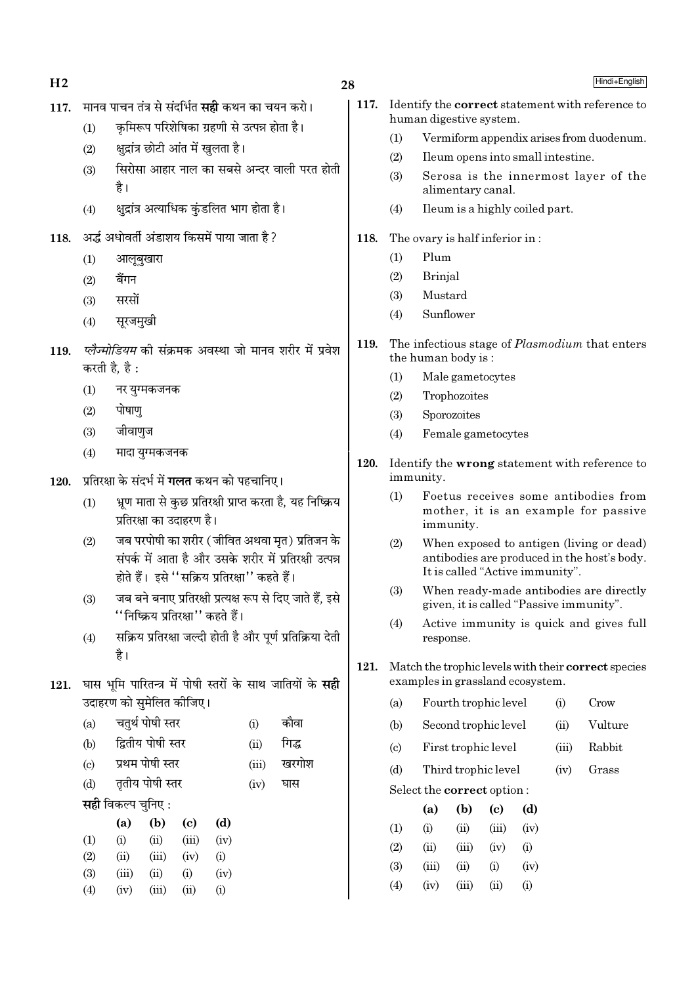$H<sub>2</sub>$ 

# 28

- 117. मानव पाचन तंत्र से संदर्भित **सद्दी** कथन का चयन करो।
	- कमिरूप परिशेषिका ग्रहणी से उत्पन्न होता है।  $(1)$
	- क्षद्रांत्र छोटी आंत में खुलता है।  $(2)$
	- सिरोसा आहार नाल का सबसे अन्दर वाली परत होती  $(3)$ है।
	- क्षद्रांत्र अत्याधिक कुंडलित भाग होता है।  $(4)$
- 118. अर्द्ध अधोवर्ती अंडाशय किसमें पाया जाता है?
	- आलबखारा  $(1)$
	- बैंगन  $(2)$
	- सरसों  $(3)$
	- सुरजमुखी  $(4)$
- *प्लेज्मोडियम* की संक्रमक अवस्था जो मानव शरीर में प्रवेश 119. करती है. है :
	- नर युग्मकजनक  $(1)$
	- पोषाण  $(2)$
	- जीवाणज  $(3)$
	- मादा युग्मकजनक  $(4)$
- प्रतिरक्षा के संदर्भ में **गलत** कथन को पहचानिए।  $120.$ 
	- भ्रण माता से कुछ प्रतिरक्षी प्राप्त करता है, यह निष्क्रिय  $(1)$ प्रतिरक्षा का उदाहरण है।
	- जब परपोषी का शरीर ( जीवित अथवा मत) प्रतिजन के  $(2)$ संपर्क में आता है और उसके शरीर में प्रतिरक्षी उत्पन्न होते हैं। इसे "सक्रिय प्रतिरक्षा" कहते हैं।
	- जब बने बनाए प्रतिरक्षी प्रत्यक्ष रूप से दिए जाते हैं. इसे  $(3)$ ''निष्क्रिय प्रतिरक्षा'' कहते हैं।
	- सक्रिय प्रतिरक्षा जल्दी होती है और पूर्ण प्रतिक्रिया देती  $(4)$ है।
- 121. घास भमि पारितन्त्र में पोषी स्तरों के साथ जातियों के सही उदाहरण को समेलित कीजिए।
	- चतुर्थ पोषी स्तर कौवा  $(a)$  $(i)$
	- द्वितीय पोषी स्तर गिद्ध  $(b)$  $(ii)$
	- प्रथम पोषी स्तर खरगोश  $\left( \mathrm{c} \right)$  $(iii)$
	- तृतीय पोषी स्तर  $(d)$  $(iv)$ घास
	- सही विकल्प चनिए :

|     | (a)   | (b)   | (c)   | (d)  |
|-----|-------|-------|-------|------|
| (1) | (i)   | (i)   | (iii) | (iv) |
| (2) | (ii)  | (iii) | (iv)  | (i)  |
| (3) | (iii) | (ii)  | (i)   | (iv) |
| (4) | (iv)  | (iii) | (i)   | (i)  |

- $117.$ Identify the **correct** statement with reference to human digestive system.
	- $(1)$ Vermiform appendix arises from duodenum.
	- $(2)$ Ileum opens into small intestine.
	- $(3)$ Serosa is the innermost layer of the alimentary canal.
	- $(4)$ Ileum is a highly coiled part.
- 118. The ovary is half inferior in:
	- Plum  $(1)$
	- $(2)$ **Brinial**
	- Mustard  $(3)$
	- Sunflower  $(4)$
- The infectious stage of *Plasmodium* that enters 119. the human body is:
	- $(1)$ Male gametocytes
	- $(2)$ Trophozoites
	- Sporozoites  $(3)$
	- Female gametocytes  $(4)$
- $120.$ Identify the wrong statement with reference to immunity.
	- $(1)$ Foetus receives some antibodies from mother, it is an example for passive immunity.
	- $(2)$ When exposed to antigen (living or dead) antibodies are produced in the host's body. It is called "Active immunity".
	- When ready-made antibodies are directly  $(3)$ given, it is called "Passive immunity".
	- $(4)$ Active immunity is quick and gives full response.
- Match the trophic levels with their correct species 121. examples in grassland ecosystem.
	- Fourth trophic level Crow  $(a)$  $(i)$
	- Vulture  $(b)$ Second trophic level  $(ii)$
	- First trophic level Rabbit  $\left( \mathrm{c}\right)$  $(iii)$
	- Third trophic level  $(d)$  $(iv)$ Grass

Select the correct option:

|     | (a)   | (b)   | (c)      | (d)                |
|-----|-------|-------|----------|--------------------|
| (1) | (i)   | (ii)  | (iii)    | (iv)               |
| (2) | (ii)  | (iii) | (iv)     | (i)                |
| (3) | (iii) | (ii)  | $\rm(i)$ | (iv)               |
| (4) | (iv)  | (iii) | (i)      | $\left( 1 \right)$ |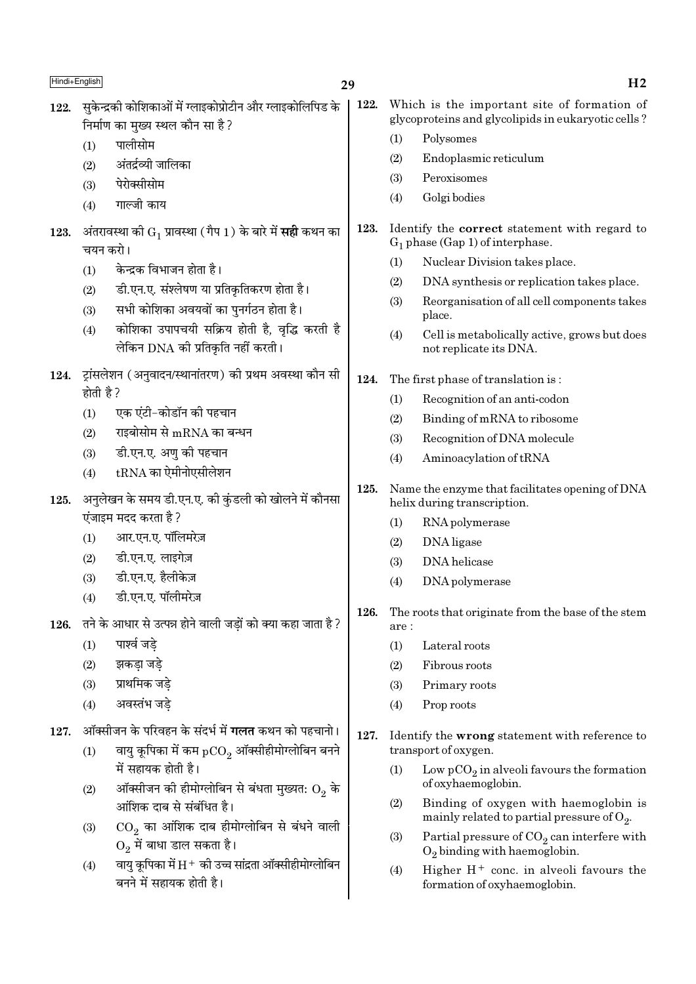| Hindi+English |                                                                                                                                                                                                                                                                                                                                                     | 29   |                                  | H <sub>2</sub>                                                                                                                                                                                                                                                                                                            |
|---------------|-----------------------------------------------------------------------------------------------------------------------------------------------------------------------------------------------------------------------------------------------------------------------------------------------------------------------------------------------------|------|----------------------------------|---------------------------------------------------------------------------------------------------------------------------------------------------------------------------------------------------------------------------------------------------------------------------------------------------------------------------|
| 122.          | सुकेन्द्रकी कोशिकाओं में ग्लाइकोप्रोटीन और ग्लाइकोलिपिड के<br>निर्माण का मुख्य स्थल कौन सा है?<br>पालीसोम<br>(1)<br>अंतर्द्रव्यी जालिका<br>(2)<br>पेरोक्सीसोम<br>(3)<br>गाल्जी काय<br>(4)                                                                                                                                                           | 122. | (1)<br>(2)<br>(3)<br>(4)         | Which is the important site of formation of<br>glycoproteins and glycolipids in eukaryotic cells?<br>Polysomes<br>Endoplasmic reticulum<br>Peroxisomes<br>Golgi bodies                                                                                                                                                    |
| 123.          | अंतरावस्था को $\mathrm{G}_1$ प्रावस्था (गैप 1) के बारे में <b>सही</b> कथन का<br>चयन करो।<br>केन्द्रक विभाजन होता है।<br>(1)<br>डी.एन.ए. संश्लेषण या प्रतिकृतिकरण होता है।<br>(2)<br>सभी कोशिका अवयवों का पुनर्गठन होता है।<br>(3)<br>कोशिका उपापचयी सक्रिय होती है, वृद्धि करती है<br>(4)<br>लेकिन DNA की प्रतिकृति नहीं करती।                      | 123. | (1)<br>(2)<br>(3)<br>(4)         | Identify the <b>correct</b> statement with regard to<br>$G_1$ phase (Gap 1) of interphase.<br>Nuclear Division takes place.<br>DNA synthesis or replication takes place.<br>Reorganisation of all cell components takes<br>place.<br>Cell is metabolically active, grows but does<br>not replicate its DNA.               |
| 124.          | ऱ्रांसलेशन (अनुवादन/स्थानांतरण) की प्रथम अवस्था कौन सी<br>होती है ?<br>एक एंटी-कोडॉन की पहचान<br>(1)<br>राइबोसोम से $\rm{mRNA}$ का बन्धन<br>(2)<br>डी.एन.ए. अणु की पहचान<br>(3)<br>$tRNA$ का ऐमीनोएसीलेशन<br>(4)                                                                                                                                    | 124. | (1)<br>(2)<br>(3)<br>(4)         | The first phase of translation is:<br>Recognition of an anti-codon<br>Binding of mRNA to ribosome<br>Recognition of DNA molecule<br>Aminoacylation of tRNA                                                                                                                                                                |
| 125.          | अनुलेखन के समय डी.एन.ए. की कुंडली को खोलने में कौनसा<br>एंजाइम मदद करता है ?<br>आर.एन.ए. पॉलिमरेज़<br>(1)<br>डी.एन.ए. लाइगेज़<br>(2)<br>डी.एन.ए. हैलीकेज़<br>(3)<br>डी.एन.ए. पॉलीमरेज़<br>(4)                                                                                                                                                       | 125. | (1)<br>(2)<br>(3)<br>(4)         | Name the enzyme that facilitates opening of DNA<br>helix during transcription.<br>RNA polymerase<br>DNA ligase<br>DNA helicase<br>DNA polymerase                                                                                                                                                                          |
| 126.          | तने के आधार से उत्पन्न होने वाली जड़ों को क्या कहा जाता है?<br>पार्श्व जडे<br>(1)<br>झकड़ा जड़े<br>(2)<br>प्राथमिक जड़े<br>(3)<br>अवस्तंभ जड़े<br>(4)                                                                                                                                                                                               | 126. | are:<br>(1)<br>(2)<br>(3)<br>(4) | The roots that originate from the base of the stem<br>Lateral roots<br>Fibrous roots<br>Primary roots<br>Prop roots                                                                                                                                                                                                       |
| 127.          | ऑक्सीजन के परिवहन के संदर्भ में <b>गलत</b> कथन को पहचानो।<br>वायु कूपिका में कम $pCO_2$ ऑक्सीहीमोग्लोबिन बनने<br>(1)<br>में सहायक होती है।<br>ऑक्सीजन की हीमोग्लोबिन से बंधता मुख्यत: $\mathrm{O}_2$ के<br>(2)<br>आंशिक दाब से संबंधित है।<br>$\mathrm{CO}_2$ का आंशिक दाब हीमोग्लोबिन से बंधने वाली<br>(3)<br>$\mathrm{O}_2$ में बाधा डाल सकता है। | 127. | (1)<br>(2)<br>(3)                | Identify the wrong statement with reference to<br>transport of oxygen.<br>Low $pCO_2$ in alveoli favours the formation<br>of oxyhaemoglobin.<br>Binding of oxygen with haemoglobin is<br>mainly related to partial pressure of $O_2$ .<br>Partial pressure of $CO2$ can interfere with<br>$O_2$ binding with haemoglobin. |

्<br>वायु कूपिका में H + की उच्च सांद्रता ऑक्सीहीमोग्लोबिन<br>बनने में सहायक होती है।

 $(4)$ 

- $\begin{array}{c} \mathrm{Partial\ pressure\ of\ CO_{2}\ can\ interference\ with} \\ \mathrm{O_{2}\ binding\ with\ haemoglobin.} \end{array}$  $(3)$
- Higher  $H^+$  conc. in alveoli favours the  $(4)$ formation of oxyhaemoglobin.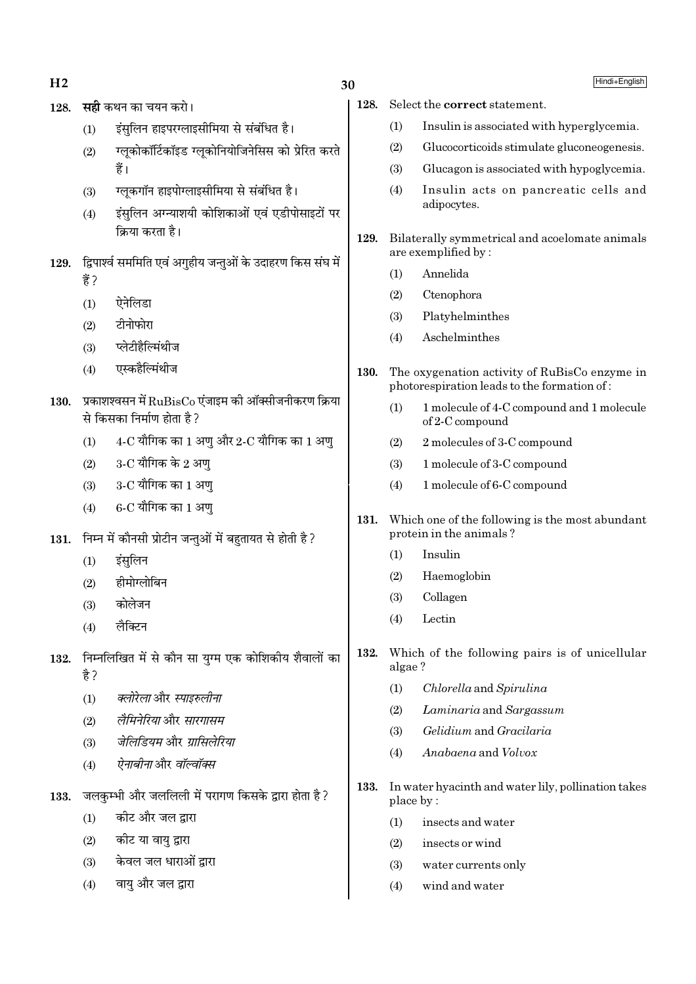| 128. |      |                                                             | <b>सही</b> कथन का चयन करो।                                                               | 128. | Select th             |                     |
|------|------|-------------------------------------------------------------|------------------------------------------------------------------------------------------|------|-----------------------|---------------------|
|      |      | (1)                                                         | इंसुलिन हाइपरग्लाइसीमिया से संबंधित है।                                                  |      | (1)                   | In                  |
|      |      | (2)                                                         | ग्लूकोकॉर्टिकॉइड ग्लूकोनियोजिनेसिस को प्रेरित करते                                       |      | (2)                   | Gl                  |
|      |      |                                                             | हैं।                                                                                     |      | (3)                   | Gl                  |
|      |      | (3)                                                         | ग्लूकगॉन हाइपोग्लाइसीमिया से संबंधित है।                                                 |      | (4)                   | In                  |
|      |      | (4)                                                         | इंसुलिन अग्न्याशयी कोशिकाओं एवं एडीपोसाइटों पर                                           |      |                       | ad                  |
|      |      |                                                             | क्रिया करता है।                                                                          | 129. | Bilatera              |                     |
| 129. |      | द्विपार्श्व सममिति एवं अगुहीय जन्तुओं के उदाहरण किस संघ में |                                                                                          |      | are exem              |                     |
|      |      | हैं ?                                                       |                                                                                          |      | (1)                   | Ar                  |
|      |      | (1)                                                         | ऐनेलिडा                                                                                  |      | (2)                   | $C_{\rm t}$         |
|      |      | (2)                                                         | टीनोफोरा                                                                                 |      | (3)                   | Pl                  |
|      |      | (3)                                                         | प्लेटीहैल्मिंथीज                                                                         |      | (4)                   | As                  |
|      |      | (4)                                                         | एस्कहैल्मिंथीज                                                                           | 130. | The oxy               |                     |
|      |      |                                                             |                                                                                          |      | photores              |                     |
|      | 130. |                                                             | प्रकाशश्वसन में $\rm RuBisCo$ एंजाइम की ऑक्सीजनीकरण क्रिया<br>से किसका निर्माण होता है ? |      | (1)                   | 1r<br><sub>of</sub> |
|      |      | (1)                                                         | $4\text{-C}$ यौगिक का $1$ अणु और $2\text{-C}$ यौगिक का $1$ अणु                           |      | (2)                   | 2r                  |
|      |      | (2)                                                         | $3$ -C यौगिक के 2 अण्                                                                    |      | (3)                   | 1 r                 |
|      |      | (3)                                                         | 3-C यौगिक का 1 अणु                                                                       |      | (4)                   | 1 <sub>1</sub>      |
|      |      | (4)                                                         | 6-C यौगिक का 1 अणु                                                                       |      |                       |                     |
|      |      |                                                             |                                                                                          | 131. | Which of<br>protein i |                     |
|      | 131. |                                                             | निम्न में कौनसी प्रोटीन जन्तुओं में बहुतायत से होती है ?                                 |      | (1)                   | In                  |
|      |      | (1)                                                         | इंसुलिन                                                                                  |      | (2)                   | $H_3$               |
|      |      | (2)                                                         | हीमोग्लोबिन                                                                              |      | (3)                   | C <sub>C</sub>      |
|      |      | (3)                                                         | कोलेजन                                                                                   |      | $\left( 4\right)$     | Le                  |
|      |      | (4)                                                         | लैक्टिन                                                                                  |      |                       |                     |
| 132. |      |                                                             | निम्नलिखित में से कौन सा युग्म एक कोशिकीय शैवालों का                                     | 132. | Which o               |                     |
|      |      | है ?                                                        |                                                                                          |      | algae?                |                     |
|      |      | (1)                                                         | क्लोरेला और स्पाइरुलीना                                                                  |      | (1)                   | $C$ ł               |
|      |      | (2)                                                         | लैमिनेरिया और सारगासम                                                                    |      | (2)                   | La                  |
|      |      | (3)                                                         | जेलिडियम और ग्रासिलेरिया                                                                 |      | (3)                   | $G\epsilon$         |
|      |      | (4)                                                         | <i>ऐनाबीना</i> और <i>वॉल्वॉक्स</i>                                                       |      | (4)                   | Ar                  |
|      |      |                                                             | जलकुम्भी और जललिली में परागण किसके द्वारा होता है ?                                      | 133. | In water              |                     |
|      | 133. | (1)                                                         | कीट और जल द्वारा                                                                         |      | place by              |                     |
|      |      |                                                             | कोट या वायु द्वारा                                                                       |      | (1)                   | in:                 |
|      |      | (2)                                                         |                                                                                          |      | (2)                   | in                  |

- केवल जल धाराओं द्वारा  $(3)$
- वायु और जल द्वारा  $(4)$

30

Hindi+English

e correct statement.

- sulin is associated with hyperglycemia.
- ucocorticoids stimulate gluconeogenesis.
- ucagon is associated with hypoglycemia.
- sulin acts on pancreatic cells and lipocytes.
- lly symmetrical and acoelomate animals plified by:
	- nnelida
	- tenophora
	- atyhelminthes
	- schelminthes
- genation activity of RuBisCo enzyme in spiration leads to the formation of:
	- molecule of 4-C compound and 1 molecule 2-C compound
	- molecules of 3-C compound
	- molecule of 3-C compound
	- molecule of 6-C compound
- ne of the following is the most abundant in the animals?
	- sulin
	- aemoglobin
	- ollagen
	- ectin
- of the following pairs is of unicellular
	- hlorella and Spirulina
	- aminaria and Sargassum
	- elidium and Gracilaria
	- nabaena and Volvox
- hyacinth and water lily, pollination takes
	- sects and water
	- insects or wind  $(2)$
	- $(3)$ water currents only
	- $(4)$ wind and water

 $H<sub>2</sub>$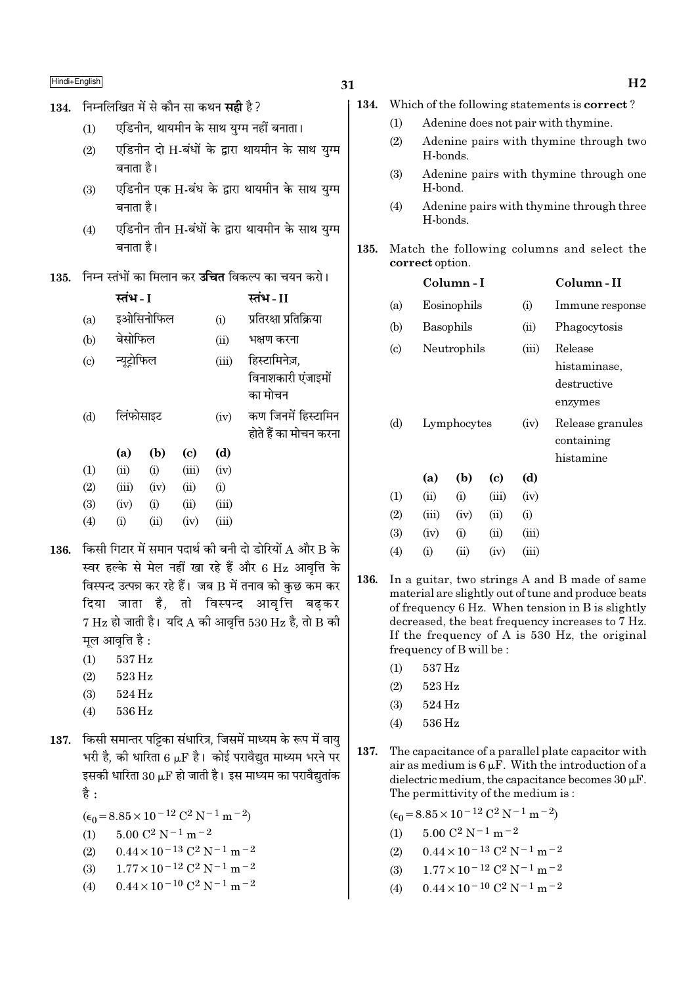## 31

#### 134. Which of the following statements is **correct**?

- Adenine does not pair with thymine.  $(1)$
- $(2)$ Adenine pairs with thymine through two H-bonds.
- $(3)$ Adenine pairs with thymine through one H-bond.
- $(4)$ Adenine pairs with thymine through three H-bonds.
- 135. Match the following columns and select the correct option.

|                             |             | Column - I |            |                  | Column - II     |  |  |
|-----------------------------|-------------|------------|------------|------------------|-----------------|--|--|
| (a)                         | Eosinophils |            |            | (i)              | Immune response |  |  |
| (b)                         | Basophils   |            |            | (ii)             | Phagocytosis    |  |  |
| $\left( \mathrm{c} \right)$ | Neutrophils |            | (iii)      | Release          |                 |  |  |
|                             |             |            |            |                  | histaminase.    |  |  |
|                             |             |            |            |                  | destructive     |  |  |
|                             |             |            |            |                  | enzymes         |  |  |
| (d)                         | Lymphocytes |            | (iv)       | Release granules |                 |  |  |
|                             |             |            |            |                  | containing      |  |  |
|                             |             |            |            |                  | histamine       |  |  |
|                             | (a)         | (b)        | (c)        | (d)              |                 |  |  |
| $\left(1\right)$            | (ii)        | (i)        | (iii)      | (iv)             |                 |  |  |
| (2)                         | (iii)       | (iv)       | (ii)       | (i)              |                 |  |  |
| (3)                         | (iv)        | (i)        | $\rm (ii)$ | (iii)            |                 |  |  |
| (4)                         | $\rm (i)$   | $\rm (ii)$ | (iv)       | (iii)            |                 |  |  |

- 136. In a guitar, two strings A and B made of same material are slightly out of tune and produce beats of frequency 6 Hz. When tension in B is slightly decreased, the beat frequency increases to 7 Hz. If the frequency of A is  $530$  Hz, the original frequency of B will be:
	- 537 Hz  $(1)$
	- 523 Hz  $(2)$
	- $(3)$ 524 Hz
	- $(4)$  $536\,\mathrm{Hz}$
- 137. The capacitance of a parallel plate capacitor with air as medium is  $6 \mu$ F. With the introduction of a dielectric medium, the capacitance becomes  $30 \mu$ F. The permittivity of the medium is:

| $(\epsilon_0 = 8.85 \times 10^{-12} \text{ C}^2 \text{ N}^{-1} \text{ m}^{-2})$ |
|---------------------------------------------------------------------------------|
| (1) $5.00 \text{ C}^2 \text{ N}^{-1} \text{ m}^{-2}$                            |

- $0.44 \times 10^{-13}$  C<sup>2</sup> N<sup>-1</sup> m<sup>-2</sup>  $(2)$
- $1.77 \times 10^{-12}$  C<sup>2</sup> N<sup>-1</sup> m<sup>-2</sup>  $(3)$
- $0.44 \times 10^{-10}$  C<sup>2</sup> N<sup>-1</sup> m<sup>-2</sup>  $(4)$

134. निम्नलिखित में से कौन सा कथन सही है ?

- एडिनीन. थायमीन के साथ यग्म नहीं बनाता।  $(1)$
- एडिनीन दो H-बंधों के द्वारा थायमीन के साथ यग्म  $(2)$ बनाता है।
- एडिनीन एक H-बंध के द्वारा थायमीन के साथ यग्म  $(3)$ बनाता है।
- एडिनीन तीन H-बंधों के द्वारा थायमीन के साथ युग्म  $(4)$ बनाता है।
- 135. निम्न स्तंभों का मिलान कर उचित विकल्प का चयन करो।

|                            | स्तंभ - I          |           |       |       | स्तंभ - II             |
|----------------------------|--------------------|-----------|-------|-------|------------------------|
| (a)                        |                    | इओसिनोफिल |       | (i)   | प्रतिरक्षा प्रतिक्रिया |
| (b)                        | बेसोफिल            |           |       | (ii)  | भक्षण करना             |
| $\left( \mathrm{c}\right)$ | न्यूट्रोफिल        |           |       | (iii) | हिस्टामिनेज़,          |
|                            |                    |           |       |       | विनाशकारी एंजाइमों     |
|                            |                    |           |       |       | का मोचन                |
| (d)                        | लिंफोसाइट          |           |       | (iv)  | कण जिनमें हिस्टामिन    |
|                            |                    |           |       |       | होते हैं का मोचन करना  |
|                            | (a)                | (b)       | (c)   | (d)   |                        |
| (1)                        | (ii)               | (i)       | (iii) | (iv)  |                        |
| (2)                        | (iii)              | (iv)      | (ii)  | (i)   |                        |
| (3)                        | (iv)               | (i)       | (ii)  | (iii) |                        |
| (4)                        | $\rm \textbf{(i)}$ | (ii)      | (iv)  | (iii) |                        |

- 136. किसी गिटार में समान पदार्थ की बनी दो डोरियों A और B के स्वर हल्के से मेल नहीं खा रहे हैं और 6 Hz आवृत्ति के विस्पन्द उत्पन्न कर रहे हैं। जब B में तनाव को कुछ कम कर दिया जाता है, तो विस्पन्द आवृत्ति बढ़कर  $7 \text{ Hz}$  हो जाती है। यदि A की आवत्ति 530 Hz है, तो B की मल आवत्ति है :
	- 537 Hz  $(1)$
	- 523 Hz  $(2)$
	- 524 Hz  $(3)$
	- 536 Hz  $(4)$
- 137. किसी समान्तर पट्टिका संधारित्र, जिसमें माध्यम के रूप में वाय भरी है, की धारिता 6  $\mu$ F है। कोई परावैद्युत माध्यम भरने पर इसकी धारिता 30  $\mu$ F हो जाती है। इस माध्यम का परावैद्युतांक है :
	- $(\epsilon_0 = 8.85 \times 10^{-12} \text{ C}^2 \text{ N}^{-1} \text{ m}^{-2})$
	- $5.00 C^2 N^{-1} m^{-2}$  $(1)$
	- $0.44 \times 10^{-13}$  C<sup>2</sup> N<sup>-1</sup> m<sup>-2</sup>  $(2)$
	- $1.77 \times 10^{-12}$  C<sup>2</sup> N<sup>-1</sup> m<sup>-2</sup>  $(3)$
	- $0.44 \times 10^{-10}$  C<sup>2</sup> N<sup>-1</sup> m<sup>-2</sup>  $(4)$

 $H<sub>2</sub>$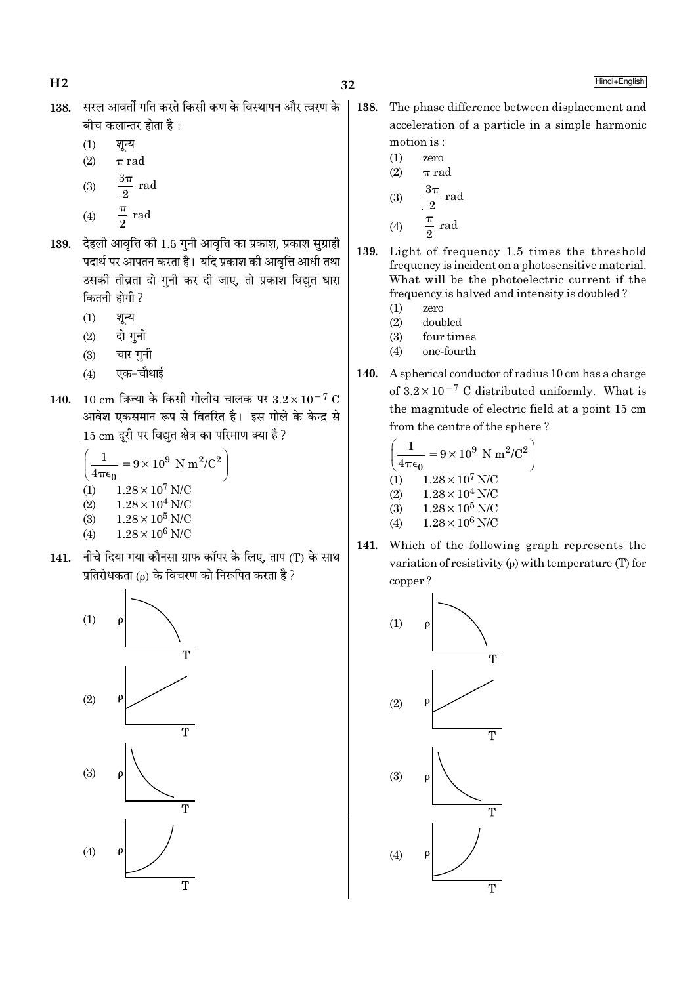- सरल आवर्ती गति करते किसी कण के विस्थापन और त्वरण के 138. बीच कलान्तर होता है :
	- $(1)$ शून्य
	- $(2)$  $\pi$  rad
	- $\frac{3\pi}{2}$ rad  $(3)$
	- $\frac{\pi}{2}$  rad  $(4)$
	-
- 139. देहली आवृत्ति की 1.5 गुनी आवृत्ति का प्रकाश, प्रकाश सुग्राही पदार्थ पर आपतन करता है। यदि प्रकाश की आवृत्ति आधी तथा उसकी तीव्रता दो गुनी कर दी जाए, तो प्रकाश विद्युत धारा कितनी होगी ?
	- $(1)$ शुन्य
	- दो गुनी  $(2)$
	- चार गुनी  $(3)$
	- एक-चौथाई  $(4)$
- 140. 10 cm त्रिज्या के किसी गोलीय चालक पर  $3.2 \times 10^{-7}$  C आवेश एकसमान रूप से वितरित है। इस गोले के केन्द्र से 15 cm दुरी पर विद्युत क्षेत्र का परिमाण क्या है ?

$$
\left(\frac{1}{4\pi\epsilon_0} = 9 \times 10^9 \text{ N m}^2/\text{C}^2\right)
$$
  
(1) 1.28 × 10<sup>7</sup> N/C  
(2) 1.28 × 10<sup>4</sup> N/C  
(3) 1.28 × 10<sup>5</sup> N/C

- $1.28 \times 10^6$  N/C  $(4)$
- 141. नीचे दिया गया कौनसा ग्राफ कॉपर के लिए. ताप (T) के साथ प्रतिरोधकता (p) के विचरण को निरूपित करता है ?



- 138. The phase difference between displacement and acceleration of a particle in a simple harmonic motion is:
	- $(1)$ zero  $(2)$  $\pi$  rad  $3\pi$

$$
\begin{array}{cc}\n(3) & \frac{\pi}{2} \text{ rad} \\
(4) & \frac{\pi}{2} \text{ rad}\n\end{array}
$$

- 139. Light of frequency 1.5 times the threshold frequency is incident on a photosensitive material. What will be the photoelectric current if the frequency is halved and intensity is doubled?
	- $(1)$ zero
	- $(2)$ doubled
	- $(3)$ four times  $(4)$ one-fourth
- A spherical conductor of radius 10 cm has a charge 140. of  $3.2 \times 10^{-7}$  C distributed uniformly. What is the magnitude of electric field at a point 15 cm from the centre of the sphere?

$$
\left(\frac{1}{4\pi\epsilon_0} = 9 \times 10^9 \text{ N m}^2/\text{C}^2\right)
$$
  
(1) 1.28 × 10<sup>7</sup> N/C  
(2) 1.28 × 10<sup>4</sup> N/C  
(3) 1.28 × 10<sup>5</sup> N/C  
(4) 1.28 × 10<sup>6</sup> N/C

141. Which of the following graph represents the variation of resistivity  $(\rho)$  with temperature (T) for copper?

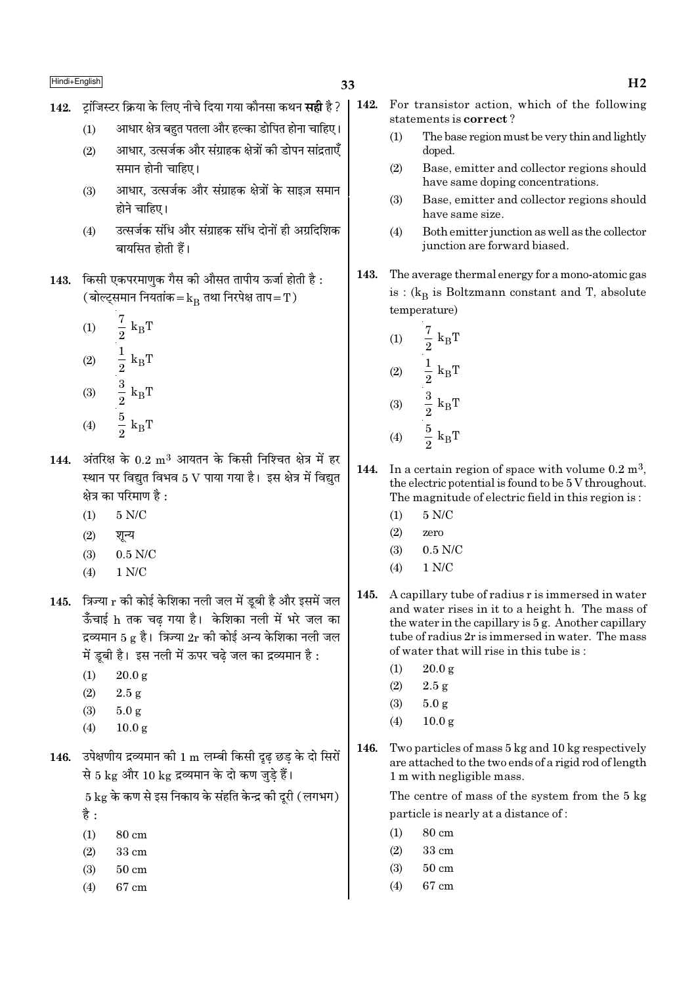- 33
- 142. टांजिस्टर क्रिया के लिए नीचे दिया गया कौनसा कथन **सही** है ?
	- आधार क्षेत्र बहुत पतला और हल्का डोपित होना चाहिए।  $(1)$
	- आधार. उत्सर्जक और संग्राहक क्षेत्रों की डोपन सांद्रताएँ  $(2)$ समान होनी चाहिए।
	- आधार, उत्सर्जक और संग्राहक क्षेत्रों के साइज़ समान  $(3)$ होने चाहिए।
	- उत्सर्जक संधि और संग्राहक संधि दोनों ही अग्रदिशिक  $(4)$ बायसित होती हैं।
- 143. किसी एकपरमाणक गैस की औसत तापीय ऊर्जा होती है: (बोल्ट्समान नियतांक $=$  $k_{\rm B}$  तथा निरपेक्ष ताप $=$   $\rm T$  )
	- $\frac{7}{2}$  k<sub>B</sub>T<br>  $\frac{1}{2}$  k<sub>B</sub>T<br>  $\frac{3}{2}$  k<sub>B</sub>T<br>  $\frac{5}{2}$  k<sub>B</sub>T  $(1)$  $(2)$  $(3)$
	- $(4)$
- $144.$  अंतरिक्ष के  $0.2 \text{ m}^3$  आयतन के किसी निश्चित क्षेत्र में हर स्थान पर विद्युत विभव 5 V पाया गया है। इस क्षेत्र में विद्युत क्षेत्र का परिमाण है :
	- $5$  N/C  $\,$  $(1)$
	- $(2)$ शन्य
	- $(3)$  $0.5$  N/C
	- $1 N/C$  $(4)$
- 145. त्रिज्या  $\mathbf r$  की कोई केशिका नली जल में ड़बी है और इसमें जल ऊँचाई h तक चढ गया है। केशिका नली में भरे जल का द्रव्यमान 5  $\epsilon$  है। त्रिज्या 2r की कोई अन्य केशिका नली जल में डूबी है। इस नली में ऊपर चढ़े जल का द्रव्यमान है :
	- $(1)$  $20.0 g$
	- $(2)$  $2.5g$
	- $(3)$  $5.0g$
	- $10.0 \text{ g}$  $(4)$
- 146. उपेक्षणीय द्रव्यमान की 1 m लम्बी किसी दृढ़ छड़ के दो सिरों से 5 kg और 10 kg द्रव्यमान के दो कण जुडे हैं।

 $5 \text{ kg}$  के कण से इस निकाय के संहति केन्द्र की दूरी (लगभग) है :

- $(1)$ 80 cm
- $(2)$ 33 cm
- $50 \text{ cm}$  $(3)$
- 67 cm  $(4)$
- 142. For transistor action, which of the following statements is correct?
	- $(1)$ The base region must be very thin and lightly doped.
	- Base, emitter and collector regions should  $(2)$ have same doping concentrations.
	- $(3)$ Base, emitter and collector regions should have same size.
	- $(4)$ Both emitter junction as well as the collector junction are forward biased.
- 143. The average thermal energy for a mono-atomic gas is:  $(k_B$  is Boltzmann constant and T, absolute temperature)
	- $\frac{7}{2}$  $(1)$  $k_B T$  $\frac{1}{2} k_B T$ <br> $\frac{3}{2} k_B T$ <br> $\frac{5}{2} k_B T$  $(2)$
	- $(3)$
	- $(4)$
- 144. In a certain region of space with volume  $0.2 \text{ m}^3$ , the electric potential is found to be 5 V throughout. The magnitude of electric field in this region is:
	- $5 N/C$  $(1)$
	- $(2)$ zero
	- $(3)$  $0.5$  N/C
	- $1 N/C$  $(4)$
- 145. A capillary tube of radius r is immersed in water and water rises in it to a height h. The mass of the water in the capillary is  $5g$ . Another capillary tube of radius 2r is immersed in water. The mass of water that will rise in this tube is:
	- $20.0 \text{ g}$  $(1)$
	- $(2)$  $2.5g$
	- $(3)$  $5.0<sub>g</sub>$
	- $(4)$  $10.0 g$
- 146. Two particles of mass 5 kg and 10 kg respectively are attached to the two ends of a rigid rod of length 1 m with negligible mass.

The centre of mass of the system from the 5 kg particle is nearly at a distance of:

- $(1)$ 80 cm
- $(2)$ 33 cm
- $(3)$  $50 \text{ cm}$
- $67 \text{ cm}$  $(4)$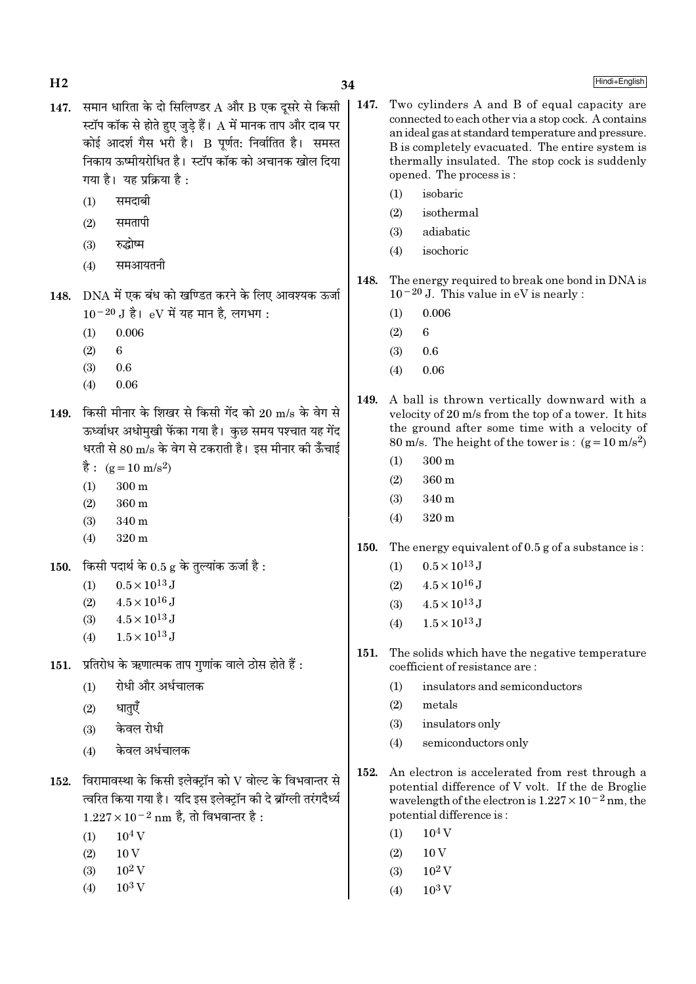- 147. समान धारिता के दो सिलिण्डर  $A$  और  $B$  एक दूसरे से किसी स्टॉप कॉक से होते हुए जड़े हैं।  ${\rm A}$  में मानक ताप और दाब पर कोई आदर्श गैस भरी है। B पूर्णत: निर्वातित है। समस्त निकाय ऊष्मीयरोधित है। स्टॉप कॉक को अचानक खोल दिया गया है। यह प्रक्रिया है:
	- समदाबी  $(1)$
	- समतापी  $(2)$
	- रुद्धोष्म  $(3)$
	- समआयतनी  $(4)$
- 148. DNA में एक बंध को खण्डित करने के लिए आवश्यक ऊर्जा  $10^{-20}$  J है। eV में यह मान है. लगभग:
	- $(1)$ 0.006
	- $(2)$ 6
	- $(3)$  $0.6$
	- $(4)$ 0.06
- 149. किसी मीनार के शिखर से किसी गेंद को 20 m/s के वेग से ऊर्ध्वाधर अधोमुखी फेंका गया है। कुछ समय पश्चात यह गेंद धरती से 80 m/s के वेग से टकराती है। इस मीनार की ऊँचाई
	- $\dot{\vec{g}}$ : (g = 10 m/s<sup>2</sup>)
	- $(1)$  $300 \text{ m}$
	- $(2)$  $360<sub>m</sub>$
	- $(3)$ 340 m
	- $(4)$ 320 m
- किसी पदार्थ के  $0.5$  g के तुल्यांक ऊर्जा है: 150.
	- $0.5 \times 10^{13}$  J  $(1)$
	- $4.5 \times 10^{16}$  J  $(2)$
	- $4.5 \times 10^{13}$  J  $(3)$
	- $1.5 \times 10^{13}$  J  $(4)$
- प्रतिरोध के ऋणात्मक ताप गणांक वाले ठोस होते हैं :  $151.$ 
	- रोधी और अर्धचालक  $(1)$
	- धातुएँ  $(2)$
	- केवल रोधी  $(3)$
	- केवल अर्धचालक  $(4)$
- $152.$  विरामावस्था के किसी इलेक्ट्रॉन को  $\rm V$  वोल्ट के विभवान्तर से त्वरित किया गया है। यदि इस इलेक्ट्रॉन की दे ब्रॉग्ली तरंगदैर्ध्य  $1.227 \times 10^{-2}$  nm है, तो विभवान्तर है :
	- $(1)$  $10^4$  V
	- $10V$  $(2)$
	- $10^2$  V  $(3)$
	- $10^3$  V  $(4)$
- $\vert$  147. Two cylinders A and B of equal capacity are connected to each other via a stop cock. A contains an ideal gas at standard temperature and pressure. B is completely evacuated. The entire system is thermally insulated. The stop cock is suddenly opened. The process is:
	- isobaric  $(1)$
	- $(2)$ isothermal
	- $(3)$ adiabatic
	- isochoric  $(4)$
	- 148. The energy required to break one bond in DNA is  $10^{-20}$  J. This value in eV is nearly :
		- 0.006  $(1)$
		- $(2)$  $\epsilon$
		- $0.6$  $(3)$
		- $0.06$  $(4)$
	- 149. A ball is thrown vertically downward with a velocity of 20 m/s from the top of a tower. It hits the ground after some time with a velocity of 80 m/s. The height of the tower is:  $(g=10 \text{ m/s}^2)$ 
		- $300 \text{ m}$  $(1)$
		- 360 m  $(2)$
		- $(3)$ 340 m
		- $320 \text{ m}$  $(4)$
	- 150. The energy equivalent of 0.5 g of a substance is:
		- $0.5 \times 10^{13}$  J  $(1)$
		- $4.5 \times 10^{16}$  J  $(2)$
		- $4.5 \times 10^{13}$  J  $(3)$
		- $1.5 \times 10^{13}$  J  $(4)$
	- The solids which have the negative temperature 151. coefficient of resistance are:
		- insulators and semiconductors  $(1)$
		- $(2)$ metals
		- insulators only  $(3)$
		- semiconductors only  $(4)$
	- 152. An electron is accelerated from rest through a potential difference of V volt. If the de Broglie wavelength of the electron is  $1.227 \times 10^{-2}$  nm, the potential difference is:
		- $10<sup>4</sup>$  V  $(1)$
		- $(2)$  $10V$
		- $10^2$  V  $(3)$
		- $10^3$  V  $(4)$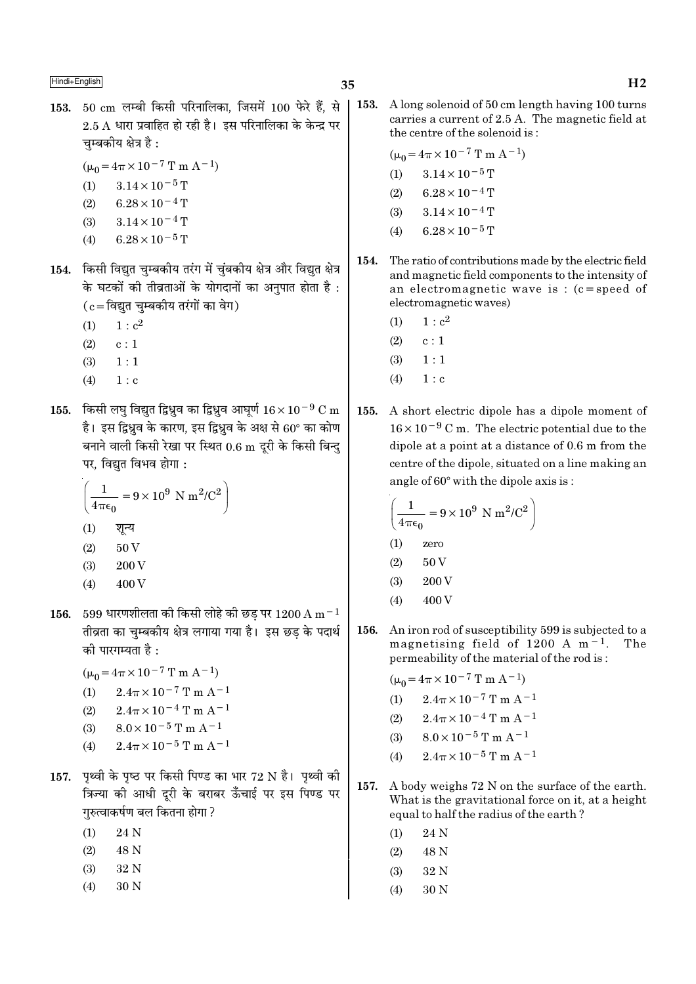- 153. 50 cm लम्बी किसी परिनालिका, जिसमें 100 फेरे हैं, से  $2.5$  A धारा प्रवाहित हो रही है। इस परिनालिका के केन्द्र पर चम्बकीय क्षेत्र है:
	- $(\mu_0 = 4\pi \times 10^{-7} \text{ T m A}^{-1})$
	- $(1)$  $3.14 \times 10^{-5}$  T
	- $6.28 \times 10^{-4}$  T  $(2)$
	- $3.14 \times 10^{-4}$  T  $(3)$
	- $6.28 \times 10^{-5}$  T  $(4)$
- 154. किसी विद्युत चुम्बकीय तरंग में चुंबकीय क्षेत्र और विद्युत क्षेत्र के घटकों की तीव्रताओं के योगदानों का अनुपात होता है:  $(c = \bar{c}$ विद्युत चम्बकीय तरंगों का वेग)
	- $(1)$  $1 : c<sup>2</sup>$
	- $(2)$  $c:1$
	- $(3)$  $1:1$
	- $(4)$  $1 : c$
- 155. किसी लघु विद्युत द्विध्नुव का द्विध्नुव आघूर्ण  $16 \times 10^{-9}$  C m है। इस द्विध्नुव के कारण, इस द्विध्नुव के अक्ष से 60° का कोण बनाने वाली किसी रेखा पर स्थित 0.6 m दूरी के किसी बिन्दु पर. विद्यत विभव होगा :

$$
\left(\frac{1}{4\pi\epsilon_0} = 9 \times 10^9 \text{ N m}^2/\text{C}^2\right)
$$
  
(1)  $\sqrt[3]{\sqrt{2}}\text{ N m}$ 

- $(2)$ 50 V
- 200 V  $(3)$
- 400 V  $(4)$
- $599$  धारणशीलता की किसी लोहे की छड पर  $1200\,\rm{A}\,\rm{m}^{-1}$ 156. तीव्रता का चुम्बकीय क्षेत्र लगाया गया है। इस छड के पदार्थ को पारगम्यता है  $\cdot$ 
	- $(\mu_0 = 4\pi \times 10^{-7} \text{ T m A}^{-1})$
	- (1)  $2.4\pi \times 10^{-7}$  T m A<sup>-1</sup>
	- $2.4\pi \times 10^{-4}$  T m A<sup>-1</sup>  $(2)$
	- $8.0 \times 10^{-5}$  T m A<sup>-1</sup>  $(3)$
	- $2.4\pi \times 10^{-5}$  T m A<sup>-1</sup>  $(4)$
- 157. पृथ्वी के पृष्ठ पर किसी पिण्ड का भार 72 N है। पृथ्वी की त्रिज्या की आधी दूरी के बराबर ऊँचाई पर इस पिण्ड पर गरुत्वाकर्षण बल कितना होगा ?
	- $(1)$ 24 N
	- $(2)$ 48 N
	- 32 N  $(3)$
	- 30 N  $(4)$

 $\vert$  153. A long solenoid of 50 cm length having 100 turns carries a current of 2.5 A. The magnetic field at the centre of the solenoid is:

$$
(\mu_0 = 4\pi \times 10^{-7} \text{ T m A}^{-1})
$$

- $(1)$  $3.14 \times 10^{-5}$  T
- $(2)$  $6.28 \times 10^{-4}$  T
- $3.14 \times 10^{-4}$  T  $(3)$
- $6.28 \times 10^{-5}$  T  $(4)$
- 154. The ratio of contributions made by the electric field and magnetic field components to the intensity of an electromagnetic wave is:  $(c = speed of$ electromagnetic waves)
	- $1 : c<sup>2</sup>$  $(1)$
	- $c:1$  $(2)$
	- $(3)$  $1:1$
	- $(4)$  $1 : c$
- $155.$ A short electric dipole has a dipole moment of  $16 \times 10^{-9}$  C m. The electric potential due to the dipole at a point at a distance of 0.6 m from the centre of the dipole, situated on a line making an angle of  $60^\circ$  with the dipole axis is:

$$
\left(\frac{1}{4\pi\epsilon_0} = 9 \times 10^9 \text{ N m}^2/\text{C}^2\right)
$$
  
(1) zero

- $(2)$ 50 V
- 200 V  $(3)$
- 400 V  $(4)$
- An iron rod of susceptibility 599 is subjected to a 156. magnetising field of  $1200 \text{ A m}^{-1}$ . The permeability of the material of the rod is:

 $(\mu_0 = 4\pi \times 10^{-7} \text{ T m A}^{-1})$ 

- $2.4\pi \times 10^{-7}$  T m A<sup>-1</sup>  $(1)$
- $2.4\pi\times10^{-4}$  T m A<sup>-1</sup>  $(2)$
- $8.0 \times 10^{-5}$  T m A<sup>-1</sup>  $(3)$
- $2.4\pi \times 10^{-5}$  T m A<sup>-1</sup>  $(4)$
- 157. A body weighs 72 N on the surface of the earth. What is the gravitational force on it, at a height equal to half the radius of the earth?
	- 24 N  $(1)$
	- $(2)$ 48 N
	- $(3)$ 32 N
	- $(4)$ 30 N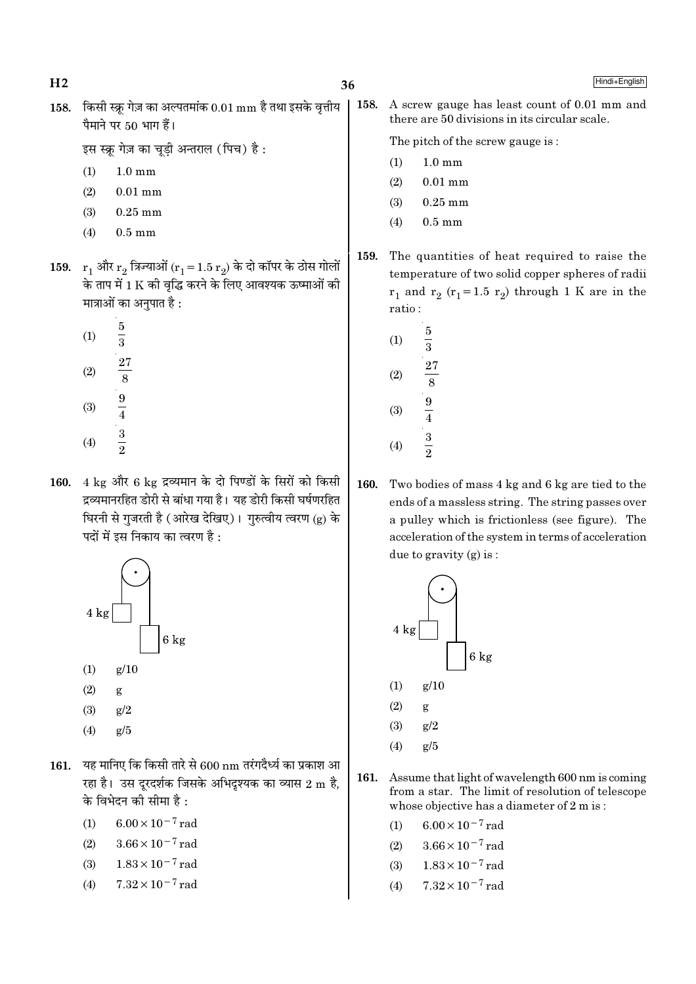$H<sub>2</sub>$ 

Hindi+English

158. किसी स्क्रू गेज़ का अल्पतमांक  $0.01 \text{ mm}$  है तथा इसके वृत्तीय पैमाने पर 50 भाग हैं।

इस स्क्रू गेज़ का चूडी अन्तराल (पिच) है:

- $(1)$  $1.0 \text{ mm}$
- $(2)$  $0.01$  mm
- $(3)$  $0.25$  mm
- $(4)$  $0.5 \text{ mm}$
- 159.  $r_1$  और  $r_2$  त्रिज्याओं ( $r_1 = 1.5 r_2$ ) के दो कॉपर के ठोस गोलों के ताप में 1 K की वृद्धि करने के लिए आवश्यक ऊष्माओं की मात्राओं का अनुपात है :
	- $\overline{5}$  $(1)$  $\frac{1}{3}$  $\frac{27}{8}$   $\frac{9}{4}$   $\frac{3}{2}$  $(2)$  $(3)$  $(4)$
- 160.  $4 \text{ kg}$  और 6  $\text{kg}$  द्रव्यमान के दो पिण्डों के सिरों को किसी द्रव्यमानरहित डोरी से बांधा गया है। यह डोरी किसी घर्षणरहित घिरनी से गुजरती है (आरेख देखिए)। गुरुत्वीय त्वरण (g) के पदों में इस निकाय का त्वरण है :



- $(2)$ g
- $(3)$  $g/2$
- $(4)$  $g/5$
- 161. यह मानिए कि किसी तारे से  $600 \text{ nm}$  तरंगदैर्ध्य का प्रकाश आ रहा है। उस दूरदर्शक जिसके अभिदृश्यक का व्यास 2 m है, के विभेदन की सीमा है :
	- $6.00 \times 10^{-7}$  rad  $(1)$
	- $3.66 \times 10^{-7}$  rad  $(2)$
	- $(3)$  $1.83 \times 10^{-7}$  rad
	- $7.32 \times 10^{-7}$  rad  $(4)$

158. A screw gauge has least count of 0.01 mm and there are 50 divisions in its circular scale.

The pitch of the screw gauge is:

- $1.0 \text{ mm}$  $(1)$
- $0.01$  mm  $(2)$
- $(3)$  $0.25$  mm
- $(4)$  $0.5 \text{ mm}$
- 159. The quantities of heat required to raise the temperature of two solid copper spheres of radii  $r_1$  and  $r_2$  ( $r_1$ =1.5  $r_2$ ) through 1 K are in the ratio:
	- $\overline{5}$  $(1)$  $\frac{1}{3}$  $\overline{27}$  $(2)$  $\overline{8}$  $\frac{9}{4}$  $(3)$  $rac{3}{2}$  $(4)$
- 160. Two bodies of mass 4 kg and 6 kg are tied to the ends of a massless string. The string passes over a pulley which is frictionless (see figure). The acceleration of the system in terms of acceleration due to gravity  $(g)$  is:



- $(2)$ g
- $(3)$  $g/2$
- $g/5$  $(4)$
- 161. Assume that light of wavelength 600 nm is coming from a star. The limit of resolution of telescope whose objective has a diameter of 2 m is:
	- $6.00 \times 10^{-7}$  rad  $(1)$
	- $3.66 \times 10^{-7}$  rad  $(2)$
	- $1.83 \times 10^{-7}$  rad  $(3)$
	- $7.32 \times 10^{-7}$  rad  $(4)$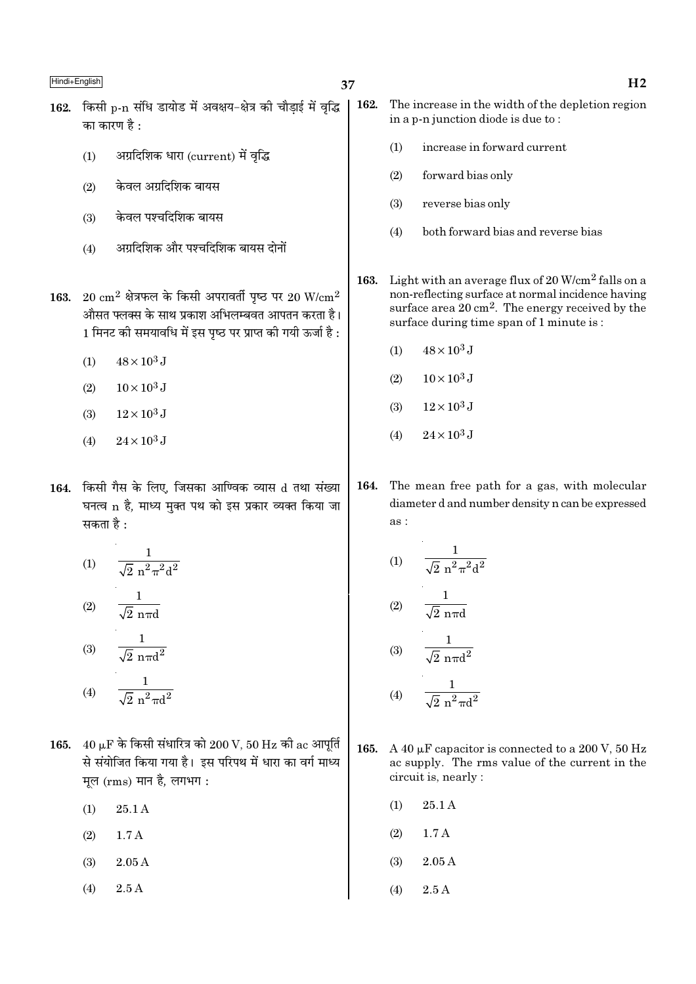- 162. किसी p-n संधि डायोड में अवक्षय-क्षेत्र की चौडाई में वृद्धि | का कारण है  $\cdot$ 
	- अग्रदिशिक धारा (current) में वृद्धि  $(1)$
	- केवल अग्रदिशिक बायस  $(2)$
	- केवल पश्चदिशिक बायस  $(3)$
	- अग्रदिशिक और पश्चदिशिक बायस दोनों  $(4)$
- 163. 20  $\rm cm^2$  क्षेत्रफल के किसी अपरावर्ती पृष्ठ पर 20 W/ $\rm cm^2$ औसत फ्लक्स के साथ प्रकाश अभिलम्बवत आपतन करता है।  $1$  मिनट की समयावधि में इस पृष्ठ पर प्राप्त की गयी ऊर्जा है :
	- $48 \times 10^3$  J  $(1)$
	- $10 \times 10^3$  J  $(2)$
	- $(3)$  $12\times10^3$  J
	- $24 \times 10^3$  J  $(4)$
- 164. किसी गैस के लिए, जिसका आण्विक व्यास d तथा संख्या घनत्व n है, माध्य मुक्त पथ को इस प्रकार व्यक्त किया जा सकता है :

(1) 
$$
\frac{1}{\sqrt{2} n^2 \pi^2 d^2}
$$
  
(2) 
$$
\frac{1}{\sqrt{2} n \pi d}
$$
  
(3) 
$$
\frac{1}{\sqrt{2} n \pi d^2}
$$
  
(4) 
$$
\frac{1}{\sqrt{2} n^2 \pi d^2}
$$

- 165. 40  $\mu$ F के किसी संधारित्र को 200 V, 50 Hz की ac आपूर्ति से संयोजित किया गया है। इस परिपथ में धारा का वर्ग माध्य मूल (rms) मान है, लगभग:
	- $(1)$ 25.1 A
	- $(2)$  $1.7A$
	- $(3)$  $2.05A$
	- $(4)$  $2.5A$
- 162. The increase in the width of the depletion region in a p-n junction diode is due to:
	- increase in forward current  $(1)$
	- $(2)$ forward bias only
	- $(3)$ reverse bias only
	- $(4)$ both forward bias and reverse bias
- 163. Light with an average flux of  $20 \text{ W/cm}^2$  falls on a non-reflecting surface at normal incidence having surface area  $20 \text{ cm}^2$ . The energy received by the surface during time span of 1 minute is:
	- $48 \times 10^3$  J  $(1)$
	- $10 \times 10^3$  J  $(2)$
	- $12 \times 10^3$  J  $(3)$
	- $24 \times 10^3$  J  $(4)$
- 164. The mean free path for a gas, with molecular diameter d and number density n can be expressed as:

(1) 
$$
\frac{1}{\sqrt{2} n^2 \pi^2 d^2}
$$

$$
(2) \qquad \frac{1}{\sqrt{2} \, n \pi d}
$$

$$
(3) \qquad \frac{1}{\sqrt{2} \, n \pi d^2}
$$

$$
(4) \qquad \frac{1}{\sqrt{2} \, n^2 \pi d^2}
$$

- 165. A 40  $\mu$ F capacitor is connected to a 200 V, 50 Hz ac supply. The rms value of the current in the circuit is, nearly :
	- 25.1 A  $(1)$
	- $(2)$  $1.7A$
	- $(3)$  $2.05A$
	- $(4)$  $2.5A$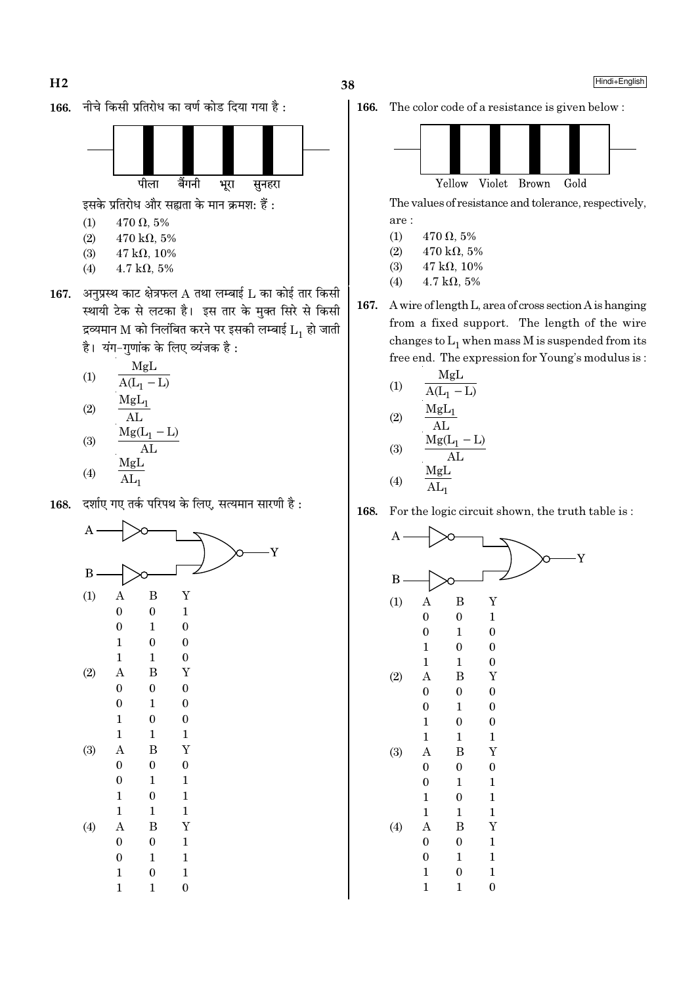

पीला बैंगनी भूरा सुनहरा

इसके प्रतिरोध और सह्यता के मान क्रमश: हैं:

- $470 \Omega, 5\%$  $(1)$
- $(2)$  $470 \text{ k}\Omega, 5\%$  $47 k\Omega, 10\%$
- $(3)$  $4.7 \text{ k}\Omega, 5\%$  $(4)$
- 167. अनुप्रस्थ काट क्षेत्रफल A तथा लम्बाई L का कोई तार किसी स्थायी टेक से लटका है। इस तार के मुक्त सिरे से किसी द्रव्यमान M को निलंबित करने पर इसकी लम्बाई  $L_1$  हो जाती है। यंग-गुणांक के लिए व्यंजक है:

(1) 
$$
\frac{MgL}{A(L_1 - L)}
$$
  
(2) 
$$
\frac{MgL_1}{AL}
$$
  
(3) 
$$
\frac{MgL_1}{Mg(L_1 - L)}
$$

$$
\begin{array}{c}\n\text{(3)} \\
\hline\n\text{MgL}\n\end{array}
$$

$$
(4) \qquad \overline{\text{AL}_1}
$$

168. दर्शाए गए तर्क परिपथ के लिए, सत्यमान सारणी है:



166.



The values of resistance and tolerance, respectively, are:

- $(1)$  $470 \Omega, 5\%$
- $(2)$  $470 \text{ k}\Omega, 5\%$
- $(3)$  $47$  kΩ,  $10%$
- $(4)$  $4.7 \text{ k}\Omega, 5\%$
- 167. A wire of length L, area of cross section A is hanging from a fixed support. The length of the wire changes to  $L_1$  when mass M is suspended from its free end. The expression for Young's modulus is:

(1)  
\n
$$
\frac{MgL}{A(L_{1} - L)}
$$
\n(2)  
\n
$$
\frac{MgL_{1}}{AL}
$$
\n(3)  
\n
$$
\frac{MgL_{1}}{AL}
$$
\n(4)  
\n
$$
\frac{MgL}{AL_{1}}
$$

168. For the logic circuit shown, the truth table is:

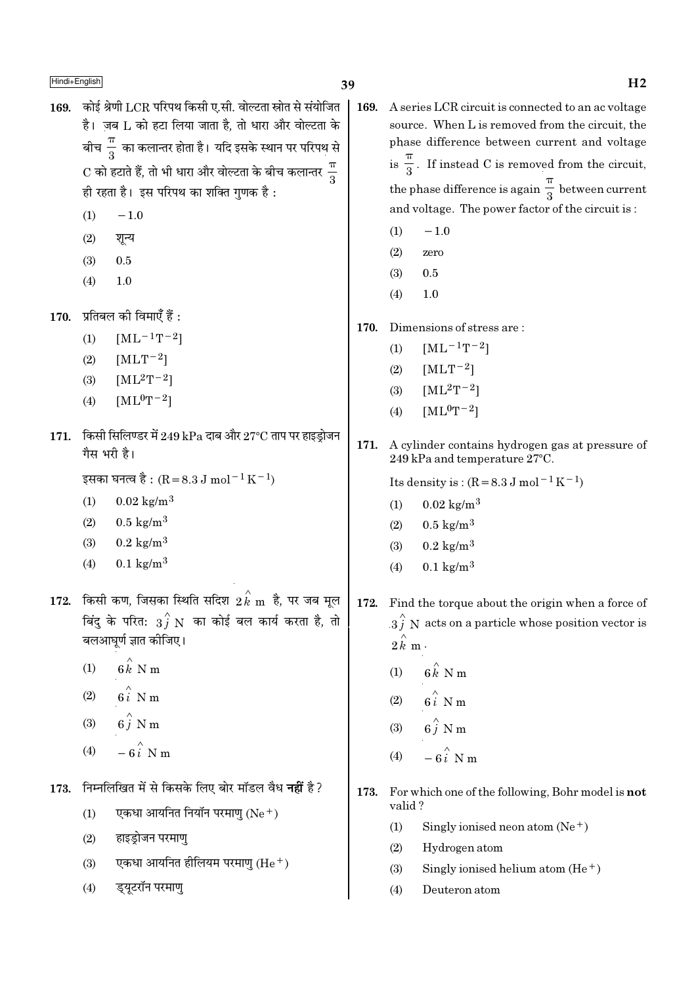169. कोई श्रेणी LCR परिपथ किसी ए.सी. वोल्टता स्रोत से संयोजित है। जब L को हटा लिया जाता है. तो धारा और वोल्टता के बीच $\frac{\pi}{2}$  का कलान्तर होता है। यदि इसके स्थान पर परिपथ से  $\mathrm{C}$  को हटाते हैं, तो भी धारा और वोल्टता के बीच कलान्तर  $\frac{\pi}{2}$ ही रहता है। इस परिपथ का शक्ति गुणक है:

- $(1)$  $-1.0$
- शन्य  $(2)$
- $(3)$  $0.5$
- $(4)$ 1.0

 $170.$  प्रतिबल की विमाएँ हैं :

- $(1)$  $[ML^{-1}T^{-2}]$
- $(2)$  $[MLT^{-2}]$
- $[ML^2T^{-2}]$  $(3)$
- $[ML^0T^{-2}]$  $(4)$
- 171. किसी सिलिण्डर में 249 kPa दाब और 27°C ताप पर हाइड्रोजन गैस भरी है।

इसका घनत्व है : (R = 8.3 J mol<sup>-1</sup> K<sup>-1</sup>)

- $0.02 \text{ kg/m}^3$  $(1)$
- $(2)$  $0.5 \text{ kg/m}^3$
- $(3)$  $0.2 \text{ kg/m}^3$
- $0.1 \text{ kg/m}^3$  $(4)$
- किसी कण, जिसका स्थिति सदिश  $\stackrel{\wedge}{2k}$ m है, पर जब मूल 172. बिंदु के परित:  $\overrightarrow{3}$  N का कोई बल कार्य करता है, तो बलआघूर्ण ज्ञात कीजिए।
	- $6\hat{k}$  N m  $(1)$
	- $6i$  N m  $(2)$
	- $6\stackrel{\wedge}{i}$  N m  $(3)$
	- $-6i$  N m  $(4)$
- 173. निम्नलिखित में से किसके लिए बोर मॉडल वैध **नहीं** है ?
	- एकधा आयनित नियॉन परमाण (Ne+)  $(1)$
	- $(2)$ हाइडोजन परमाण
	- एकधा आयनित हीलियम परमाण (He  $^+$ )  $(3)$
	- ड्यूटरॉन परमाणु  $(4)$

169. A series LCR circuit is connected to an ac voltage source. When L is removed from the circuit, the phase difference between current and voltage is  $\frac{\pi}{3}$ . If instead C is removed from the circuit, the phase difference is again  $\frac{\pi}{3}$  between current and voltage. The power factor of the circuit is:

- $-1.0$  $(1)$
- $(2)$ zero
- $(3)$  $0.5$
- $(4)$  $1.0$
- 170. Dimensions of stress are:
	- $[ML^{-1}T^{-2}]$  $(1)$
	- $[MLT^{-2}]$  $(2)$
	- $(3)$  $[ML^{2}T^{-2}]$
	- $[ML^0T^{-2}]$  $(4)$
- $171.$ A cylinder contains hydrogen gas at pressure of 249 kPa and temperature 27°C.

Its density is:  $(R = 8.3 J \text{ mol}^{-1} \text{K}^{-1})$ 

- $(1)$  $0.02 \text{ kg/m}^3$
- $0.5 \text{ kg/m}^3$  $(2)$
- $0.2 \text{ kg/m}^3$  $(3)$
- $0.1 \text{ kg/m}^3$  $(4)$

172. Find the torque about the origin when a force of  $3\hat{j}$  N acts on a particle whose position vector is  $2\hat{k}$  m.

- $6 \hat{k}$  N m  $(1)$
- $6i$  N m  $(2)$
- $6\hat{j}$  N m  $(3)$
- $-\hat{\mathbf{g}}\hat{\boldsymbol{i}}$  N m  $(4)$
- 173. For which one of the following, Bohr model is not valid?
	- Singly ionised neon atom  $(Ne^+)$  $(1)$
	- $(2)$ Hydrogen atom
	- Singly ionised helium atom  $(He<sup>+</sup>)$  $(3)$
	- $(4)$ Deuteron atom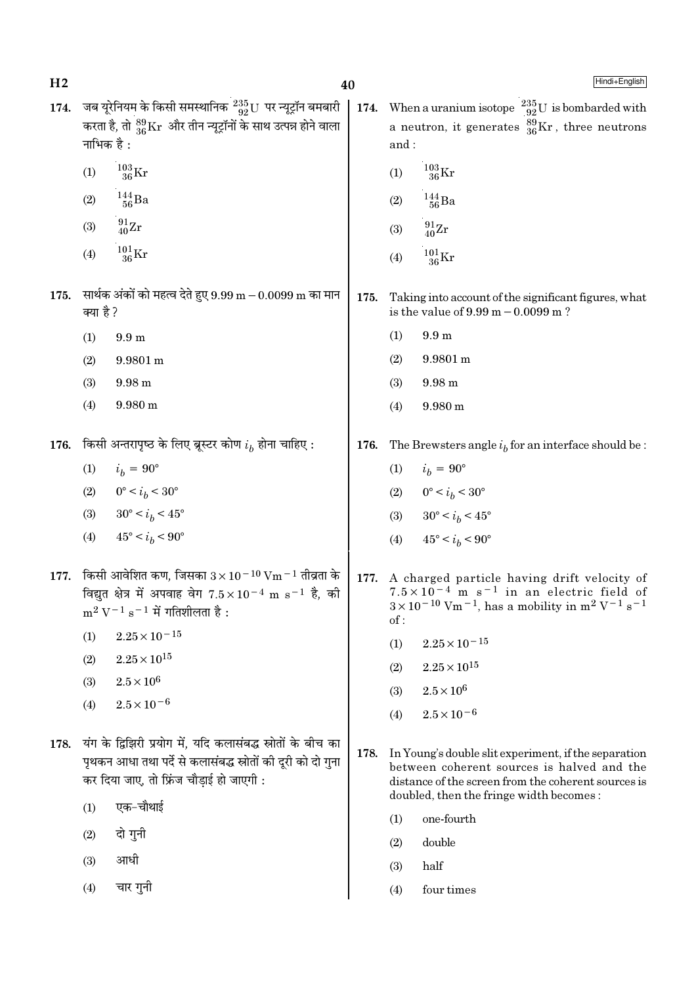40

174. जब यूरेनियम के किसी समस्थानिक  $^{235}_{92}$ U पर न्यूट्रॉन बमबारी | 174. When a uranium isotope  $^{235}_{92}$ U is bombarded with करता है, तो  $^{89}_{36}\rm{Kr}$  और तीन न्यूट्रॉनों के साथ उत्पन्न होने वाला नाभिक है :

- $^{103}_{36}\mathrm{Kr}$  $(1)$
- $\frac{144}{56}$ Ba  $(2)$
- $^{91}_{40}Zr$  $(3)$
- $\frac{101}{36}\mathrm{Kr}$  $(4)$
- 175. सार्थक अंकों को महत्व देते हुए  $9.99 \text{ m} 0.0099 \text{ m}$  का मान क्या है ?
	- $(1)$  $9.9<sub>m</sub>$
	- $(2)$ 9.9801 m
	- $(3)$ 9.98 m
	- $(4)$ 9.980 m
- किसी अन्तरापृष्ठ के लिए ब्रूस्टर कोण  $i_h$  होना चाहिए : 176.
	- $(1)$  $i_b = 90^\circ$
	- (2)  $0^{\circ} < i_b < 30^{\circ}$
	- $30^{\circ} < i_h < 45^{\circ}$  $(3)$
	- $45^{\circ} < i_b < 90^{\circ}$  $(4)$
- 177. किसी आवेशित कण, जिसका  $3 \times 10^{-10}$  Vm  $^{-1}$  तीव्रता के विद्युत क्षेत्र में अपवाह वेग  $7.5 \times 10^{-4}$  m s<sup>-1</sup> है, की  $m^2 V^{-1} s^{-1}$  में गतिशीलता है:
	- $2.25 \times 10^{-15}$  $(1)$
	- $2.25 \times 10^{15}$  $(2)$
	- $2.5\times10^6$  $(3)$
	- $2.5 \times 10^{-6}$  $(4)$
- 178. यंग के द्विझिरी प्रयोग में, यदि कलासंबद्ध स्रोतों के बीच का पृथकन आधा तथा पर्दे से कलासंबद्ध स्रोतों की दूरी को दो गुना कर दिया जाए, तो फ्रिंज चौड़ाई हो जाएगी :
	- एक-चौथाई  $(1)$
	- दो गुनी  $(2)$
	- आधी  $(3)$
	- चार गुनी  $(4)$

Hindi+English

a neutron, it generates  $^{39}_{36}\text{Kr}$ , three neutrons and:

- $^{103}_{36}\mathrm{Kr}$  $(1)$
- $^{144}_{\phantom{1}56}Ba$  $(2)$
- $^{91}_{40}Zr$  $(3)$
- $^{101}_{36} \rm{Kr}$  $(4)$

175. Taking into account of the significant figures, what is the value of  $9.99 \text{ m} - 0.0099 \text{ m}$ ?

- $9.9<sub>m</sub>$  $(1)$
- $(2)$ 9.9801 m
- $(3)$  $9.98 m$
- 9.980 m  $(4)$

176. The Brewsters angle  $i_b$  for an interface should be:

- $(1)$  $i_h = 90^{\circ}$
- $0^{\circ} < i_b < 30^{\circ}$  $(2)$
- $30^{\circ} < i_b < 45^{\circ}$  $(3)$
- $(4)$  $45^{\circ} < i_h < 90^{\circ}$
- 177. A charged particle having drift velocity of  $7.5 \times 10^{-4}$  m s<sup>-1</sup> in an electric field of  $3 \times 10^{-10}$  Vm<sup>-1</sup>, has a mobility in m<sup>2</sup> V<sup>-1</sup> s<sup>-1</sup>  $of:$ 
	- $(1)$  $2.25 \times 10^{-15}$
	- $2.25\times10^{15}$  $(2)$
	- $2.5 \times 10^6$  $(3)$
	- $(4)$  $2.5 \times 10^{-6}$
- 178. In Young's double slit experiment, if the separation between coherent sources is halved and the distance of the screen from the coherent sources is doubled, then the fringe width becomes:
	- $(1)$ one-fourth
	- double  $(2)$
	- $(3)$ half
	- $(4)$ four times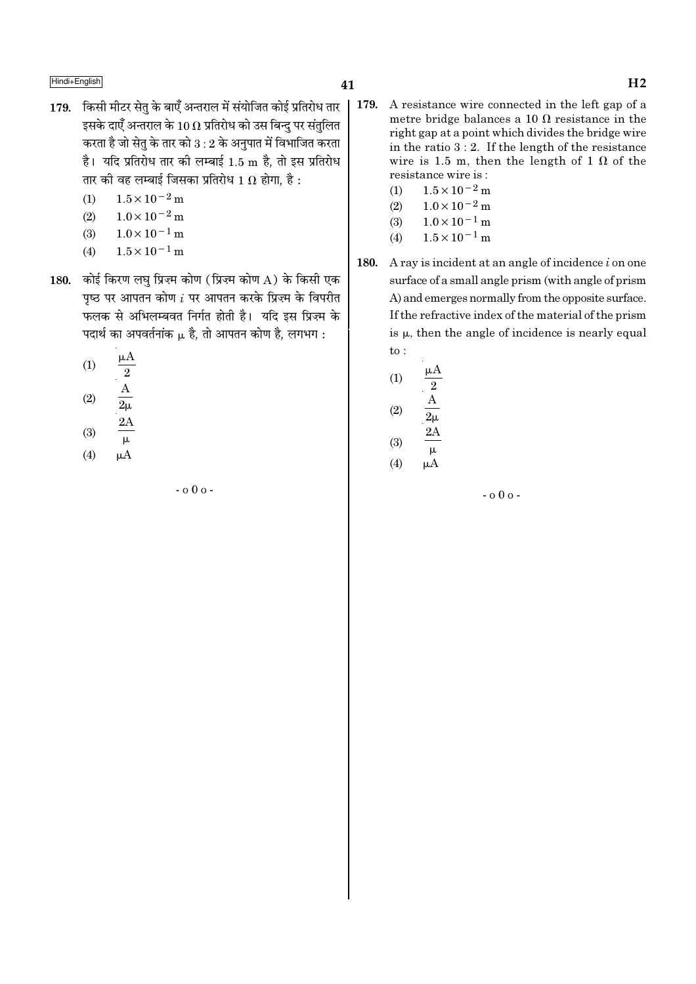- 179. किसी मीटर सेतु के बाएँ अन्तराल में संयोजित कोई प्रतिरोध तार इसके दाएँ अन्तराल के 10  $\Omega$  प्रतिरोध को उस बिन्द पर संतलित करता है जो सेतु के तार को  $3:2$  के अनुपात में विभाजित करता है। यदि प्रतिरोध तार की लम्बाई 1.5 m है, तो इस प्रतिरोध तार की वह लम्बाई जिसका प्रतिरोध 1  $\Omega$  होगा, है :
	- $1.5 \times 10^{-2}$  m  $(1)$
	- $1.0 \times 10^{-2}$  m  $(2)$
	- $1.0 \times 10^{-1}$  m  $(3)$
	- $1.5 \times 10^{-1}$  m  $(4)$
- 180. कोई किरण लघु प्रिज़्म कोण (प्रिज़्म कोण A) के किसी एक पृष्ठ पर आपतन कोण  $i$  पर आपतन करके प्रिज़्म के विपरीत फलक से अभिलम्बवत निर्गत होती है। यदि इस प्रिज़्म के पदार्थ का अपवर्तनांक  $\mu$  है, तो आपतन कोण है, लगभग :
	- $(1)$  $\begin{array}{c}\n\boxed{2} \\
	\frac{A}{2\mu} \\
	\boxed{2A}\n\end{array}$
	- $(2)$
	- $(3)$
	- $\overline{\mu}$  $(4)$  $\mu A$ 
		-

 $-0.00 -$ 

- 179. A resistance wire connected in the left gap of a metre bridge balances a 10  $\Omega$  resistance in the right gap at a point which divides the bridge wire in the ratio  $3:2$ . If the length of the resistance wire is 1.5 m, then the length of 1  $\Omega$  of the resistance wire is:
	- $1.5 \times 10^{-2}$  m  $(1)$
	- $1.0 \times 10^{-2}$  m  $(2)$
	- $1.0\times10^{-1}\,\mathrm{m}$  $(3)$
	- $(4)$  $1.5 \times 10^{-1}$  m
- A ray is incident at an angle of incidence  $i$  on one 180. surface of a small angle prism (with angle of prism) A) and emerges normally from the opposite surface. If the refractive index of the material of the prism is  $\mu$ , then the angle of incidence is nearly equal  $\mathrm{to}$ :

(1) 
$$
\frac{\mu A}{2}
$$
  
\n(2)  $\frac{A}{2\mu}$   
\n(3)  $\frac{2A}{\mu}$   
\n(4)  $\mu A$ 

 $-000 -$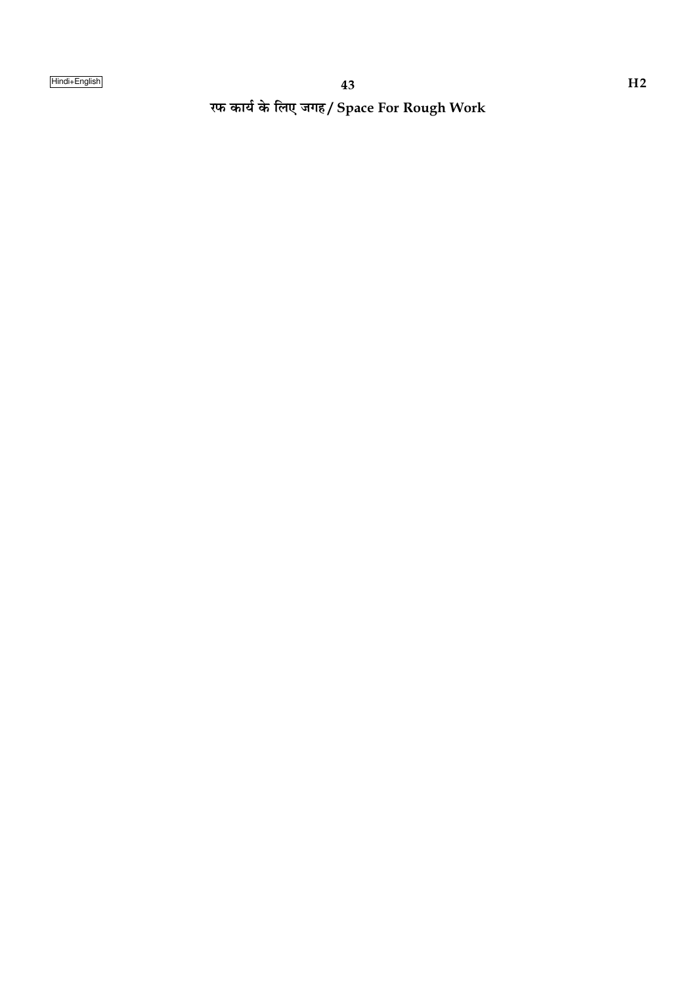रफ कार्य के लिए जगह/ Space For Rough Work